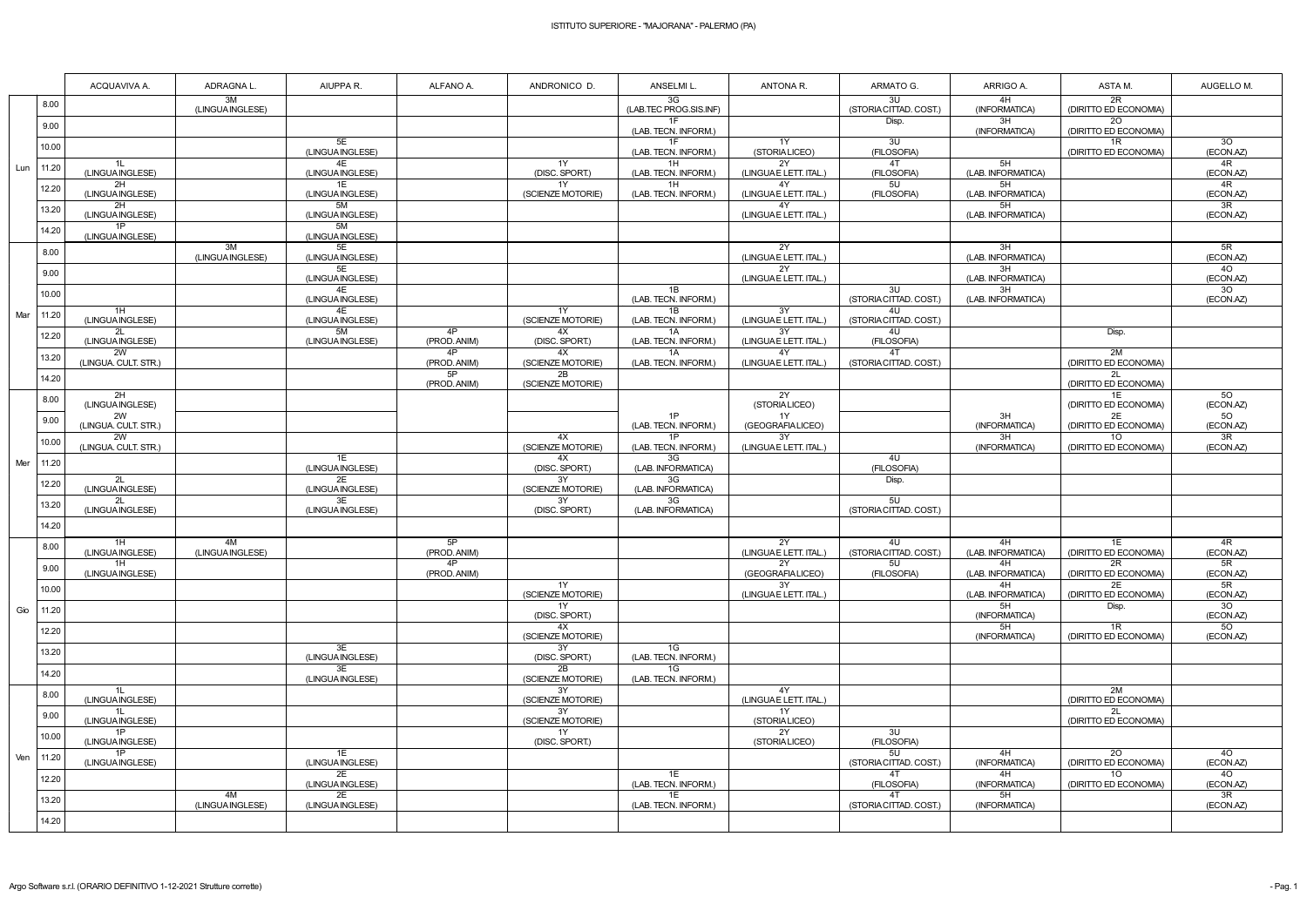|     |       | ACQUAVIVA A.                 | ADRAGNA L.             | AIUPPA R.              | ALFANO A.          | ANDRONICO D.            | ANSELMI L.                   | ANTONA R.                    | ARMATO G.                    | ARRIGO A.                | ASTA M.                                  | AUGELLO M.                   |
|-----|-------|------------------------------|------------------------|------------------------|--------------------|-------------------------|------------------------------|------------------------------|------------------------------|--------------------------|------------------------------------------|------------------------------|
|     | 8.00  |                              | 3M<br>(LINGUA INGLESE) |                        |                    |                         | 3G<br>(LAB.TEC PROG.SIS.INF) |                              | 3U<br>(STORIA CITTAD. COST.) | 4H<br>(INFORMATICA)      | 2R<br>(DIRITTO ED ECONOMIA)              |                              |
|     | 9.00  |                              |                        |                        |                    |                         | 1F<br>(LAB. TECN. INFORM.)   |                              | Disp.                        | 3H<br>(INFORMATICA)      | 20<br>(DIRITTO ED ECONOMIA)              |                              |
|     | 10.00 |                              |                        | 5E<br>(LINGUA INGLESE) |                    |                         | 1F<br>(LAB. TECN. INFORM.)   | 1Y<br>(STORIALICEO)          | 3U<br>(FILOSOFIA)            |                          | 1R<br>(DIRITTO ED ECONOMIA)              | 30<br>(ECON.AZ)              |
| Lun | 11.20 | 1L<br>(LINGUA INGLESE)       |                        | 4E<br>(LINGUA INGLESE) |                    | 1Y<br>(DISC. SPORT.)    | 1H<br>(LAB. TECN. INFORM.)   | 2Y<br>(LINGUAE LETT. ITAL.)  | 4T<br>(FILOSOFIA)            | 5H<br>(LAB. INFORMATICA) |                                          | 4R<br>(ECON.AZ)              |
|     | 12.20 | 2H<br>(LINGUA INGLESE)       |                        | 1E<br>(LINGUA INGLESE) |                    | 1Y<br>(SCIENZE MOTORIE) | 1H<br>(LAB. TECN. INFORM.)   | 4Y<br>(LINGUA E LETT. ITAL.) | 5U<br>(FILOSOFIA)            | 5H<br>(LAB. INFORMATICA) |                                          | 4R<br>(ECON.AZ)              |
|     | 13.20 | 2H<br>(LINGUA INGLESE)       |                        | 5M<br>(LINGUA INGLESE) |                    |                         |                              | 4Y<br>(LINGUAE LETT. ITAL.)  |                              | 5H<br>(LAB. INFORMATICA) |                                          | $\overline{3R}$<br>(ECON.AZ) |
|     | 14.20 | 1P<br>(LINGUA INGLESE)       |                        | 5M<br>(LINGUA INGLESE) |                    |                         |                              |                              |                              |                          |                                          |                              |
|     | 8.00  |                              | 3M<br>(LINGUA INGLESE) | 5E<br>(LINGUA INGLESE) |                    |                         |                              | 2Y<br>(LINGUA E LETT. ITAL.) |                              | 3H<br>(LAB. INFORMATICA) |                                          | 5R<br>(ECON.AZ)              |
|     | 9.00  |                              |                        | 5E<br>(LINGUA INGLESE) |                    |                         |                              | 2Y<br>(LINGUAE LETT. ITAL.)  |                              | 3H<br>(LAB. INFORMATICA) |                                          | 40<br>(ECON.AZ)              |
|     | 10.00 |                              |                        | 4E<br>(LINGUA INGLESE) |                    |                         | 1B<br>(LAB. TECN. INFORM.)   |                              | 3U<br>(STORIA CITTAD. COST.) | 3H<br>(LAB. INFORMATICA) |                                          | 30<br>(ECON.AZ)              |
| Mar | 11.20 | 1H<br>(LINGUA INGLESE)       |                        | 4E<br>(LINGUA INGLESE) |                    | 1Y<br>(SCIENZE MOTORIE) | 1B<br>(LAB. TECN. INFORM.)   | 3Y<br>(LINGUAE LETT. ITAL.)  | 4U<br>(STORIA CITTAD. COST.) |                          |                                          |                              |
|     | 12.20 | 2L<br>(LINGUA INGLESE)       |                        | 5M<br>(LINGUA INGLESE) | 4P<br>(PROD. ANIM) | 4X<br>(DISC. SPORT.)    | 1A<br>(LAB. TECN. INFORM.)   | 3Y<br>(LINGUAE LETT. ITAL.)  | 4U<br>(FILOSOFIA)            |                          | Disp.                                    |                              |
|     | 13.20 | 2W<br>(LINGUA. CULT. STR.)   |                        |                        | 4P<br>(PROD. ANIM) | 4X<br>(SCIENZE MOTORIE) | 1A<br>(LAB. TECN. INFORM.)   | 4Y<br>(LINGUAE LETT. ITAL.)  | 4T<br>(STORIA CITTAD, COST.) |                          | 2M<br>(DIRITTO ED ECONOMIA)              |                              |
|     | 14.20 |                              |                        |                        | 5P<br>(PROD. ANIM) | 2B<br>(SCIENZE MOTORIE) |                              |                              |                              |                          | 2L<br>(DIRITTO ED ECONOMIA)              |                              |
|     | 8.00  | 2H<br>(LINGUA INGLESE)       |                        |                        |                    |                         |                              | 2Y<br>(STORIALICEO)          |                              |                          | 1F<br>(DIRITTO ED ECONOMIA)              | 50<br>(ECON.AZ)              |
|     | 9.00  | 2W<br>(LINGUA. CULT. STR.)   |                        |                        |                    |                         | 1P<br>(LAB. TECN. INFORM.)   | 1Y<br>(GEOGRAFIA LICEO)      |                              | 3H<br>(INFORMATICA)      | 2E<br>(DIRITTO ED ECONOMIA)              | $\overline{50}$<br>(ECON.AZ) |
|     | 10.00 | 2W<br>(LINGUA. CULT. STR.)   |                        |                        |                    | 4X<br>(SCIENZE MOTORIE) | 1P<br>(LAB. TECN. INFORM.)   | 3Y<br>(LINGUAE LETT. ITAL.)  |                              | 3H<br>(INFORMATICA)      | 10 <sup>°</sup><br>(DIRITTO ED ECONOMIA) | $\overline{3R}$<br>(ECON.AZ) |
| Mer | 11.20 |                              |                        | 1E<br>(LINGUA INGLESE) |                    | 4X<br>(DISC. SPORT.)    | 3G<br>(LAB. INFORMATICA)     |                              | 4U<br>(FILOSOFIA)            |                          |                                          |                              |
|     | 12.20 | 2L<br>(LINGUA INGLESE)       |                        | 2E<br>(LINGUA INGLESE) |                    | 3Y<br>(SCIENZE MOTORIE) | 3G<br>(LAB. INFORMATICA)     |                              | Disp.                        |                          |                                          |                              |
|     | 13.20 | 2L<br>(LINGUA INGLESE)       |                        | 3E<br>(LINGUA INGLESE) |                    | 3Y<br>(DISC. SPORT.)    | 3G<br>(LAB. INFORMATICA)     |                              | 5U<br>(STORIA CITTAD. COST.) |                          |                                          |                              |
|     | 14.20 |                              |                        |                        | 5P                 |                         |                              | 2Y                           | 4U                           | 4H                       | 1E                                       | 4R                           |
|     | 8.00  | 1H<br>(LINGUA INGLESE)<br>1H | 4M<br>(LINGUA INGLESE) |                        | (PROD. ANIM)<br>4P |                         |                              | (LINGUAE LETT. ITAL.)<br>2Y  | (STORIA CITTAD. COST.)<br>5U | (LAB. INFORMATICA)<br>4H | (DIRITTO ED ECONOMIA)<br>2R              | (ECON.AZ)<br>5R              |
|     | 9.00  | (LINGUA INGLESE)             |                        |                        | (PROD. ANIM)       | 1Y                      |                              | (GEOGRAFIALICEO)<br>3Y       | (FILOSOFIA)                  | (LAB. INFORMATICA)<br>4H | (DIRITTO ED ECONOMIA)<br>2E              | (ECON.AZ)<br>5R              |
|     | 10.00 |                              |                        |                        |                    | (SCIENZE MOTORIE)<br>1Y |                              | (LINGUAE LETT. ITAL.)        |                              | (LAB. INFORMATICA)<br>5H | (DIRITTO ED ECONOMIA)                    | (ECON.AZ)<br>30              |
| Gio | 11.20 |                              |                        |                        |                    | (DISC. SPORT.)<br>4X    |                              |                              |                              | (INFORMATICA)<br>5H      | Disp.<br>1R                              | (ECON.AZ)<br>$\overline{50}$ |
|     | 12.20 |                              |                        | 3E                     |                    | (SCIENZE MOTORIE)<br>3Y | 1G                           |                              |                              | (INFORMATICA)            | (DIRITTO ED ECONOMIA)                    | (ECON.AZ)                    |
|     | 13.20 |                              |                        | (LINGUA INGLESE)<br>3E |                    | (DISC. SPORT.)<br>2B    | (LAB. TECN. INFORM.)<br>1G   |                              |                              |                          |                                          |                              |
|     | 14.20 | 1L                           |                        | (LINGUA INGLESE)       |                    | (SCIENZE MOTORIE)<br>3Y | (LAB. TECN. INFORM.)         | 4Y                           |                              |                          | 2M                                       |                              |
|     | 8.00  | (LINGUA INGLESE)<br>1L       |                        |                        |                    | (SCIENZE MOTORIE)<br>3Y |                              | (LINGUAE LETT. ITAL.)<br>1Y  |                              |                          | (DIRITTO ED ECONOMIA)<br>2L              |                              |
|     | 9.00  | (LINGUA INGLESE)<br>1P       |                        |                        |                    | (SCIENZE MOTORIE)<br>1Y |                              | (STORIALICEO)<br>2Y          | 3U                           |                          | (DIRITTO ED ECONOMIA)                    |                              |
|     | 10.00 | (LINGUA INGLESE)<br>1P       |                        | 1E                     |                    | (DISC. SPORT.)          |                              | (STORIALICEO)                | (FILOSOFIA)<br>5U            | 4H                       | 20                                       | 40                           |
| Ven | 11.20 | (LINGUA INGLESE)             |                        | (LINGUA INGLESE)<br>2E |                    |                         | 1E                           |                              | (STORIA CITTAD. COST.)<br>4T | (INFORMATICA)<br>4H      | (DIRITTO ED ECONOMIA)<br>10 <sup>°</sup> | (ECON.AZ)<br>40              |
|     | 12.20 |                              | 4M                     | (LINGUA INGLESE)<br>2E |                    |                         | (LAB. TECN. INFORM.)<br>1E   |                              | (FILOSOFIA)<br>4T            | (INFORMATICA)<br>5H      | (DIRITTO ED ECONOMIA)                    | (ECON.AZ)<br>$\overline{3R}$ |
|     | 13.20 |                              | (LINGUA INGLESE)       | (LINGUA INGLESE)       |                    |                         | (LAB. TECN. INFORM.)         |                              | (STORIA CITTAD. COST.)       | (INFORMATICA)            |                                          | (ECON.AZ)                    |
|     | 14.20 |                              |                        |                        |                    |                         |                              |                              |                              |                          |                                          |                              |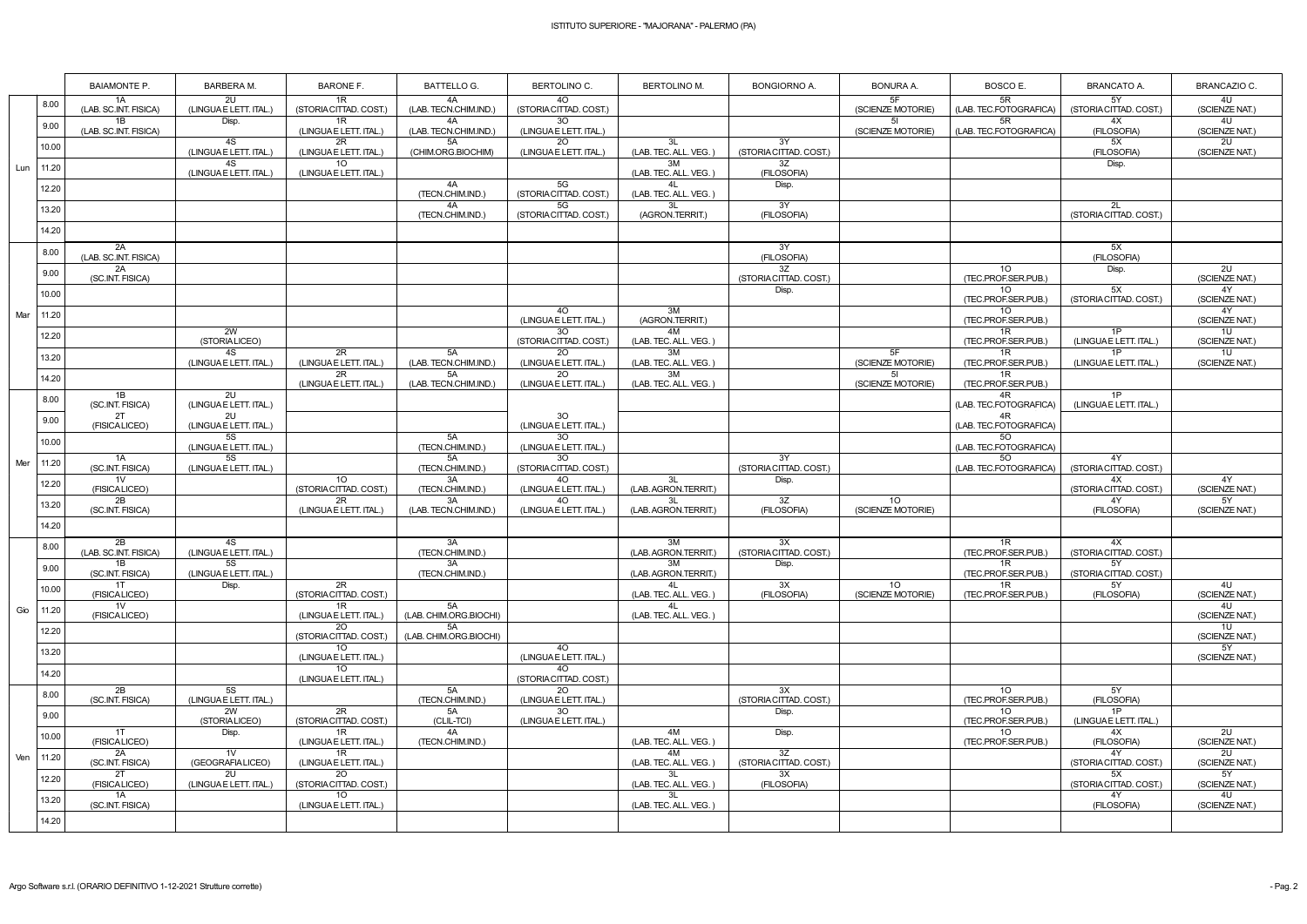|     |       | <b>BAIAMONTE P.</b>         | BARBERA M.                     | <b>BARONE F.</b>                          | <b>BATTELLO G.</b>           | BERTOLINO C.                             | <b>BERTOLINO M.</b>         | <b>BONGIORNO A.</b>             | <b>BONURA A.</b>         | BOSCO E.                                                  | <b>BRANCATO A.</b>           | <b>BRANCAZIO C.</b>              |
|-----|-------|-----------------------------|--------------------------------|-------------------------------------------|------------------------------|------------------------------------------|-----------------------------|---------------------------------|--------------------------|-----------------------------------------------------------|------------------------------|----------------------------------|
|     | 8.00  | 1A<br>(LAB. SC.INT. FISICA) | 2U<br>(LINGUAE LETT. ITAL.)    | 1R<br>(STORIA CITTAD. COST.)              | 4A<br>(LAB. TECN.CHIM.IND.)  | 4O<br>(STORIA CITTAD. COST.)             |                             |                                 | 5F<br>(SCIENZE MOTORIE)  | 5R<br>(LAB. TEC.FOTOGRAFICA)                              | 5Y<br>(STORIA CITTAD. COST.) | 4U<br>(SCIENZE NAT.)             |
|     | 9.00  | 1B<br>(LAB. SC.INT. FISICA) | Disp.                          | 1R<br>(LINGUA E LETT. ITAL.)              | 4A<br>(LAB. TECN.CHIM.IND.)  | 30 <sup>°</sup><br>(LINGUAE LETT. ITAL.) |                             |                                 | 51<br>(SCIENZE MOTORIE)  | 5R<br>(LAB. TEC.FOTOGRAFICA)                              | 4X<br>(FILOSOFIA)            | 4 <sub>U</sub><br>(SCIENZE NAT.) |
|     | 10.00 |                             | 4S<br>(LINGUAE LETT. ITAL.)    | 2R<br>(LINGUA E LETT. ITAL.)              | 5A<br>(CHIM.ORG.BIOCHIM)     | 20<br>(LINGUAE LETT. ITAL.)              | 3L<br>(LAB. TEC. ALL. VEG.) | 3Y<br>(STORIA CITTAD. COST.)    |                          |                                                           | 5X<br>(FILOSOFIA)            | 2U<br>(SCIENZE NAT.)             |
| Lun | 11.20 |                             | 4S<br>(LINGUAE LETT. ITAL.)    | 10 <sup>°</sup><br>(LINGUA E LETT. ITAL.) |                              |                                          | 3M<br>(LAB. TEC. ALL. VEG.) | 3Z<br>(FILOSOFIA)               |                          |                                                           | Disp.                        |                                  |
|     | 12.20 |                             |                                |                                           | 4A<br>(TECN.CHIM.IND.)       | 5G<br>(STORIA CITTAD. COST.)             | 41<br>(LAB. TEC. ALL. VEG.) | Disp.                           |                          |                                                           |                              |                                  |
|     | 13.20 |                             |                                |                                           | 4A<br>(TECN.CHIM.IND.)       | 5G<br>(STORIA CITTAD. COST.)             | 3L<br>(AGRON.TERRIT.)       | 3Y<br>(FILOSOFIA)               |                          |                                                           | 2L<br>(STORIA CITTAD. COST.) |                                  |
|     | 14.20 |                             |                                |                                           |                              |                                          |                             |                                 |                          |                                                           |                              |                                  |
|     | 8.00  | 2A<br>(LAB. SC.INT. FISICA) |                                |                                           |                              |                                          |                             | 3Y<br>(FILOSOFIA)               |                          |                                                           | 5X<br>(FILOSOFIA)            |                                  |
|     | 9.00  | 2A<br>(SC.INT. FISICA)      |                                |                                           |                              |                                          |                             | 3Z<br>(STORIA CITTAD. COST.)    |                          | 10 <sup>°</sup><br>(TEC.PROF.SER.PUB.)                    | Disp.                        | 2U<br>(SCIENZE NAT.)             |
|     | 10.00 |                             |                                |                                           |                              | 4O                                       | 3M                          | Disp.                           |                          | 10 <sup>°</sup><br>(TEC.PROF.SER.PUB.)<br>10 <sup>°</sup> | 5X<br>(STORIA CITTAD, COST.) | 4Y<br>(SCIENZE NAT.)<br>4Y       |
| Mar | 11.20 |                             | 2W                             |                                           |                              | (LINGUA E LETT. ITAL.)<br>30             | (AGRON.TERRIT.)<br>4M       |                                 |                          | (TEC.PROF.SER.PUB.)<br>1R                                 | 1P                           | (SCIENZE NAT.)<br>10             |
|     | 12.20 |                             | (STORIALICEO)<br>4S            | 2R                                        | 5A                           | (STORIA CITTAD. COST.)<br>2O             | (LAB. TEC. ALL. VEG.)<br>3M |                                 | 5F                       | (TEC.PROF.SER.PUB.)<br>1R                                 | (LINGUAE LETT. ITAL.)<br>1P  | (SCIENZE NAT.)<br>10             |
|     | 13.20 |                             | (LINGUAE LETT. ITAL.)          | (LINGUA E LETT. ITAL.)<br>2R              | (LAB. TECN.CHIM.IND.)<br>5A  | (LINGUAE LETT. ITAL.)<br><b>20</b>       | (LAB. TEC. ALL. VEG.)<br>3M |                                 | (SCIENZE MOTORIE)<br>-51 | (TEC.PROF.SER.PUB.)<br>1R                                 | (LINGUAE LETT. ITAL.)        | (SCIENZE NAT.)                   |
|     | 14.20 | 1B                          | 2U                             | (LINGUA E LETT. ITAL.)                    | (LAB. TECN.CHIM.IND.)        | (LINGUAE LETT. ITAL.)                    | (LAB. TEC. ALL. VEG.)       |                                 | (SCIENZE MOTORIE)        | (TEC.PROF.SER.PUB.)<br>4R                                 | 1P                           |                                  |
|     | 8.00  | (SC.INT. FISICA)<br>2T      | (LINGUA E LETT. ITAL.)<br>2U   |                                           |                              | 30                                       |                             |                                 |                          | (LAB. TEC.FOTOGRAFICA)<br>4R                              | (LINGUAE LETT. ITAL.)        |                                  |
|     | 9.00  | (FISICALICEO)               | (LINGUAE LETT. ITAL.)<br>5S    |                                           | 5A                           | (LINGUA E LETT. ITAL.)<br>30             |                             |                                 |                          | (LAB. TEC.FOTOGRAFICA)<br>50                              |                              |                                  |
|     | 10.00 | 1A                          | (LINGUAE LETT. ITAL.)<br>5S    |                                           | (TECN.CHIM.IND.)<br>5A       | (LINGUAE LETT. ITAL.)<br>30              |                             | 3Y                              |                          | (LAB. TEC.FOTOGRAFICA)<br>50                              | 4Y                           |                                  |
| Mer | 11.20 | (SC.INT. FISICA)<br>1V      | (LINGUAE LETT. ITAL.)          | 10 <sup>1</sup>                           | (TECN.CHIM.IND.)<br>3A       | (STORIA CITTAD. COST.)<br>4O             | 3L                          | (STORIA CITTAD. COST.)<br>Disp. |                          | (LAB. TEC.FOTOGRAFICA)                                    | (STORIA CITTAD. COST.)<br>4X | 4Y                               |
|     | 12.20 | (FISICALICEO)<br>2B         |                                | (STORIA CITTAD. COST.)<br>2R              | (TECN.CHIM.IND.)<br>3A       | (LINGUAE LETT. ITAL.)<br>40              | (LAB. AGRON.TERRIT.)        | 3Z                              | 10 <sup>°</sup>          |                                                           | (STORIA CITTAD. COST.)<br>4Y | (SCIENZE NAT.)<br>5Y             |
|     | 13.20 | (SC.INT. FISICA)            |                                | (LINGUA E LETT. ITAL.)                    | (LAB. TECN.CHIM.IND.)        | (LINGUAE LETT. ITAL.)                    | (LAB. AGRON.TERRIT.)        | (FILOSOFIA)                     | (SCIENZE MOTORIE)        |                                                           | (FILOSOFIA)                  | (SCIENZE NAT.)                   |
|     | 14.20 | 2B                          | 4S                             |                                           | 3A                           |                                          | 3M                          | 3X                              |                          | 1R                                                        | 4X                           |                                  |
|     | 8.00  | (LAB. SC.INT. FISICA)<br>1B | (LINGUA E LETT. ITAL.)<br>5S   |                                           | (TECN.CHIM.IND.)<br>3A       |                                          | (LAB. AGRON.TERRIT.)<br>3M  | (STORIA CITTAD. COST.)<br>Disp. |                          | (TEC.PROF.SER.PUB.)<br>1R                                 | (STORIA CITTAD. COST.)<br>5Y |                                  |
|     | 9.00  | (SC.INT. FISICA)<br>1T      | (LINGUAE LETT. ITAL.)<br>Disp. | 2R                                        | (TECN.CHIM.IND.)             |                                          | (LAB. AGRON.TERRIT.)<br>4L  | 3X                              | 10 <sup>°</sup>          | (TEC.PROF.SER.PUB.)<br>1R                                 | (STORIA CITTAD. COST.)<br>5Y | 4U                               |
|     | 10.00 | (FISICALICEO)<br>1V         |                                | (STORIA CITTAD. COST.)<br>1R              | 5A                           |                                          | (LAB. TEC. ALL. VEG.)<br>4L | (FILOSOFIA)                     | (SCIENZE MOTORIE)        | (TEC.PROF.SER.PUB.)                                       | (FILOSOFIA)                  | (SCIENZE NAT.)<br>4U             |
| Gio | 11.20 | (FISICALICEO)               |                                | (LINGUA E LETT. ITAL.)<br>20              | (LAB. CHIM.ORG.BIOCHI)<br>5A |                                          | (LAB. TEC. ALL. VEG.)       |                                 |                          |                                                           |                              | (SCIENZE NAT.)<br>1U             |
|     | 12.20 |                             |                                | (STORIA CITTAD. COST.)<br>10              | (LAB. CHIM.ORG.BIOCHI)       | 40                                       |                             |                                 |                          |                                                           |                              | (SCIENZE NAT.)<br>5Y             |
|     | 13.20 |                             |                                | (LINGUA E LETT. ITAL.)<br>10              |                              | (LINGUA E LETT. ITAL.)<br>4O             |                             |                                 |                          |                                                           |                              | (SCIENZE NAT.)                   |
|     | 14.20 | 2B                          | 5S                             | (LINGUA E LETT. ITAL.)                    | 5A                           | (STORIA CITTAD. COST.)<br>2O             |                             | 3X                              |                          | 10                                                        | 5Y                           |                                  |
|     | 8.00  | (SC.INT. FISICA)            | (LINGUAE LETT. ITAL.)<br>2W    | 2R                                        | (TECN.CHIM.IND.)<br>5A       | (LINGUAE LETT. ITAL.)<br>30 <sup>°</sup> |                             | (STORIA CITTAD. COST.)<br>Disp. |                          | (TEC.PROF.SER.PUB.)<br>10 <sup>°</sup>                    | (FILOSOFIA)<br>1P            |                                  |
|     | 9.00  | 1T                          | (STORIALICEO)<br>Disp.         | (STORIA CITTAD. COST.)<br>1R              | (CLIL-TCI)<br>4A             | (LINGUA E LETT. ITAL.)                   | 4M                          | Disp.                           |                          | (TEC.PROF.SER.PUB.)<br>10 <sup>°</sup>                    | (LINGUAE LETT. ITAL.)<br>4X  | 2U                               |
|     | 10.00 | (FISICALICEO)<br>2A         | 1V                             | (LINGUA E LETT. ITAL.)<br>1R              | (TECN.CHIM.IND.)             |                                          | (LAB. TEC. ALL. VEG.)<br>4M | 3Z                              |                          | (TEC.PROF.SER.PUB.)                                       | (FILOSOFIA)<br>4Y            | (SCIENZE NAT.)<br>2U             |
| Ven | 11.20 | (SC.INT. FISICA)<br>2T      | (GEOGRAFIALICEO)<br>2U         | (LINGUA E LETT. ITAL.)<br>20              |                              |                                          | (LAB. TEC. ALL. VEG.)<br>3L | (STORIA CITTAD. COST.)<br>3X    |                          |                                                           | (STORIA CITTAD. COST.)<br>5X | (SCIENZE NAT.)<br>5Y             |
|     | 12.20 | (FISICALICEO)<br>1A         | (LINGUAE LETT. ITAL.)          | (STORIA CITTAD. COST.)<br>10 <sup>°</sup> |                              |                                          | (LAB. TEC. ALL. VEG.)<br>3L | (FILOSOFIA)                     |                          |                                                           | (STORIA CITTAD. COST.)<br>4Y | (SCIENZE NAT.)<br>4U             |
|     | 13.20 | (SC.INT. FISICA)            |                                | (LINGUA E LETT. ITAL.)                    |                              |                                          | (LAB. TEC. ALL. VEG.)       |                                 |                          |                                                           | (FILOSOFIA)                  | (SCIENZE NAT.)                   |
|     | 14.20 |                             |                                |                                           |                              |                                          |                             |                                 |                          |                                                           |                              |                                  |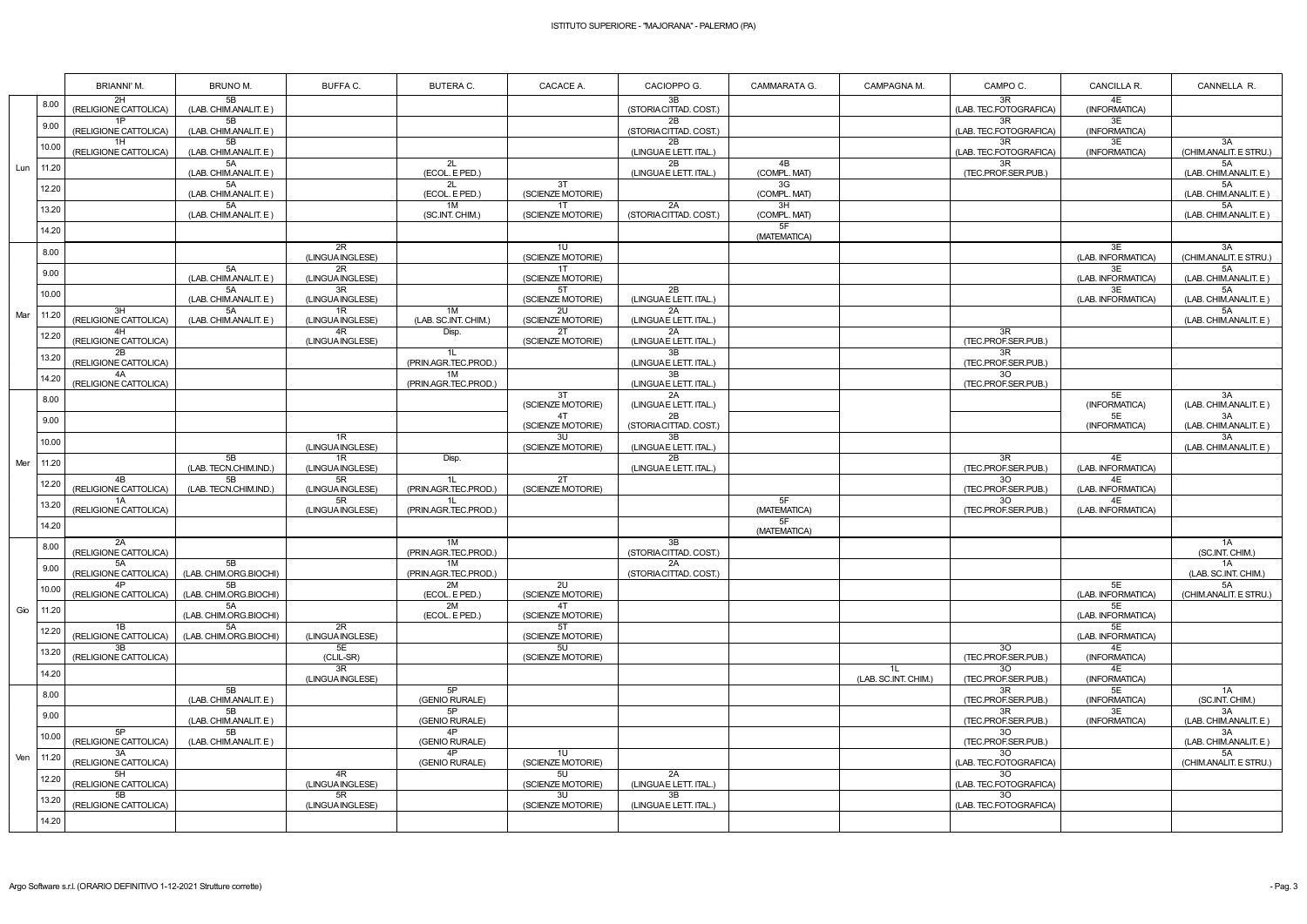|     |         | BRIANNI'M.                  | BRUNO M.                     | BUFFA C.               | <b>BUTERA C.</b>           | CACACE A.               | CACIOPPO G.                  | CAMMARATA G.       | CAMPAGNA M.                | CAMPO C.                               | CANCILLA R.              | CANNELLA R.                              |
|-----|---------|-----------------------------|------------------------------|------------------------|----------------------------|-------------------------|------------------------------|--------------------|----------------------------|----------------------------------------|--------------------------|------------------------------------------|
|     | 8.00    | 2H<br>(RELIGIONE CATTOLICA) | 5B<br>(LAB. CHIM.ANALIT. E)  |                        |                            |                         | 3B<br>(STORIA CITTAD. COST.) |                    |                            | 3R<br>(LAB. TEC.FOTOGRAFICA)           | 4E<br>(INFORMATICA)      |                                          |
|     | 9.00    | 1P<br>(RELIGIONE CATTOLICA) | 5B<br>(LAB. CHIM.ANALIT. E)  |                        |                            |                         | 2B<br>(STORIA CITTAD. COST.) |                    |                            | 3R<br>(LAB. TEC.FOTOGRAFICA)           | 3E<br>(INFORMATICA)      |                                          |
|     | 10.00   | 1H<br>(RELIGIONE CATTOLICA) | 5B<br>(LAB. CHIM.ANALIT. E)  |                        |                            |                         | 2B<br>(LINGUA E LETT. ITAL.) |                    |                            | 3R<br>(LAB. TEC.FOTOGRAFICA)           | 3E<br>(INFORMATICA)      | 3A<br>(CHIM.ANALIT. E STRU.)             |
| Lun | $11.20$ |                             | 5A<br>(LAB. CHIM.ANALIT. E)  |                        | 2L<br>(ECOL. E PED.)       |                         | 2B<br>(LINGUA E LETT. ITAL.) | 4B<br>(COMPL. MAT) |                            | 3R<br>(TEC.PROF.SER.PUB.)              |                          | 5A<br>(LAB. CHIM.ANALIT. E)              |
|     | 12.20   |                             | 5A<br>(LAB. CHIM.ANALIT. E)  |                        | 2L<br>(ECOL. E PED.)       | 3T<br>(SCIENZE MOTORIE) |                              | 3G<br>(COMPL. MAT) |                            |                                        |                          | 5A<br>(LAB. CHIM.ANALIT. E)              |
|     | 13.20   |                             | 5A<br>(LAB. CHIM.ANALIT. E)  |                        | 1M<br>(SC.INT. CHIM.)      | 1T<br>(SCIENZE MOTORIE) | 2A<br>(STORIA CITTAD. COST.) | 3H<br>(COMPL. MAT) |                            |                                        |                          | 5A<br>(LAB. CHIM.ANALIT. E)              |
|     | 14.20   |                             |                              |                        |                            |                         |                              | 5F<br>(MATEMATICA) |                            |                                        |                          |                                          |
|     | 8.00    |                             |                              | 2R<br>(LINGUA INGLESE) |                            | 1U<br>(SCIENZE MOTORIE) |                              |                    |                            |                                        | 3E<br>(LAB. INFORMATICA) | 3A<br>(CHIM.ANALIT. E STRU.)             |
|     | 9.00    |                             | 5A<br>(LAB. CHIM.ANALIT. E)  | 2R<br>(LINGUA INGLESE) |                            | 1T<br>(SCIENZE MOTORIE) |                              |                    |                            |                                        | 3E<br>(LAB. INFORMATICA) | 5A<br>(LAB. CHIM.ANALIT. E)              |
|     | 10.00   |                             | 5A<br>(LAB. CHIM.ANALIT. E)  | 3R<br>(LINGUA INGLESE) |                            | 5T<br>(SCIENZE MOTORIE) | 2B<br>(LINGUAE LETT. ITAL.)  |                    |                            |                                        | 3E<br>(LAB. INFORMATICA) | 5A<br>(LAB. CHIM.ANALIT. E)              |
| Mar | 11.20   | 3H<br>(RELIGIONE CATTOLICA) | 5A<br>(LAB. CHIM.ANALIT. E)  | 1R<br>(LINGUA INGLESE) | 1M<br>(LAB. SC.INT. CHIM.) | 2U<br>(SCIENZE MOTORIE) | 2A<br>(LINGUA E LETT. ITAL.) |                    |                            |                                        |                          | 5A<br>(LAB. CHIM.ANALIT. E)              |
|     | 12.20   | 4H<br>(RELIGIONE CATTOLICA) |                              | 4R<br>(LINGUA INGLESE) | Disp.                      | 2T<br>(SCIENZE MOTORIE) | 2A<br>(LINGUAE LETT. ITAL.)  |                    |                            | 3R<br>(TEC.PROF.SER.PUB.)              |                          |                                          |
|     | 13.20   | 2B<br>(RELIGIONE CATTOLICA) |                              |                        | 1L<br>(PRIN.AGR.TEC.PROD.) |                         | 3B<br>(LINGUAE LETT. ITAL.)  |                    |                            | 3R<br>(TEC.PROF.SER.PUB.)              |                          |                                          |
|     | 14.20   | 4A<br>(RELIGIONE CATTOLICA) |                              |                        | 1M<br>(PRIN.AGR.TEC.PROD.) |                         | 3B<br>(LINGUA E LETT. ITAL.) |                    |                            | 30 <sup>°</sup><br>(TEC.PROF.SER.PUB.) |                          |                                          |
|     | 8.00    |                             |                              |                        |                            | 3T<br>(SCIENZE MOTORIE) | 2A<br>(LINGUA E LETT. ITAL.) |                    |                            |                                        | 5E<br>(INFORMATICA)      | 3A<br>(LAB. CHIM.ANALIT. E)              |
|     | 9.00    |                             |                              |                        |                            | 4T<br>(SCIENZE MOTORIE) | 2B<br>(STORIA CITTAD. COST.) |                    |                            |                                        | 5E<br>(INFORMATICA)      | $\overline{3A}$<br>(LAB. CHIM.ANALIT. E) |
|     | 10.00   |                             |                              | 1R<br>(LINGUA INGLESE) |                            | 3U<br>(SCIENZE MOTORIE) | 3B<br>(LINGUAE LETT. ITAL.)  |                    |                            |                                        |                          | 3A<br>(LAB. CHIM.ANALIT. E)              |
| Mer | 11.20   |                             | 5B<br>(LAB. TECN.CHIM.IND.)  | 1R<br>(LINGUA INGLESE) | Disp.                      |                         | 2B<br>(LINGUAE LETT. ITAL.)  |                    |                            | 3R<br>(TEC.PROF.SER.PUB.)              | 4E<br>(LAB. INFORMATICA) |                                          |
|     | 12.20   | 4B<br>(RELIGIONE CATTOLICA) | 5B<br>(LAB. TECN.CHIM.IND.)  | 5R<br>(LINGUA INGLESE) | 1L<br>(PRIN.AGR.TEC.PROD.) | 2T<br>(SCIENZE MOTORIE) |                              |                    |                            | 30<br>(TEC.PROF.SER.PUB.)              | 4E<br>(LAB. INFORMATICA) |                                          |
|     | 13.20   | 1A<br>(RELIGIONE CATTOLICA) |                              | 5R<br>(LINGUA INGLESE) | 11<br>(PRIN.AGR.TEC.PROD.) |                         |                              | 5F<br>(MATEMATICA) |                            | 30<br>(TEC.PROF.SER.PUB.)              | 4E<br>(LAB. INFORMATICA) |                                          |
|     | 14.20   |                             |                              |                        |                            |                         |                              | 5F<br>(MATEMATICA) |                            |                                        |                          |                                          |
|     | 8.00    | 2A<br>(RELIGIONE CATTOLICA) |                              |                        | 1M<br>(PRIN.AGR.TEC.PROD.) |                         | 3B<br>(STORIA CITTAD. COST.) |                    |                            |                                        |                          | 1A<br>(SC.INT. CHIM.)                    |
|     |         | 5A<br>(RELIGIONE CATTOLICA) | 5B<br>(LAB. CHIM.ORG.BIOCHI) |                        | 1M<br>(PRIN.AGR.TEC.PROD.) |                         | 2A<br>(STORIA CITTAD. COST.) |                    |                            |                                        |                          | 1A<br>(LAB. SC.INT. CHIM.)               |
|     | 10.00   | (RELIGIONE CATTOLICA)       | 5B<br>(LAB. CHIM.ORG.BIOCHI) |                        | 2M<br>(ECOL. E PED.)       | 2U<br>(SCIENZE MOTORIE) |                              |                    |                            |                                        | 5E<br>(LAB. INFORMATICA) | 5A<br>(CHIM.ANALIT. E STRU.)             |
| Gio | 11.20   |                             | 5A<br>(LAB. CHIM.ORG.BIOCHI) |                        | 2M<br>(ECOL. E PED.)       | 4T<br>(SCIENZE MOTORIE) |                              |                    |                            |                                        | 5E<br>(LAB. INFORMATICA) |                                          |
|     | 12.20   | 1B<br>(RELIGIONE CATTOLICA) | 5A<br>(LAB. CHIM.ORG.BIOCHI) | 2R<br>(LINGUA INGLESE) |                            | 5T<br>(SCIENZE MOTORIE) |                              |                    |                            |                                        | 5E<br>(LAB. INFORMATICA) |                                          |
|     | 13.20   | 3B<br>(RELIGIONE CATTOLICA) |                              | 5E<br>(CLIL-SR)        |                            | 5U<br>(SCIENZE MOTORIE) |                              |                    |                            | 30<br>(TEC.PROF.SER.PUB.)              | 4E<br>(INFORMATICA)      |                                          |
|     | 14.20   |                             |                              | 3R<br>(LINGUA INGLESE) |                            |                         |                              |                    | 1L<br>(LAB. SC.INT. CHIM.) | 30<br>(TEC.PROF.SER.PUB.)              | 4E<br>(INFORMATICA)      |                                          |
|     | 8.00    |                             | 5B<br>(LAB. CHIM.ANALIT. E)  |                        | 5P<br>(GENIO RURALE)       |                         |                              |                    |                            | 3R<br>(TEC.PROF.SER.PUB.)              | 5E<br>(INFORMATICA)      | 1A<br>(SC.INT. CHIM.)                    |
|     | 9.00    |                             | 5B<br>(LAB. CHIM.ANALIT. E)  |                        | 5P<br>(GENIO RURALE)<br>4P |                         |                              |                    |                            | 3R<br>(TEC.PROF.SER.PUB.)              | 3E<br>(INFORMATICA)      | 3A<br>(LAB. CHIM.ANALIT. E)              |
|     | 10.00   | 5P<br>(RELIGIONE CATTOLICA) | 5B<br>(LAB. CHIM.ANALIT. E)  |                        | (GENIO RURALE)             |                         |                              |                    |                            | 30<br>(TEC.PROF.SER.PUB.)              |                          | 3A<br>(LAB. CHIM.ANALIT. E)              |
| Ven | 11.20   | 3A<br>(RELIGIONE CATTOLICA) |                              |                        | 4P<br>(GENIO RURALE)       | 1U<br>(SCIENZE MOTORIE) |                              |                    |                            | 30<br>(LAB. TEC.FOTOGRAFICA)           |                          | 5A<br>(CHIM.ANALIT. E STRU.)             |
|     | 12.20   | 5H<br>(RELIGIONE CATTOLICA) |                              | 4R<br>(LINGUA INGLESE) |                            | 5U<br>(SCIENZE MOTORIE) | 2A<br>(LINGUA E LETT. ITAL.) |                    |                            | 30<br>(LAB. TEC.FOTOGRAFICA)           |                          |                                          |
|     | 13.20   | (RELIGIONE CATTOLICA)       |                              | 5R<br>(LINGUA INGLESE) |                            | 3U<br>(SCIENZE MOTORIE) | 3B<br>(LINGUAE LETT. ITAL.)  |                    |                            | 30<br>(LAB. TEC.FOTOGRAFICA)           |                          |                                          |
|     | 14.20   |                             |                              |                        |                            |                         |                              |                    |                            |                                        |                          |                                          |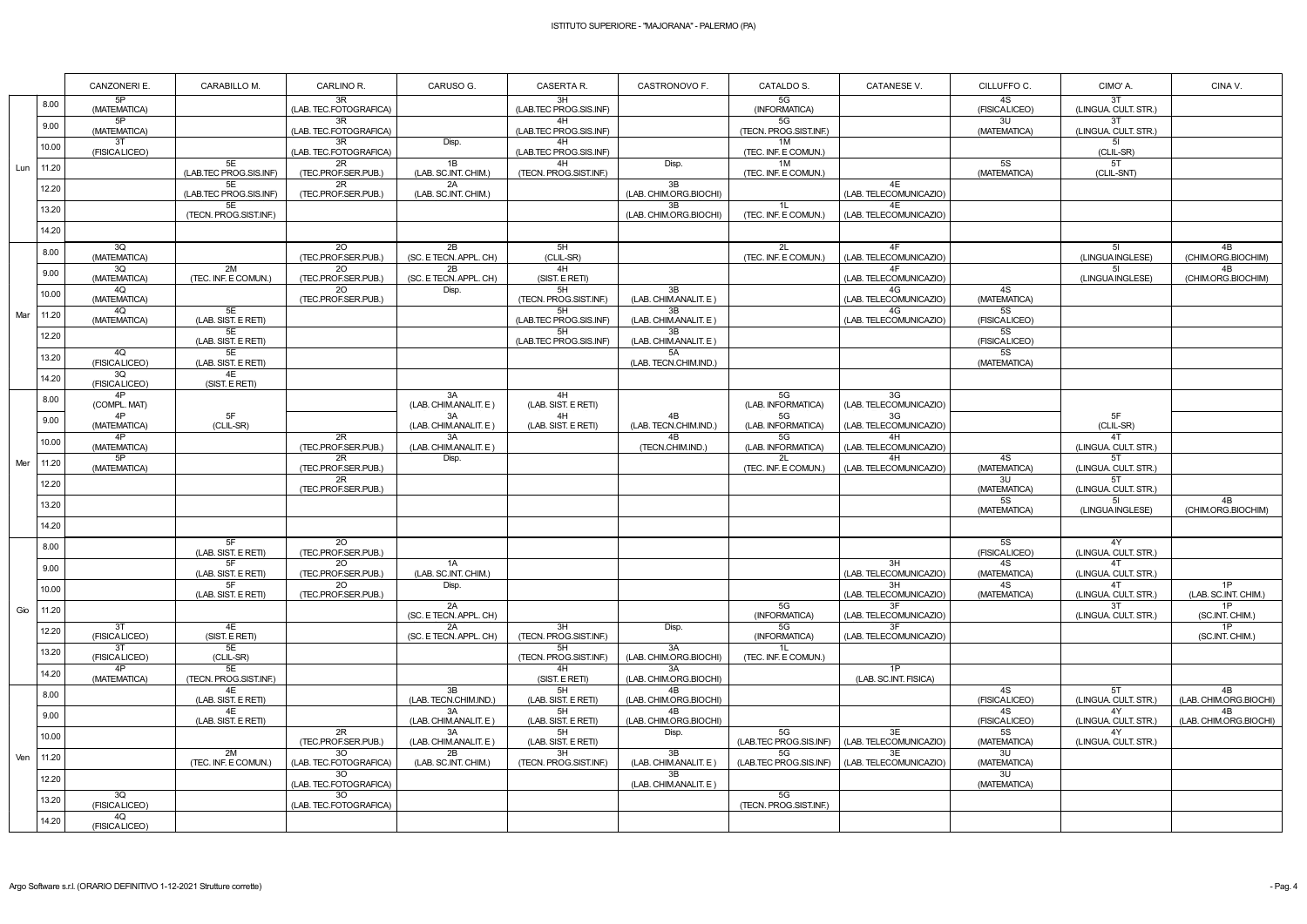|     |       | CANZONERI E.        | CARABILLO M.                 | CARLINO R.                   | CARUSO G.                       | CASERTA R.                   | CASTRONOVO F.                | CATALDO S.                   | <b>CATANESE V.</b>           | CILLUFFO C.                      | CIMO'A.                    | CINA V.                      |
|-----|-------|---------------------|------------------------------|------------------------------|---------------------------------|------------------------------|------------------------------|------------------------------|------------------------------|----------------------------------|----------------------------|------------------------------|
|     | 8.00  | 5P<br>(MATEMATICA)  |                              | 3R<br>(LAB. TEC.FOTOGRAFICA) |                                 | 3H<br>(LAB.TEC PROG.SIS.INF) |                              | $5G$<br>(INFORMATICA)        |                              | 4S<br>(FISICALICEO)              | 3T<br>(LINGUA. CULT. STR.) |                              |
|     | 9.00  | 5P<br>(MATEMATICA)  |                              | 3R<br>(LAB. TEC.FOTOGRAFICA) |                                 | (LAB.TEC PROG.SIS.INF)       |                              | 5G<br>(TECN. PROG.SIST.INF.) |                              | 3U<br>(MATEMATICA)               | 3T<br>(LINGUA. CULT. STR.) |                              |
|     | 10.00 | 3T<br>(FISICALICEO) |                              | 3R<br>(LAB. TEC.FOTOGRAFICA) | Disp.                           | 4H<br>(LAB.TEC PROG.SIS.INF) |                              | 1M<br>(TEC. INF. E COMUN.)   |                              |                                  | 5I<br>(CLIL-SR)            |                              |
| Lun | 11.20 |                     | 5E                           | 2R                           | 1B                              | 4H                           | Disp.                        | 1M                           |                              | <b>5S</b>                        | 5T                         |                              |
|     | 12.20 |                     | (LAB.TEC PROG.SIS.INF)<br>5E | (TEC.PROF.SER.PUB.)<br>2R    | (LAB. SC.INT. CHIM.)<br>2A      | (TECN. PROG.SIST.INF.)       | 3B                           | (TEC. INF. E COMUN.)         | 4E                           | (MATEMATICA)                     | (CLIL-SNT)                 |                              |
|     | 13.20 |                     | (LAB.TEC PROG.SIS.INF)<br>5E | (TEC.PROF.SER.PUB.)          | (LAB. SC.INT. CHIM.)            |                              | (LAB. CHIM.ORG.BIOCHI)<br>3B | 1L                           | (LAB. TELECOMUNICAZIO)<br>4E |                                  |                            |                              |
|     | 14.20 |                     | (TECN. PROG.SIST.INF.)       |                              |                                 |                              | (LAB. CHIM.ORG.BIOCHI)       | (TEC. INF. E COMUN.)         | (LAB. TELECOMUNICAZIO)       |                                  |                            |                              |
|     |       | 3Q                  |                              | <b>20</b>                    | 2B                              | 5H                           |                              | 2L                           | 4F                           |                                  | 51                         | 4B                           |
|     | 8.00  | (MATEMATICA)<br>3Q  | 2M                           | (TEC.PROF.SER.PUB.)<br>20    | (SC. E TECN. APPL. CH)<br>2B    | (CLIL-SR)<br>4H              |                              | (TEC. INF. E COMUN.)         | (LAB. TELECOMUNICAZIO)<br>4F |                                  | (LINGUA INGLESE)<br>51     | (CHIM.ORG.BIOCHIM)<br>4B     |
|     | 9.00  | (MATEMATICA)<br>4Q  | (TEC. INF. E COMUN.)         | (TEC.PROF.SER.PUB.)<br>20    | (SC. E TECN. APPL. CH)<br>Disp. | (SIST. E RETI)<br>5H         | 3B                           |                              | (LAB. TELECOMUNICAZIO)<br>4G | 4S                               | (LINGUA INGLESE)           | (CHIM.ORG.BIOCHIM)           |
|     | 10.00 | (MATEMATICA)        |                              | (TEC.PROF.SER.PUB.)          |                                 | (TECN. PROG.SIST.INF.)       | (LAB. CHIM.ANALIT. E)        |                              | (LAB. TELECOMUNICAZIO)       | (MATEMATICA)                     |                            |                              |
| Mar | 11.20 | 4Q<br>(MATEMATICA)  | 5E<br>(LAB. SIST. E RETI)    |                              |                                 | 5H<br>(LAB.TEC PROG.SIS.INF) | 3B<br>(LAB. CHIM.ANALIT. E)  |                              | 4G<br>(LAB. TELECOMUNICAZIO) | $\overline{5S}$<br>(FISICALICEO) |                            |                              |
|     | 12.20 |                     | 5E<br>(LAB. SIST. E RETI)    |                              |                                 | 5H<br>(LAB.TEC PROG.SIS.INF) | 3B<br>(LAB. CHIM.ANALIT. E)  |                              |                              | <b>5S</b><br>(FISICALICEO)       |                            |                              |
|     | 13.20 | 4Q<br>(FISICALICEO) | 5E<br>(LAB. SIST. E RETI)    |                              |                                 |                              | 5A<br>(LAB. TECN.CHIM.IND.)  |                              |                              | <b>5S</b><br>(MATEMATICA)        |                            |                              |
|     | 14.20 | 3Q<br>(FISICALICEO) | 4E<br>(SIST. E RETI)         |                              |                                 |                              |                              |                              |                              |                                  |                            |                              |
|     | 8.00  | 4P<br>(COMPL. MAT)  |                              |                              | 3A<br>(LAB. CHIM.ANALIT. E)     | 4H<br>(LAB. SIST. E RETI)    |                              | 5G<br>(LAB. INFORMATICA)     | 3G<br>(LAB. TELECOMUNICAZIO) |                                  |                            |                              |
|     | 9.00  | 4P<br>(MATEMATICA)  | 5F<br>(CLIL-SR)              |                              | 3A<br>(LAB. CHIM.ANALIT. E)     | 4H<br>(LAB. SIST. E RETI)    | 4B<br>(LAB. TECN.CHIM.IND.)  | 5G<br>(LAB. INFORMATICA)     | 3G<br>(LAB. TELECOMUNICAZIO) |                                  | 5F<br>(CLIL-SR)            |                              |
|     | 10.00 | 4P<br>(MATEMATICA)  |                              | 2R<br>(TEC.PROF.SER.PUB.)    | 3A<br>(LAB. CHIM.ANALIT. E)     |                              | 4B<br>(TECN.CHIM.IND.)       | 5G<br>(LAB. INFORMATICA)     | 4H<br>(LAB. TELECOMUNICAZIO) |                                  | 4T<br>(LINGUA. CULT. STR.) |                              |
| Mer | 11.20 | 5P<br>(MATEMATICA)  |                              | 2R<br>(TEC.PROF.SER.PUB.)    | Disp.                           |                              |                              | 2L<br>(TEC. INF. E COMUN.)   | 4H<br>(LAB. TELECOMUNICAZIO) | 4S<br>(MATEMATICA)               | 5T<br>(LINGUA. CULT. STR.) |                              |
|     | 12.20 |                     |                              | 2R<br>(TEC.PROF.SER.PUB.)    |                                 |                              |                              |                              |                              | 3U                               | 5T<br>(LINGUA. CULT. STR.) |                              |
|     | 13.20 |                     |                              |                              |                                 |                              |                              |                              |                              | (MATEMATICA)<br>5S               | 51                         | 4B                           |
|     | 14.20 |                     |                              |                              |                                 |                              |                              |                              |                              | (MATEMATICA)                     | (LINGUA INGLESE)           | (CHIM.ORG.BIOCHIM)           |
|     | 8.00  |                     | 5F                           | $\overline{20}$              |                                 |                              |                              |                              |                              | 5S                               | 4Y                         |                              |
|     | 9.00  |                     | (LAB. SIST. E RETI)<br>5F    | (TEC.PROF.SER.PUB.)<br>20    | 1A                              |                              |                              |                              | 3H                           | (FISICALICEO)<br>4S              | (LINGUA. CULT. STR.)<br>4T |                              |
|     | 10.00 |                     | (LAB. SIST. E RETI)<br>5F    | (TEC.PROF.SER.PUB.)<br>20    | (LAB. SC.INT. CHIM.)<br>Disp.   |                              |                              |                              | (LAB. TELECOMUNICAZIO)<br>3H | (MATEMATICA)<br>4S               | (LINGUA. CULT. STR.)<br>4T | 1P                           |
|     |       |                     | (LAB. SIST. E RETI)          | (TEC.PROF.SER.PUB.)          | 2A                              |                              |                              | 5G                           | (LAB. TELECOMUNICAZIO)<br>3F | (MATEMATICA)                     | (LINGUA. CULT. STR.)<br>3T | (LAB. SC.INT. CHIM.)<br>1P   |
| Gio | 11.20 | 3T                  | 4E                           |                              | (SC. E TECN. APPL. CH)<br>2A    | 3H                           | Disp.                        | (INFORMATICA)<br>5G          | (LAB. TELECOMUNICAZIO)<br>3F |                                  | (LINGUA. CULT. STR.)       | (SC.INT. CHIM.)<br>1P        |
|     | 12.20 | (FISICALICEO)<br>3T | (SIST. E RETI)<br>5E         |                              | (SC. E TECN. APPL. CH)          | (TECN. PROG.SIST.INF.)<br>5H | 3A                           | (INFORMATICA)<br>1L          | (LAB. TELECOMUNICAZIO)       |                                  |                            | (SC.INT. CHIM.)              |
|     | 13.20 | (FISICALICEO)<br>4P | (CLIL-SR)<br>5E              |                              |                                 | (TECN. PROG.SIST.INF.)<br>4H | (LAB. CHIM.ORG.BIOCHI)<br>3A | (TEC. INF. E COMUN.)         | 1P                           |                                  |                            |                              |
|     | 14.20 | (MATEMATICA)        | (TECN. PROG.SIST.INF.)       |                              |                                 | (SIST. E RETI)               | (LAB. CHIM.ORG.BIOCHI)       |                              | (LAB. SC.INT. FISICA)        |                                  |                            |                              |
|     | 8.00  |                     | 4E<br>(LAB. SIST. E RETI)    |                              | 3B<br>(LAB. TECN.CHIM.IND.)     | 5H<br>(LAB. SIST. E RETI)    | 4B<br>(LAB. CHIM.ORG.BIOCHI) |                              |                              | 4S<br>(FISICALICEO)              | 5T<br>(LINGUA. CULT. STR.) | 4B<br>(LAB. CHIM.ORG.BIOCHI) |
|     | 9.00  |                     | 4E<br>(LAB. SIST. E RETI)    |                              | 3A<br>(LAB. CHIM.ANALIT. E)     | 5H<br>(LAB. SIST. E RETI)    | 4B<br>(LAB. CHIM.ORG.BIOCHI) |                              |                              | 4S<br>(FISICALICEO)              | 4Y<br>(LINGUA. CULT. STR.) | 4B<br>(LAB. CHIM.ORG.BIOCHI) |
|     | 10.00 |                     |                              | 2R<br>(TEC.PROF.SER.PUB.)    | 3A<br>(LAB. CHIM.ANALIT. E)     | 5H<br>(LAB. SIST. E RETI)    | Disp.                        | 5G<br>(LAB.TEC PROG.SIS.INF) | 3E<br>(LAB. TELECOMUNICAZIO) | 5S<br>(MATEMATICA)               | 4Y<br>(LINGUA. CULT. STR.) |                              |
| Ven | 11.20 |                     | 2M<br>(TEC. INF. E COMUN.)   | 30<br>(LAB. TEC.FOTOGRAFICA) | 2B<br>(LAB. SC.INT. CHIM.)      | 3H<br>(TECN. PROG.SIST.INF.) | 3B<br>(LAB. CHIM.ANALIT. E)  | 5G<br>(LAB.TEC PROG.SIS.INF) | 3E<br>(LAB. TELECOMUNICAZIO) | 3U<br>(MATEMATICA)               |                            |                              |
|     | 12.20 |                     |                              | 3O<br>(LAB. TEC.FOTOGRAFICA) |                                 |                              | 3B<br>(LAB. CHIM.ANALIT. E)  |                              |                              | 3U<br>(MATEMATICA)               |                            |                              |
|     | 13.20 | 3Q<br>(FISICALICEO) |                              | 3O<br>(LAB. TEC.FOTOGRAFICA) |                                 |                              |                              | 5G<br>(TECN. PROG.SIST.INF.) |                              |                                  |                            |                              |
|     | 14.20 | 4Q<br>(FISICALICEO) |                              |                              |                                 |                              |                              |                              |                              |                                  |                            |                              |
|     |       |                     |                              |                              |                                 |                              |                              |                              |                              |                                  |                            |                              |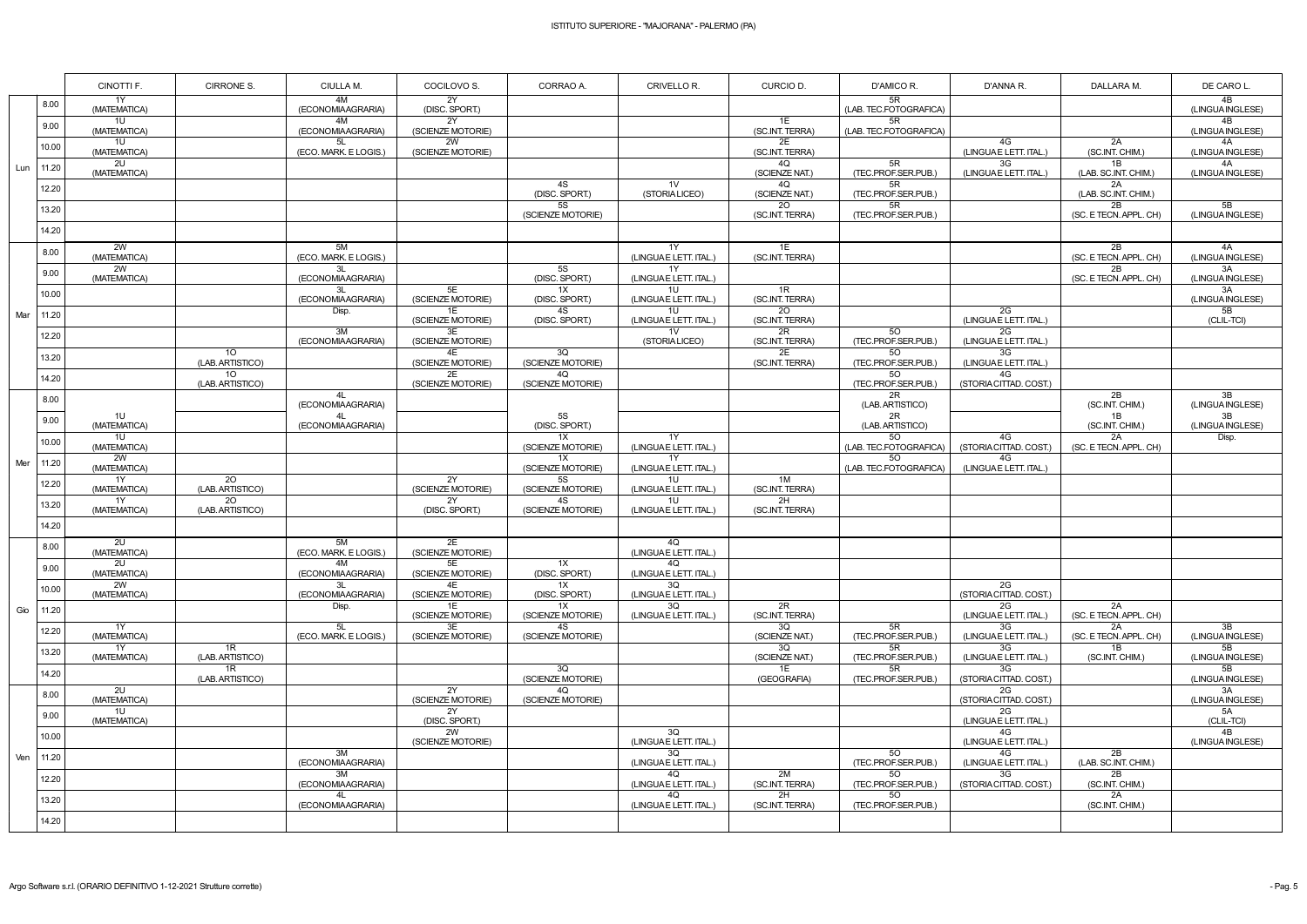|     |       | CINOTTI F.               | CIRRONE S.                          | CIULLA M.                         | COCILOVO S.                   | CORRAO A.                            | CRIVELLO R.                               | CURCIO D.             | D'AMICO R.                   | D'ANNA R.                    | DALLARA M.                   | DE CARO L.             |
|-----|-------|--------------------------|-------------------------------------|-----------------------------------|-------------------------------|--------------------------------------|-------------------------------------------|-----------------------|------------------------------|------------------------------|------------------------------|------------------------|
|     | 8.00  | 1Y<br>(MATEMATICA)       |                                     | 4M<br>(ECONOMIAAGRARIA)           | 2Y<br>(DISC. SPORT.)          |                                      |                                           |                       | 5R<br>(LAB. TEC.FOTOGRAFICA) |                              |                              | 4B<br>(LINGUA INGLESE) |
|     | 9.00  | 1U<br>(MATEMATICA)       |                                     | 4M<br>(ECONOMIAAGRARIA)           | 2Y<br>(SCIENZE MOTORIE)       |                                      |                                           | 1E<br>(SC.INT. TERRA) | 5R<br>(LAB. TEC.FOTOGRAFICA) |                              |                              | 4B<br>(LINGUA INGLESE) |
|     | 10.00 | 1U<br>(MATEMATICA)       |                                     | 5L<br>(ECO. MARK. E LOGIS.)       | 2W<br>(SCIENZE MOTORIE)       |                                      |                                           | 2E<br>(SC.INT. TERRA) |                              | 4G<br>(LINGUAE LETT. ITAL.)  | 2A<br>(SC.INT. CHIM.)        | 4A<br>(LINGUA INGLESE) |
| Lun | 11.20 | 2U<br>(MATEMATICA)       |                                     |                                   |                               |                                      |                                           | 4Q<br>(SCIENZE NAT.)  | 5R<br>(TEC.PROF.SER.PUB.)    | 3G<br>(LINGUAE LETT. ITAL.)  | 1B<br>(LAB. SC.INT. CHIM.)   | 4A<br>(LINGUA INGLESE) |
|     | 12.20 |                          |                                     |                                   |                               | 4S<br>(DISC. SPORT.)                 | 1 <sup>V</sup><br>(STORIALICEO)           | 4Q<br>(SCIENZE NAT.)  | 5R<br>(TEC.PROF.SER.PUB.)    |                              | 2A<br>(LAB. SC.INT. CHIM.)   |                        |
|     | 13.20 |                          |                                     |                                   |                               | 5S<br>(SCIENZE MOTORIE)              |                                           | 20<br>(SC.INT. TERRA) | 5R<br>(TEC.PROF.SER.PUB.)    |                              | 2B<br>(SC. E TECN. APPL. CH) | 5B<br>(LINGUA INGLESE) |
|     | 14.20 |                          |                                     |                                   |                               |                                      |                                           |                       |                              |                              |                              |                        |
|     | 8.00  | 2W<br>(MATEMATICA)       |                                     | 5M<br>(ECO. MARK. E LOGIS.)       |                               |                                      | 1Y<br>(LINGUAE LETT. ITAL.)               | 1E<br>(SC.INT. TERRA) |                              |                              | 2B<br>(SC. E TECN. APPL. CH) | 4A<br>(LINGUA INGLESE) |
|     | 9.00  | 2W<br>(MATEMATICA)       |                                     | 3L<br>(ECONOMIAAGRARIA)           |                               | 5S<br>(DISC. SPORT.)                 | 1Y<br>(LINGUAE LETT. ITAL.)               |                       |                              |                              | 2B<br>(SC. E TECN. APPL. CH) | 3A<br>(LINGUA INGLESE) |
|     | 10.00 |                          |                                     | 3L<br>(ECONOMIAAGRARIA)           | 5E<br>(SCIENZE MOTORIE)       | 1X<br>(DISC. SPORT.)                 | 1U<br>(LINGUAE LETT. ITAL.)               | 1R<br>(SC.INT. TERRA) |                              |                              |                              | 3A<br>(LINGUA INGLESE) |
| Mar | 11.20 |                          |                                     | Disp.                             | 1E<br>(SCIENZE MOTORIE)       | 4S<br>(DISC. SPORT.)                 | 10 <sup>1</sup><br>(LINGUA E LETT. ITAL.) | 20<br>(SC.INT. TERRA) |                              | 2G<br>(LINGUAE LETT. ITAL.)  |                              | 5B<br>(CLIL-TCI)       |
|     | 12.20 |                          |                                     | 3M<br>(ECONOMIAAGRARIA)           | 3E<br>(SCIENZE MOTORIE)       |                                      | 1 <sub>V</sub><br>(STORIALICEO)           | 2R<br>(SC.INT. TERRA) | 50<br>(TEC.PROF.SER.PUB.)    | 2G<br>(LINGUAE LETT. ITAL.)  |                              |                        |
|     | 13.20 |                          | 10 <sup>°</sup><br>(LAB. ARTISTICO) |                                   | 4E<br>(SCIENZE MOTORIE)       | 3Q<br>(SCIENZE MOTORIE)              |                                           | 2E<br>(SC.INT. TERRA) | 50<br>(TEC.PROF.SER.PUB.)    | 3G<br>(LINGUAE LETT. ITAL.)  |                              |                        |
|     | 14.20 |                          | 10 <sup>°</sup><br>(LAB. ARTISTICO) |                                   | 2E<br>(SCIENZE MOTORIE)       | 4Q<br>(SCIENZE MOTORIE)              |                                           |                       | 50<br>(TEC.PROF.SER.PUB.)    | 4G<br>(STORIA CITTAD. COST.) |                              |                        |
|     | 8.00  |                          |                                     | 4L<br>(ECONOMIAAGRARIA)           |                               |                                      |                                           |                       | 2R<br>(LAB. ARTISTICO)       |                              | 2B<br>(SC.INT. CHIM.)        | 3B<br>(LINGUA INGLESE) |
|     | 9.00  | 1U<br>(MATEMATICA)       |                                     | 4L<br>(ECONOMIAAGRARIA)           |                               | 5S<br>(DISC. SPORT.)                 |                                           |                       | 2R<br>(LAB. ARTISTICO)       |                              | 1B<br>(SC.INT. CHIM.)        | 3B<br>(LINGUA INGLESE) |
|     | 10.00 | 1U<br>(MATEMATICA)       |                                     |                                   |                               | 1X<br>(SCIENZE MOTORIE)              | 1Y<br>(LINGUAE LETT. ITAL.)               |                       | 50<br>(LAB. TEC.FOTOGRAFICA) | 4G<br>(STORIA CITTAD. COST.) | 2A<br>(SC. E TECN. APPL. CH) | Disp.                  |
| Mer | 11.20 | 2W<br>(MATEMATICA)       |                                     |                                   |                               | 1X<br>(SCIENZE MOTORIE)              | 1Y<br>(LINGUAE LETT. ITAL.)               |                       | 50<br>(LAB. TEC.FOTOGRAFICA) | 4G<br>(LINGUAE LETT. ITAL.)  |                              |                        |
|     | 12.20 | 1Y<br>(MATEMATICA)<br>1Y | 20<br>(LAB. ARTISTICO)<br>20        |                                   | 2Y<br>(SCIENZE MOTORIE)       | <b>5S</b><br>(SCIENZE MOTORIE)<br>4S | 1U<br>(LINGUAE LETT. ITAL.)               | 1M<br>(SC.INT. TERRA) |                              |                              |                              |                        |
|     | 13.20 | (MATEMATICA)             | (LAB. ARTISTICO)                    |                                   | <b>2Y</b><br>(DISC. SPORT.)   | (SCIENZE MOTORIE)                    | 1U<br>(LINGUAE LETT. ITAL.)               | 2H<br>(SC.INT. TERRA) |                              |                              |                              |                        |
|     | 14.20 |                          |                                     |                                   |                               |                                      |                                           |                       |                              |                              |                              |                        |
|     | 8.00  | 2U<br>(MATEMATICA)<br>2U |                                     | 5M<br>(ECO. MARK. E LOGIS.)<br>4M | 2E<br>(SCIENZE MOTORIE)<br>5E |                                      | 4Q<br>(LINGUAE LETT. ITAL.)<br>4Q         |                       |                              |                              |                              |                        |
|     | 9.00  | (MATEMATICA)<br>2W       |                                     | (ECONOMIAAGRARIA)<br>3L           | (SCIENZE MOTORIE)<br>4E       | 1X<br>(DISC. SPORT.)<br>1X           | (LINGUAE LETT. ITAL.)<br>3Q               |                       |                              | $\overline{2G}$              |                              |                        |
|     | 10.00 | (MATEMATICA)             |                                     | (ECONOMIAAGRARIA)                 | (SCIENZE MOTORIE)<br>1E       | (DISC. SPORT.)<br>1X                 | (LINGUAE LETT. ITAL.)<br>3Q               | 2R                    |                              | (STORIA CITTAD. COST.)<br>2G | 2A                           |                        |
| Gio | 11.20 | 1Y                       |                                     | Disp.<br>5L                       | (SCIENZE MOTORIE)<br>3E       | (SCIENZE MOTORIE)<br>4S              | (LINGUAE LETT. ITAL.)                     | (SC.INT. TERRA)<br>3Q | 5R                           | (LINGUAE LETT. ITAL.)<br>3G  | (SC. E TECN. APPL. CH)<br>2A | 3B                     |
|     | 12.20 | (MATEMATICA)<br>1Y       | 1R                                  | (ECO. MARK. E LOGIS.)             | (SCIENZE MOTORIE)             | (SCIENZE MOTORIE)                    |                                           | (SCIENZE NAT.)<br>3Q  | (TEC.PROF.SER.PUB.)<br>5R    | (LINGUAE LETT. ITAL.)<br>3G  | (SC. E TECN. APPL. CH)<br>1B | (LINGUA INGLESE)<br>5B |
|     | 13.20 | (MATEMATICA)             | (LAB. ARTISTICO)<br>1R              |                                   |                               | 3Q                                   |                                           | (SCIENZE NAT.)<br>1E  | (TEC.PROF.SER.PUB.)<br>5R    | (LINGUAE LETT. ITAL.)<br>3G  | (SC.INT. CHIM.)              | (LINGUA INGLESE)<br>5B |
|     | 14.20 | 2U                       | (LAB. ARTISTICO)                    |                                   | 2Y                            | (SCIENZE MOTORIE)<br>4Q              |                                           | (GEOGRAFIA)           | (TEC.PROF.SER.PUB.)          | (STORIA CITTAD. COST.)<br>2G |                              | (LINGUA INGLESE)<br>3A |
|     | 8.00  | (MATEMATICA)<br>1U       |                                     |                                   | (SCIENZE MOTORIE)<br>2Y       | (SCIENZE MOTORIE)                    |                                           |                       |                              | (STORIA CITTAD. COST.)<br>2G |                              | (LINGUA INGLESE)<br>5A |
|     | 9.00  | (MATEMATICA)             |                                     |                                   | (DISC. SPORT.)<br>2W          |                                      | 3Q                                        |                       |                              | (LINGUAE LETT. ITAL.)<br>4G  |                              | (CLIL-TCI)<br>4B       |
|     | 10.00 |                          |                                     | 3M                                | (SCIENZE MOTORIE)             |                                      | (LINGUAE LETT. ITAL.)<br>3Q               |                       | 50                           | (LINGUAE LETT. ITAL.)<br>4G  | 2B                           | (LINGUA INGLESE)       |
| Ven | 11.20 |                          |                                     | (ECONOMIAAGRARIA)<br>3M           |                               |                                      | (LINGUAE LETT. ITAL.)<br>4Q               | 2M                    | (TEC.PROF.SER.PUB.)<br>50    | (LINGUAE LETT. ITAL.)<br>3G  | (LAB. SC.INT. CHIM.)<br>2B   |                        |
|     | 12.20 |                          |                                     | (ECONOMIAAGRARIA)<br>4L           |                               |                                      | (LINGUAE LETT. ITAL.)<br>4Q               | (SC.INT. TERRA)<br>2H | (TEC.PROF.SER.PUB.)<br>50    | (STORIA CITTAD. COST.)       | (SC.INT. CHIM.)<br>2A        |                        |
|     | 13.20 |                          |                                     | (ECONOMIAAGRARIA)                 |                               |                                      | (LINGUAE LETT. ITAL.)                     | (SC.INT. TERRA)       | (TEC.PROF.SER.PUB.)          |                              | (SC.INT. CHIM.)              |                        |
|     | 14.20 |                          |                                     |                                   |                               |                                      |                                           |                       |                              |                              |                              |                        |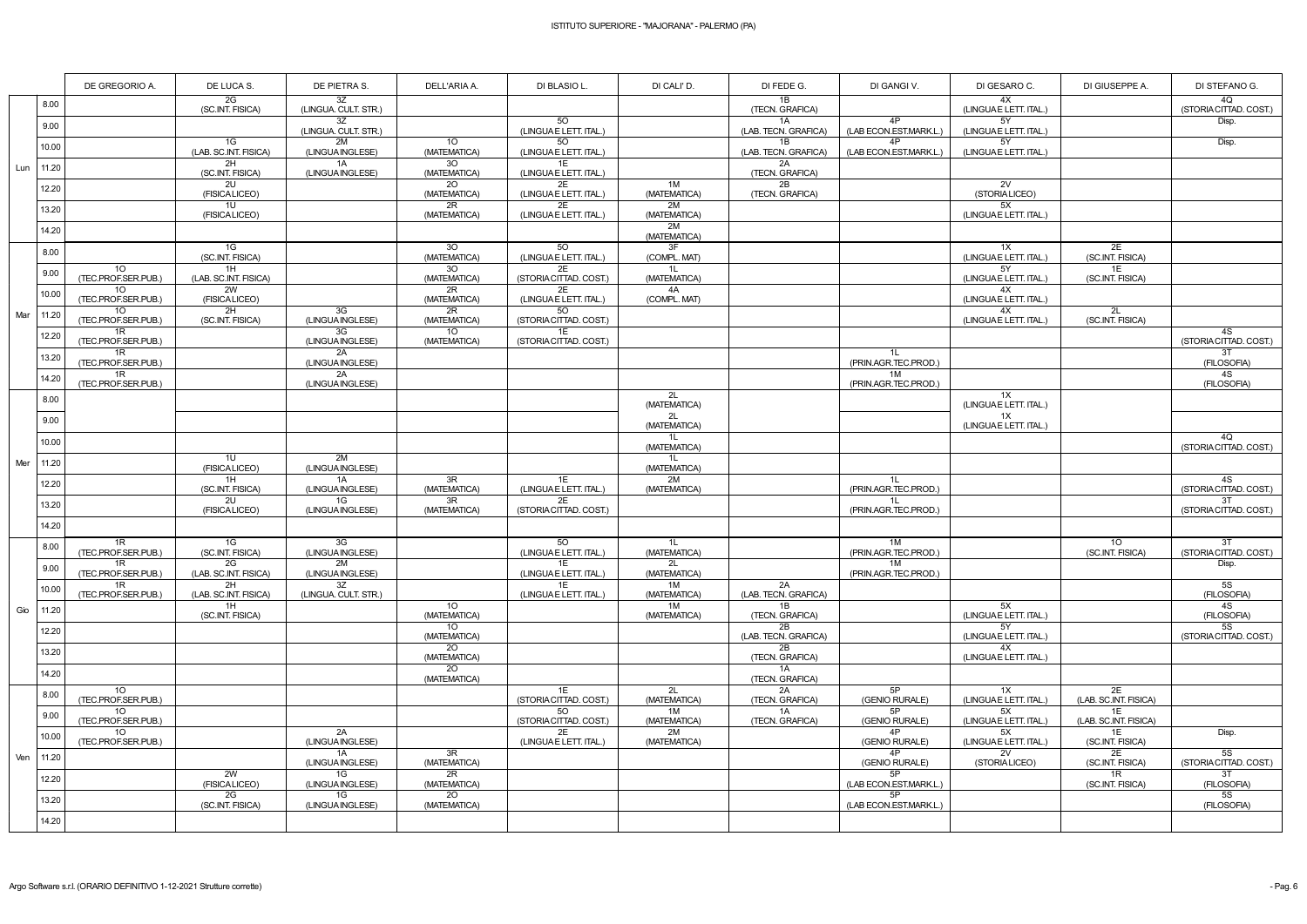|     |             | DE GREGORIO A.                         | DE LUCA S.                  | DE PIETRA S.               | DELL'ARIA A.                    | DI BLASIO L.                       | DI CALI' D.        | DI FEDE G.                 | DI GANGI V.                  | DI GESARO C.                | DI GIUSEPPE A.                      | DI STEFANO G.            |
|-----|-------------|----------------------------------------|-----------------------------|----------------------------|---------------------------------|------------------------------------|--------------------|----------------------------|------------------------------|-----------------------------|-------------------------------------|--------------------------|
|     | 8.00        |                                        | 2G<br>(SC.INT. FISICA)      | 3Z<br>(LINGUA. CULT. STR.) |                                 |                                    |                    | 1B<br>(TECN. GRAFICA)      |                              | 4X<br>(LINGUAE LETT. ITAL.) |                                     | 4Q<br>(STORIA CITTAD. CO |
|     | 9.00        |                                        |                             | 3Z<br>(LINGUA. CULT. STR.) |                                 | 50<br>(LINGUAE LETT. ITAL.)        |                    | 1A<br>(LAB. TECN. GRAFICA) | 4P<br>(LAB ECON.EST.MARK.L.) | 5Y<br>(LINGUAE LETT. ITAL.) |                                     | Disp.                    |
|     | 10.00       |                                        | 1G<br>(LAB. SC.INT. FISICA) | 2M<br>(LINGUA INGLESE)     | 10 <sub>1</sub><br>(MATEMATICA) | 50<br>(LINGUAE LETT. ITAL.)        |                    | 1B<br>(LAB. TECN. GRAFICA) | 4P<br>(LAB ECON.EST.MARK.L.) | 5Y<br>(LINGUAE LETT. ITAL.) |                                     | Disp.                    |
|     | Lun   11.20 |                                        | 2H<br>(SC.INT. FISICA)      | 1A<br>(LINGUA INGLESE)     | 30<br>(MATEMATICA)              | 1E<br>(LINGUAE LETT. ITAL.)        |                    | 2A<br>(TECN. GRAFICA)      |                              |                             |                                     |                          |
|     | 12.20       |                                        | 2U<br>(FISICALICEO)         |                            | 20<br>(MATEMATICA)              | 2E<br>(LINGUAE LETT. ITAL.)        | 1M<br>(MATEMATICA) | 2B<br>(TECN. GRAFICA)      |                              | 2V<br>(STORIALICEO)         |                                     |                          |
|     | 13.20       |                                        | 10<br>(FISICALICEO)         |                            | 2R<br>(MATEMATICA)              | 2E<br>(LINGUAE LETT. ITAL.)        | 2M<br>(MATEMATICA) |                            |                              | 5X<br>(LINGUAE LETT. ITAL.) |                                     |                          |
|     | 14.20       |                                        |                             |                            |                                 |                                    | 2M<br>(MATEMATICA) |                            |                              |                             |                                     |                          |
|     | 8.00        |                                        | 1G<br>(SC.INT. FISICA)      |                            | 30<br>(MATEMATICA)              | <b>50</b><br>(LINGUAE LETT. ITAL.) | 3F<br>(COMPL. MAT) |                            |                              | 1X<br>(LINGUAE LETT. ITAL.) | 2E<br>(SC.INT. FISICA)              |                          |
|     | 9.00        | 10 <sup>°</sup><br>(TEC.PROF.SER.PUB.) | 1H                          |                            | 30                              | 2E                                 | 1L                 |                            |                              | 5Y                          | 1E                                  |                          |
|     | 10.00       | 10 <sup>°</sup>                        | (LAB. SC.INT. FISICA)<br>2W |                            | (MATEMATICA)<br>2R              | (STORIA CITTAD. COST.)<br>2E       | (MATEMATICA)<br>4A |                            |                              | (LINGUAE LETT. ITAL.)<br>4X | (SC.INT. FISICA)                    |                          |
| Mar | 11.20       | (TEC.PROF.SER.PUB.)<br>10              | (FISICALICEO)<br>2H         | 3G                         | (MATEMATICA)<br>2R              | (LINGUAE LETT. ITAL.)<br>50        | (COMPL. MAT)       |                            |                              | (LINGUAE LETT. ITAL.)<br>4X | 2L                                  |                          |
|     | 12.20       | (TEC.PROF.SER.PUB.)<br>1R              | (SC.INT. FISICA)            | (LINGUA INGLESE)<br>3G     | (MATEMATICA)<br>10 <sup>°</sup> | (STORIA CITTAD. COST.)<br>1E       |                    |                            |                              | (LINGUAE LETT. ITAL.)       | (SC.INT. FISICA)                    | 4S                       |
|     | 13.20       | (TEC.PROF.SER.PUB.)<br>1R              |                             | (LINGUA INGLESE)<br>2A     | (MATEMATICA)                    | (STORIA CITTAD. COST.)             |                    |                            | 1L                           |                             |                                     | (STORIA CITTAD. CO<br>3T |
|     | 14.20       | (TEC.PROF.SER.PUB.)<br>1R              |                             | (LINGUA INGLESE)<br>2A     |                                 |                                    |                    |                            | (PRIN.AGR.TEC.PROD.)<br>1M   |                             |                                     | (FILOSOFIA)<br>4S        |
|     | 8.00        | (TEC.PROF.SER.PUB.)                    |                             | (LINGUA INGLESE)           |                                 |                                    | 2L                 |                            | (PRIN.AGR.TEC.PROD.)         | $\overline{1}$              |                                     | (FILOSOFIA)              |
|     |             |                                        |                             |                            |                                 |                                    | (MATEMATICA)<br>2L |                            |                              | (LINGUAE LETT. ITAL.)<br>1X |                                     |                          |
|     | 9.00        |                                        |                             |                            |                                 |                                    | (MATEMATICA)<br>1L |                            |                              | (LINGUAE LETT. ITAL.)       |                                     | 4Q                       |
|     | 10.00       |                                        | 1U                          | 2M                         |                                 |                                    | (MATEMATICA)<br>1L |                            |                              |                             |                                     | (STORIA CITTAD. CO       |
| Mer | 11.20       |                                        | (FISICALICEO)<br>1H         | (LINGUA INGLESE)<br>1A     | 3R                              | 1E                                 | (MATEMATICA)<br>2M |                            | 1L                           |                             |                                     | 4S                       |
|     | 12.20       |                                        | (SC.INT. FISICA)<br>2U      | (LINGUA INGLESE)<br>1G     | (MATEMATICA)<br>$\overline{3R}$ | (LINGUAE LETT. ITAL.)<br>2E        | (MATEMATICA)       |                            | (PRIN.AGR.TEC.PROD.)<br>1L   |                             |                                     | (STORIA CITTAD. CO<br>3T |
|     | 13.20       |                                        | (FISICALICEO)               | (LINGUA INGLESE)           | (MATEMATICA)                    | (STORIA CITTAD. COST.)             |                    |                            | (PRIN.AGR.TEC.PROD.)         |                             |                                     | (STORIA CITTAD. CO       |
|     | 14.20       |                                        |                             |                            |                                 |                                    |                    |                            |                              |                             |                                     |                          |
|     | 8.00        | 1R<br>(TEC.PROF.SER.PUB.)              | 1G<br>(SC.INT. FISICA)      | 3G<br>(LINGUA INGLESE)     |                                 | 5O<br>(LINGUAE LETT. ITAL.)        | 1L<br>(MATEMATICA) |                            | 1M<br>(PRIN.AGR.TEC.PROD.)   |                             | 10 <sup>°</sup><br>(SC.INT. FISICA) | 3T<br>(STORIA CITTAD. CO |
|     | 9.00        | 1R<br>(TEC.PROF.SER.PUB.)              | 2G<br>(LAB. SC.INT. FISICA) | 2M<br>(LINGUA INGLESE)     |                                 | 1E<br>(LINGUAE LETT. ITAL.)        | 2L<br>(MATEMATICA) |                            | 1M<br>(PRIN.AGR.TEC.PROD.)   |                             |                                     | Disp.                    |
|     | 10.00       | 1R<br>(TEC.PROF.SER.PUB.)              | 2H<br>(LAB. SC.INT. FISICA) | 3Z<br>(LINGUA. CULT. STR.) |                                 | 1E<br>(LINGUAE LETT. ITAL.)        | 1M<br>(MATEMATICA) | 2A<br>(LAB. TECN. GRAFICA) |                              |                             |                                     | <b>5S</b><br>(FILOSOFIA) |
| Gio | 11.20       |                                        | 1H<br>(SC.INT. FISICA)      |                            | 10 <sup>°</sup><br>(MATEMATICA) |                                    | 1M<br>(MATEMATICA) | 1B<br>(TECN. GRAFICA)      |                              | 5X<br>(LINGUAE LETT. ITAL.) |                                     | 4S<br>(FILOSOFIA)        |
|     | 12.20       |                                        |                             |                            | 10 <sup>°</sup><br>(MATEMATICA) |                                    |                    | 2B<br>(LAB. TECN. GRAFICA) |                              | 5Y<br>(LINGUAE LETT. ITAL.) |                                     | 5S<br>(STORIA CITTAD. CO |
|     | 13.20       |                                        |                             |                            | 20<br>(MATEMATICA)              |                                    |                    | 2B<br>(TECN. GRAFICA)      |                              | 4X<br>(LINGUAE LETT. ITAL.) |                                     |                          |
|     | 14.20       |                                        |                             |                            | 20<br>(MATEMATICA)              |                                    |                    | 1A<br>(TECN. GRAFICA)      |                              |                             |                                     |                          |
|     | 8.00        | 10 <sup>°</sup><br>(TEC.PROF.SER.PUB.) |                             |                            |                                 | 1E<br>(STORIA CITTAD. COST.)       | 2L<br>(MATEMATICA) | 2A<br>(TECN. GRAFICA)      | 5P<br>(GENIO RURALE)         | 1X<br>(LINGUAE LETT. ITAL.) | 2E<br>(LAB. SC.INT. FISICA)         |                          |
|     | 9.00        | 10<br>(TEC.PROF.SER.PUB.)              |                             |                            |                                 | 5O<br>(STORIA CITTAD. COST.)       | 1M<br>(MATEMATICA) | 1A<br>(TECN. GRAFICA)      | 5P<br>(GENIO RURALE)         | 5X<br>(LINGUAE LETT. ITAL.) | 1E<br>(LAB. SC.INT. FISICA)         |                          |
|     | 10.00       | 10<br>(TEC.PROF.SER.PUB.)              |                             | 2A<br>(LINGUA INGLESE)     |                                 | 2E<br>(LINGUAE LETT. ITAL.)        | 2M<br>(MATEMATICA) |                            | 4P<br>(GENIO RURALE)         | 5X<br>(LINGUAE LETT. ITAL.) | 1E<br>(SC.INT. FISICA)              | Disp.                    |
| Ven | 11.20       |                                        |                             | 1A<br>(LINGUA INGLESE)     | 3R<br>(MATEMATICA)              |                                    |                    |                            | 4P<br>(GENIO RURALE)         | 2V<br>(STORIALICEO)         | 2E<br>(SC.INT. FISICA)              | 5S<br>(STORIA CITTAD. CO |
|     | 12.20       |                                        | 2W<br>(FISICALICEO)         | 1G<br>(LINGUA INGLESE)     | 2R<br>(MATEMATICA)              |                                    |                    |                            | 5P<br>(LAB ECON.EST.MARK.L.) |                             | 1R<br>(SC.INT. FISICA)              | 3T<br>(FILOSOFIA)        |
|     | 13.20       |                                        | 2G<br>(SC.INT. FISICA)      | 1G<br>(LINGUA INGLESE)     | 20<br>(MATEMATICA)              |                                    |                    |                            | 5P<br>(LAB ECON.EST.MARK.L.) |                             |                                     | <b>5S</b><br>(FILOSOFIA) |
|     | 14.20       |                                        |                             |                            |                                 |                                    |                    |                            |                              |                             |                                     |                          |
|     |             |                                        |                             |                            |                                 |                                    |                    |                            |                              |                             |                                     |                          |

| DI GESARO C.                 | DI GIUSEPPE A.              | DI STEFANO G.                |
|------------------------------|-----------------------------|------------------------------|
| 4X<br>(LINGUAE LETT. ITAL.)  |                             | 4Q<br>(STORIA CITTAD. COST.) |
| 5Y                           |                             | Disp.                        |
| (LINGUA E LETT. ITAL.)<br>5Y |                             | Disp.                        |
| (LINGUAE LETT. ITAL.)        |                             |                              |
| 2V                           |                             |                              |
| (STORIALICEO)                |                             |                              |
| 5X<br>(LINGUAE LETT. ITAL.)  |                             |                              |
|                              |                             |                              |
| 1X<br>(LINGUA E LETT. ITAL.) | 2E<br>(SC.INT. FISICA)      |                              |
| 5Y<br>(LINGUAE LETT. ITAL.)  | 1E<br>(SC.INT. FISICA)      |                              |
| 4Х                           |                             |                              |
| (LINGUA E LETT. ITAL.)<br>4X | 2L                          |                              |
| (LINGUA E LETT. ITAL.)       | (SC.INT. FISICA)            | 4S                           |
|                              |                             | (STORIA CITTAD. COST.)       |
|                              |                             | 3T<br>(FILOSOFIA)            |
|                              |                             | 4S<br>(FILOSOFIA)            |
| 1X<br>(LINGUAE LETT. ITAL.)  |                             |                              |
| 1X                           |                             |                              |
| (LINGUAE LETT. ITAL.)        |                             | 4Q                           |
|                              |                             | (STORIA CITTAD. COST.)       |
|                              |                             | 4S                           |
|                              |                             | (STORIA CITTAD. COST.)       |
|                              |                             | 3T<br>(STORIA CITTAD, COST.) |
|                              |                             |                              |
|                              | 10<br>(SC.INT. FISICA)      | 3T<br>(STORIA CITTAD. COST.) |
|                              |                             | Disp.                        |
|                              |                             | 5S                           |
| 5Χ                           |                             | (FILOSOFIA)<br>4S            |
| (LINGUAE LETT. ITAL.)<br>5Υ  |                             | (FILOSOFIA)<br>5S            |
| (LINGUAE LETT. ITAL.)        |                             | (STORIA CITTAD, COST.)       |
| 4X<br>(LINGUAE LETT. ITAL.)  |                             |                              |
|                              |                             |                              |
| 1X<br>(LINGUAE LETT. ITAL.)  | 2E<br>(LAB. SC.INT. FISICA) |                              |
| 5Χ                           | 1E                          |                              |
| (LINGUA E LETT. ITAL.)<br>5Χ | (LAB. SC.INT. FISICA)<br>1E | Disp.                        |
| (LINGUAE LETT. ITAL.)<br>2V  | (SC.INT. FISICA)<br>2Е      | 5S                           |
| (STORIALICEO)                | (SC.INT. FISICA)<br>1R      | (STORIA CITTAD. COST.)<br>3T |
|                              | (SC.INT. FISICA)            | (FILOSOFIA)                  |
|                              |                             | 5S<br>(FILOSOFIA)            |
|                              |                             |                              |
|                              |                             |                              |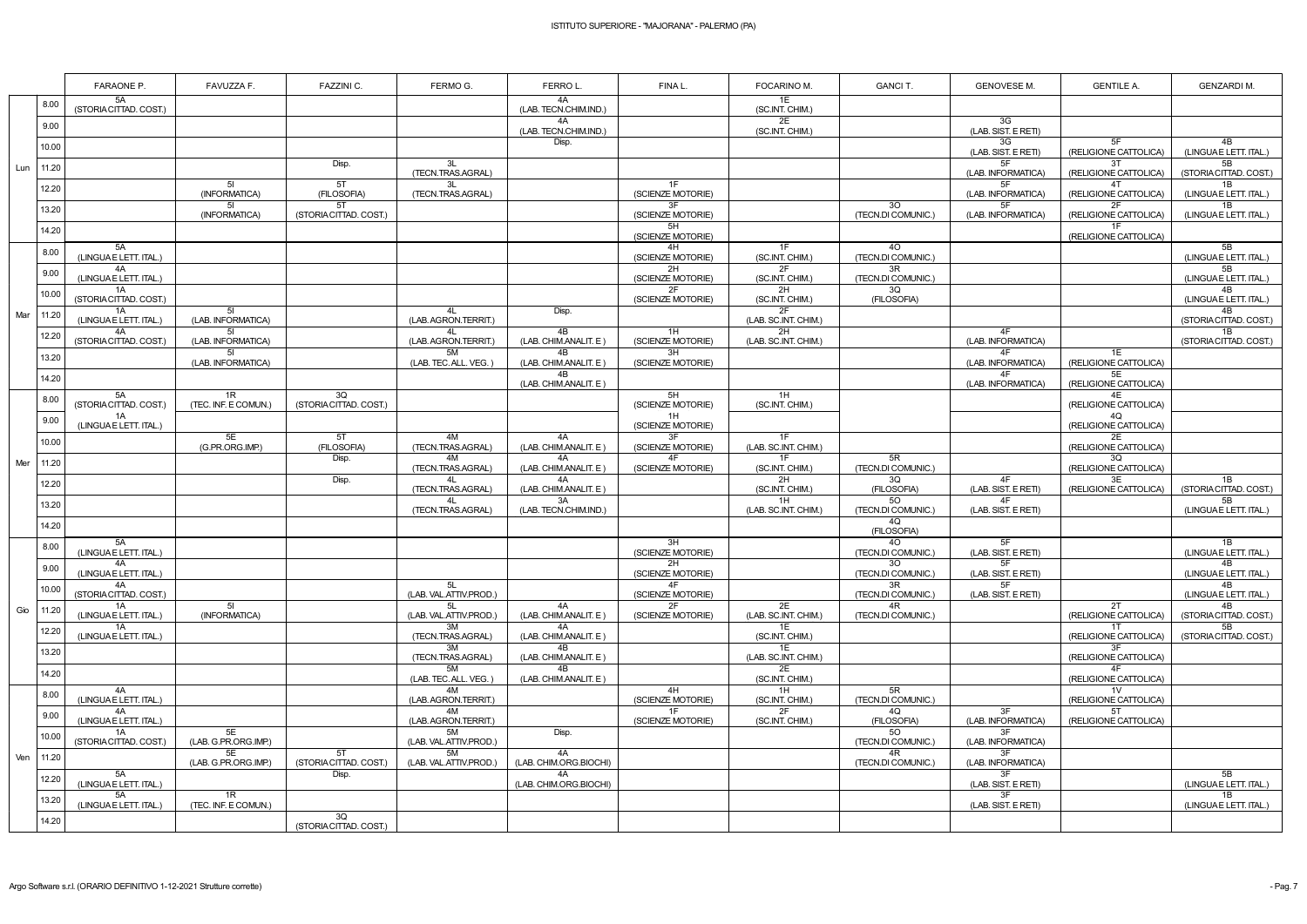|     |               | FARAONE P.                   | FAVUZZA F.                 | FAZZINI C.                   | FERMO G.                     | FERROL.                      | FINA L.                 | FOCARINO M.                | <b>GANCIT.</b>                        | <b>GENOVESE M.</b>        | <b>GENTILE A.</b>           | <b>GENZARDIM.</b>            |
|-----|---------------|------------------------------|----------------------------|------------------------------|------------------------------|------------------------------|-------------------------|----------------------------|---------------------------------------|---------------------------|-----------------------------|------------------------------|
|     | 8.00          | 5A<br>(STORIA CITTAD. COST.) |                            |                              |                              | 4A<br>(LAB. TECN.CHIM.IND.)  |                         | 1E<br>(SC.INT. CHIM.)      |                                       |                           |                             |                              |
|     | 9.00          |                              |                            |                              |                              | 4A<br>(LAB. TECN.CHIM.IND.)  |                         | 2E<br>(SC.INT. CHIM.)      |                                       | 3G<br>(LAB. SIST. E RETI) |                             |                              |
|     | 10.00         |                              |                            |                              |                              | Disp.                        |                         |                            |                                       | 3G<br>(LAB. SIST. E RETI) | 5F<br>(RELIGIONE CATTOLICA) | 4B<br>(LINGUA E LETT. ITAL.) |
| Lun | 11.20         |                              |                            | Disp.                        | 3L<br>(TECN.TRAS.AGRAL)      |                              |                         |                            |                                       | 5F<br>(LAB. INFORMATICA)  | 3T<br>(RELIGIONE CATTOLICA) | 5B<br>(STORIA CITTAD. COST.) |
|     | 12.20         |                              | -51<br>(INFORMATICA)       | 5T<br>(FILOSOFIA)            | 3L<br>(TECN.TRAS.AGRAL)      |                              | 1F<br>(SCIENZE MOTORIE) |                            |                                       | (LAB. INFORMATICA)        | 4T<br>(RELIGIONE CATTOLICA  | 1B<br>(LINGUAE LETT. ITAL.)  |
|     | 13.20         |                              | 5I<br>(INFORMATICA)        | 5T<br>(STORIA CITTAD. COST.) |                              |                              | 3F<br>(SCIENZE MOTORIE) |                            | 30<br>(TECN.DI COMUNIC.)              | 5F<br>(LAB. INFORMATICA)  | 2F<br>(RELIGIONE CATTOLICA) | 1B<br>(LINGUA E LETT. ITAL.) |
|     | 14.20         |                              |                            |                              |                              |                              | 5H<br>(SCIENZE MOTORIE) |                            |                                       |                           | (RELIGIONE CATTOLICA)       |                              |
|     | 8.00          | 5A<br>(LINGUAE LETT. ITAL.)  |                            |                              |                              |                              | 4H<br>(SCIENZE MOTORIE) | 1F<br>(SC.INT. CHIM.)      | 4O<br>(TECN.DI COMUNIC.)              |                           |                             | 5B<br>(LINGUAE LETT. ITAL.)  |
|     | 9.00          | 4A<br>(LINGUAE LETT. ITAL.)  |                            |                              |                              |                              | 2H<br>(SCIENZE MOTORIE) | 2F<br>(SC.INT. CHIM.)      | 3R<br>(TECN.DI COMUNIC.)              |                           |                             | 5B<br>(LINGUAE LETT. ITAL.)  |
|     | 10.00         | 1A<br>(STORIA CITTAD. COST.) |                            |                              |                              |                              | 2F<br>(SCIENZE MOTORIE) | 2H<br>(SC.INT. CHIM.)      | 3Q<br>(FILOSOFIA)                     |                           |                             | 4B<br>(LINGUAE LETT. ITAL.)  |
| Mar | 11.20         | 1A<br>(LINGUAE LETT. ITAL.)  | -51<br>(LAB. INFORMATICA)  |                              | 4L<br>(LAB. AGRON.TERRIT.)   | Disp.                        |                         | 2F<br>(LAB. SC.INT. CHIM.) |                                       |                           |                             | 4B<br>(STORIA CITTAD. COST.) |
|     | 12.20         | 4A<br>(STORIA CITTAD. COST.) | 51<br>(LAB. INFORMATICA)   |                              | 4L<br>(LAB. AGRON.TERRIT.)   | 4B<br>(LAB. CHIM.ANALIT. E)  | 1H<br>(SCIENZE MOTORIE) | 2H<br>(LAB. SC.INT. CHIM.) |                                       | 4F<br>(LAB. INFORMATICA)  |                             | 1B<br>(STORIA CITTAD. COST.) |
|     | 13.20         |                              | -51<br>(LAB. INFORMATICA)  |                              | 5M<br>(LAB. TEC. ALL. VEG.   | 4B<br>(LAB. CHIM.ANALIT. E)  | 3H<br>(SCIENZE MOTORIE) |                            |                                       | 4F<br>(LAB. INFORMATICA)  | 1E<br>(RELIGIONE CATTOLICA) |                              |
|     | 14.20         |                              |                            |                              |                              | 4B<br>(LAB. CHIM.ANALIT. E)  |                         |                            |                                       | 4F<br>(LAB. INFORMATICA)  | 5E<br>(RELIGIONE CATTOLICA) |                              |
|     | 8.00          | 5A<br>(STORIA CITTAD. COST.) | 1R<br>(TEC. INF. E COMUN.) | 3Q<br>(STORIA CITTAD. COST.) |                              |                              | 5H<br>(SCIENZE MOTORIE) | 1H<br>(SC.INT. CHIM.)      |                                       |                           | 4E<br>(RELIGIONE CATTOLICA) |                              |
|     | 9.00          | 1A<br>(LINGUAE LETT. ITAL.)  |                            |                              |                              |                              | 1H<br>(SCIENZE MOTORIE) |                            |                                       |                           | 4Q<br>(RELIGIONE CATTOLICA) |                              |
|     | 10.00         |                              | 5E<br>(G.PR.ORG.IMP.)      | 5T<br>(FILOSOFIA)            | 4M<br>(TECN.TRAS.AGRAL)      | 4A<br>(LAB. CHIM.ANALIT. E)  | 3F<br>(SCIENZE MOTORIE) | 1F<br>(LAB. SC.INT. CHIM.) |                                       |                           | 2E<br>(RELIGIONE CATTOLICA) |                              |
| Mer | 11.20         |                              |                            | Disp.                        | 4M<br>(TECN.TRAS.AGRAL)      | 4A<br>(LAB. CHIM.ANALIT. E)  | 4F<br>(SCIENZE MOTORIE) | 1F<br>(SC.INT. CHIM.)      | 5R<br>(TECN.DI COMUNIC.)              |                           | 3Q<br>(RELIGIONE CATTOLICA) |                              |
|     | 12.20         |                              |                            | Disp.                        | 4L<br>(TECN.TRAS.AGRAL)      | 4A<br>(LAB. CHIM.ANALIT. E)  |                         | 2H<br>(SC.INT. CHIM.)      | 3Q<br>(FILOSOFIA)                     | 4F<br>(LAB. SIST. E RETI) | 3E<br>(RELIGIONE CATTOLICA) | 1B<br>(STORIA CITTAD. COST.) |
|     | 13.20         |                              |                            |                              | (TECN.TRAS.AGRAL)            | 3A<br>(LAB. TECN.CHIM.IND.)  |                         | 1H<br>(LAB. SC.INT. CHIM.) | 50<br>(TECN.DI COMUNIC.)              | 4F<br>(LAB. SIST. E RETI) |                             | 5B<br>(LINGUAE LETT. ITAL.)  |
|     | 14.20         |                              |                            |                              |                              |                              |                         |                            | 4Q<br>(FILOSOFIA)                     |                           |                             |                              |
|     | 8.00          | 5A<br>(LINGUAE LETT. ITAL.)  |                            |                              |                              |                              | 3H<br>(SCIENZE MOTORIE) |                            | 40<br>(TECN.DI COMUNIC.)              | 5F<br>(LAB. SIST. E RETI) |                             | 1B<br>(LINGUAE LETT. ITAL.)  |
|     | 9.00          | 4A<br>(LINGUAE LETT. ITAL.)  |                            |                              |                              |                              | 2H<br>(SCIENZE MOTORIE) |                            | 30 <sup>°</sup><br>(TECN.DI COMUNIC.) | 5F<br>(LAB. SIST. E RETI) |                             | 4B<br>(LINGUAE LETT. ITAL.)  |
|     | 10.00         | 4A<br>(STORIA CITTAD. COST.) |                            |                              | 5L<br>(LAB. VAL.ATTIV.PROD.) |                              | 4F<br>(SCIENZE MOTORIE) |                            | 3R<br>(TECN.DI COMUNIC.)              | 5F<br>(LAB. SIST. E RETI) |                             | 4B<br>(LINGUA E LETT. ITAL.) |
| Gio | 11.20         | 1A<br>(LINGUAE LETT. ITAL.)  | 51<br>(INFORMATICA)        |                              | 5L<br>(LAB. VAL.ATTIV.PROD.) | 4A<br>(LAB. CHIM.ANALIT. E)  | 2F<br>(SCIENZE MOTORIE) | 2E<br>(LAB. SC.INT. CHIM.) | 4R<br>(TECN.DI COMUNIC.)              |                           | 2T<br>(RELIGIONE CATTOLICA) | 4B<br>(STORIA CITTAD. COST.) |
|     | 12.20         | 1A<br>(LINGUA E LETT. ITAL.) |                            |                              | 3M<br>(TECN.TRAS.AGRAL)      | 4A<br>(LAB. CHIM.ANALIT. E)  |                         | 1E<br>(SC.INT. CHIM.)      |                                       |                           | 1T<br>(RELIGIONE CATTOLICA) | 5B<br>(STORIA CITTAD. COST.) |
|     | 13.20         |                              |                            |                              | 3M<br>(TECN.TRAS.AGRAL)      | 4B<br>(LAB. CHIM.ANALIT. E)  |                         | 1E<br>(LAB. SC.INT. CHIM.) |                                       |                           | 3F<br>(RELIGIONE CATTOLICA) |                              |
|     | 14.20         |                              |                            |                              | 5M<br>(LAB. TEC. ALL. VEG.)  | 4B<br>(LAB. CHIM.ANALIT. E)  |                         | 2E<br>(SC.INT. CHIM.)      |                                       |                           | (RELIGIONE CATTOLICA)       |                              |
|     | 8.00          | 4A<br>(LINGUAE LETT. ITAL.)  |                            |                              | 4M<br>(LAB. AGRON.TERRIT.)   |                              | 4H<br>(SCIENZE MOTORIE) | 1H<br>(SC.INT. CHIM.)      | 5R<br>(TECN.DI COMUNIC.)              |                           | 1V<br>(RELIGIONE CATTOLICA) |                              |
|     | 9.00          | 4A<br>(LINGUAE LETT. ITAL.)  |                            |                              | 4M<br>(LAB. AGRON.TERRIT.)   |                              | 1F<br>(SCIENZE MOTORIE) | 2F<br>(SC.INT. CHIM.)      | 4Q<br>(FILOSOFIA)                     | 3F<br>(LAB. INFORMATICA)  | 5T<br>(RELIGIONE CATTOLICA) |                              |
|     | 10.00         | 1A<br>(STORIA CITTAD. COST.) | 5E<br>(LAB. G.PR.ORG.IMP.) |                              | 5M<br>(LAB. VAL.ATTIV.PROD.) | Disp.                        |                         |                            | 50<br>(TECN.DI COMUNIC.)              | 3F<br>(LAB. INFORMATICA)  |                             |                              |
|     | Ven   $11.20$ |                              | 5E<br>(LAB. G.PR.ORG.IMP.) | 5T<br>(STORIA CITTAD. COST.) | 5M<br>(LAB. VAL.ATTIV.PROD.) | 4A<br>(LAB. CHIM.ORG.BIOCHI) |                         |                            | 4R<br>(TECN.DI COMUNIC.)              | 3F<br>(LAB. INFORMATICA)  |                             |                              |
|     | 12.20         | 5A<br>(LINGUAE LETT. ITAL.)  |                            | Disp.                        |                              | 4A<br>(LAB. CHIM.ORG.BIOCHI) |                         |                            |                                       | 3F<br>(LAB. SIST. E RETI) |                             | 5B<br>(LINGUA E LETT. ITAL.) |
|     | 13.20         | 5A<br>(LINGUAE LETT. ITAL.)  | 1R<br>(TEC. INF. E COMUN.) |                              |                              |                              |                         |                            |                                       | 3F<br>(LAB. SIST. E RETI) |                             | 1B<br>(LINGUAE LETT. ITAL.)  |
|     | 14.20         |                              |                            | 3Q<br>(STORIA CITTAD. COST.) |                              |                              |                         |                            |                                       |                           |                             |                              |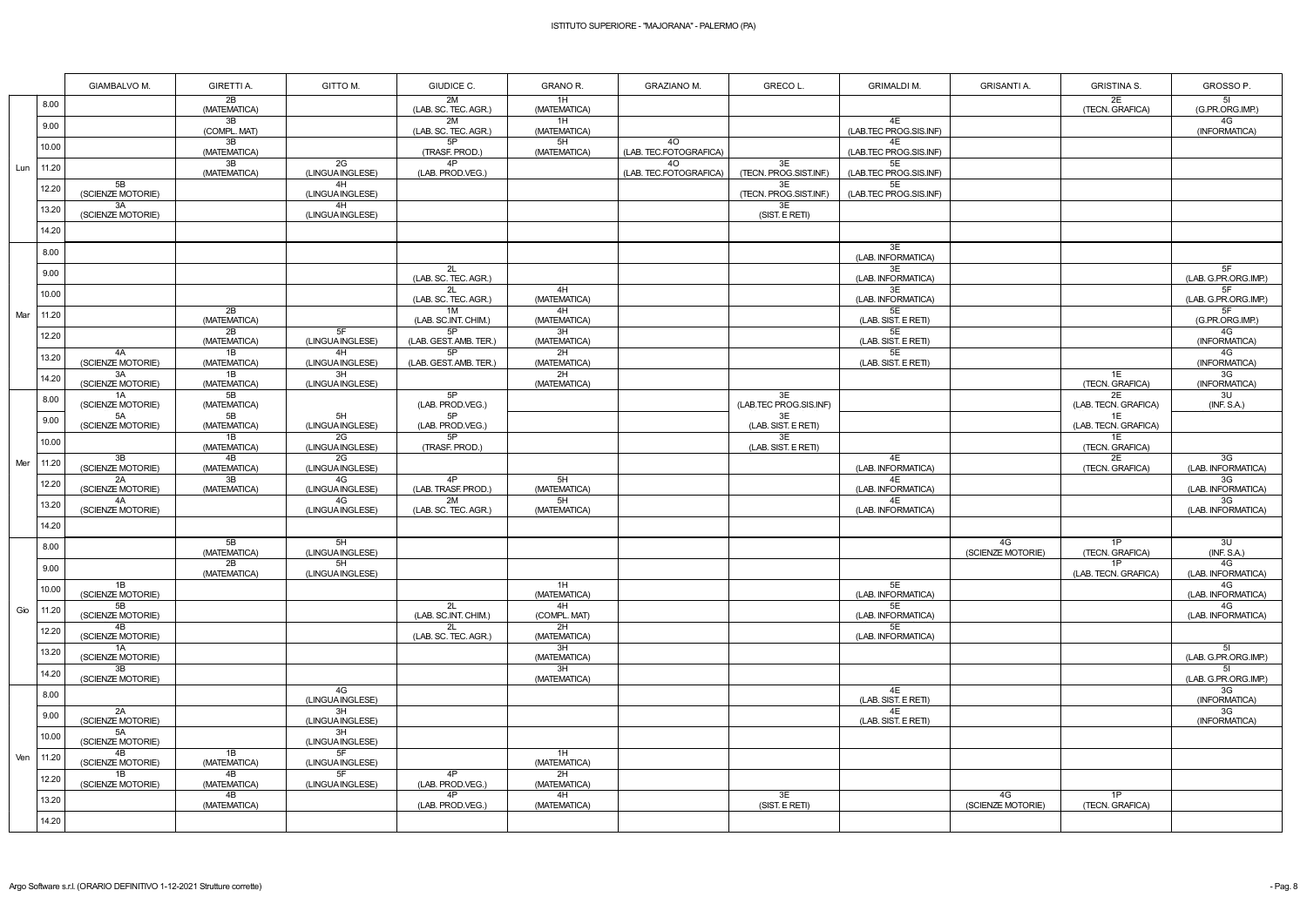|     |       | <b>GIAMBALVO M.</b>     | <b>GIRETTI A.</b>  | GITTO M.               | GIUDICE C.                   | GRANO R.           | <b>GRAZIANO M.</b>           | GRECO L.                     | <b>GRIMALDI M.</b>           | <b>GRISANTI A.</b>      | <b>GRISTINA S.</b>         | GROSSO P.                              |
|-----|-------|-------------------------|--------------------|------------------------|------------------------------|--------------------|------------------------------|------------------------------|------------------------------|-------------------------|----------------------------|----------------------------------------|
|     | 8.00  |                         | 2B<br>(MATEMATICA) |                        | 2M<br>(LAB. SC. TEC. AGR.)   | 1H<br>(MATEMATICA) |                              |                              |                              |                         | 2E<br>(TECN. GRAFICA)      | 5I<br>(G.PR.ORG.IMP.)                  |
|     | 9.00  |                         | 3B<br>(COMPL. MAT) |                        | 2M<br>(LAB. SC. TEC. AGR.)   | 1H<br>(MATEMATICA) |                              |                              | 4E<br>(LAB.TEC PROG.SIS.INF) |                         |                            | 4G<br>(INFORMATICA)                    |
|     | 10.00 |                         | 3B<br>(MATEMATICA) |                        | 5P<br>(TRASF. PROD.)         | 5H<br>(MATEMATICA) | 40<br>(LAB. TEC.FOTOGRAFICA) |                              | 4E<br>(LAB.TEC PROG.SIS.INF) |                         |                            |                                        |
| Lun | 11.20 |                         | 3B<br>(MATEMATICA) | 2G<br>(LINGUA INGLESE) | 4P<br>(LAB. PROD.VEG.)       |                    | 40<br>(LAB. TEC.FOTOGRAFICA) | 3E<br>(TECN. PROG.SIST.INF.) | 5E<br>(LAB.TEC PROG.SIS.INF) |                         |                            |                                        |
|     | 12.20 | 5B<br>(SCIENZE MOTORIE) |                    | 4H<br>(LINGUA INGLESE) |                              |                    |                              | 3E<br>(TECN. PROG.SIST.INF.) | 5E<br>(LAB.TEC PROG.SIS.INF) |                         |                            |                                        |
|     | 13.20 | 3A<br>(SCIENZE MOTORIE) |                    | 4H<br>(LINGUA INGLESE) |                              |                    |                              | 3E<br>(SIST. E RETI)         |                              |                         |                            |                                        |
|     | 14.20 |                         |                    |                        |                              |                    |                              |                              |                              |                         |                            |                                        |
|     | 8.00  |                         |                    |                        |                              |                    |                              |                              | 3E<br>(LAB. INFORMATICA)     |                         |                            |                                        |
|     | 9.00  |                         |                    |                        | 2L<br>(LAB. SC. TEC. AGR.)   |                    |                              |                              | 3E<br>(LAB. INFORMATICA)     |                         |                            | 5F<br>(LAB. G.PR.ORG.IMP.)             |
|     | 10.00 |                         |                    |                        | 2L<br>(LAB. SC. TEC. AGR.)   | 4H<br>(MATEMATICA) |                              |                              | 3E<br>(LAB. INFORMATICA)     |                         |                            | 5F<br>(LAB. G.PR.ORG.IMP.)             |
| Mar | 11.20 |                         | 2B<br>(MATEMATICA) |                        | 1M<br>(LAB. SC.INT. CHIM.)   | 4H<br>(MATEMATICA) |                              |                              | 5E<br>(LAB. SIST. E RETI)    |                         |                            | 5F<br>(G.PR.ORG.IMP.)                  |
|     | 12.20 |                         | 2B<br>(MATEMATICA) | 5F<br>(LINGUA INGLESE) | 5P<br>(LAB. GEST. AMB. TER.) | 3H<br>(MATEMATICA) |                              |                              | 5E<br>(LAB. SIST. E RETI)    |                         |                            | 4G<br>(INFORMATICA)                    |
|     | 13.20 | 4A<br>(SCIENZE MOTORIE) | 1B<br>(MATEMATICA) | 4H<br>(LINGUA INGLESE) | 5P<br>(LAB. GEST. AMB. TER.) | 2H<br>(MATEMATICA) |                              |                              | 5E<br>(LAB. SIST. E RETI)    |                         |                            | 4G<br>(INFORMATICA)                    |
|     | 14.20 | 3A<br>(SCIENZE MOTORIE) | 1B<br>(MATEMATICA) | 3H<br>(LINGUA INGLESE) |                              | 2H<br>(MATEMATICA) |                              |                              |                              |                         | 1E<br>(TECN. GRAFICA)      | 3G<br>(INFORMATICA)                    |
|     | 8.00  | 1A<br>(SCIENZE MOTORIE) | 5B<br>(MATEMATICA) |                        | 5P<br>(LAB. PROD.VEG.)       |                    |                              | 3E<br>(LAB.TEC PROG.SIS.INF) |                              |                         | 2E<br>(LAB. TECN. GRAFICA) | 3U<br>(INF. S.A.)                      |
|     | 9.00  | 5A<br>(SCIENZE MOTORIE) | 5B<br>(MATEMATICA) | 5H<br>(LINGUA INGLESE) | 5P<br>(LAB. PROD.VEG.)       |                    |                              | 3E<br>(LAB. SIST. E RETI)    |                              |                         | 1E<br>(LAB. TECN. GRAFICA) |                                        |
|     | 10.00 |                         | 1B<br>(MATEMATICA) | 2G<br>(LINGUA INGLESE) | 5P<br>(TRASF. PROD.)         |                    |                              | 3E<br>(LAB. SIST. E RETI)    |                              |                         | 1E<br>(TECN. GRAFICA)      |                                        |
| Mer | 11.20 | 3B<br>(SCIENZE MOTORIE) | 4B<br>(MATEMATICA) | 2G<br>(LINGUA INGLESE) |                              |                    |                              |                              | 4E<br>(LAB. INFORMATICA)     |                         | 2E<br>(TECN. GRAFICA)      | 3G<br>(LAB. INFORMATICA)               |
|     | 12.20 | 2A<br>(SCIENZE MOTORIE) | 3B<br>(MATEMATICA) | 4G<br>(LINGUA INGLESE) | 4P<br>(LAB. TRASF. PROD.)    | 5H<br>(MATEMATICA) |                              |                              | 4E<br>(LAB. INFORMATICA)     |                         |                            | 3G<br>(LAB. INFORMATICA)               |
|     | 13.20 | 4A<br>(SCIENZE MOTORIE) |                    | 4G<br>(LINGUA INGLESE) | 2M<br>(LAB. SC. TEC. AGR.)   | 5H<br>(MATEMATICA) |                              |                              | 4E<br>(LAB. INFORMATICA)     |                         |                            | 3G<br>(LAB. INFORMATICA)               |
|     | 14.20 |                         |                    |                        |                              |                    |                              |                              |                              |                         |                            |                                        |
|     | 8.00  |                         | 5B<br>(MATEMATICA) | 5H<br>(LINGUA INGLESE) |                              |                    |                              |                              |                              | 4G<br>(SCIENZE MOTORIE) | 1P<br>(TECN. GRAFICA)      | 3U<br>(INF. S.A.)                      |
|     | 9.00  |                         | 2B<br>(MATEMATICA) | 5H<br>(LINGUA INGLESE) |                              |                    |                              |                              |                              |                         | 1P<br>(LAB. TECN. GRAFICA) | 4G<br>(LAB. INFORMATICA)               |
|     | 10.00 | 1B<br>(SCIENZE MOTORIE) |                    |                        |                              | 1H<br>(MATEMATICA) |                              |                              | 5E<br>(LAB. INFORMATICA)     |                         |                            | 4G<br>(LAB. INFORMATICA)               |
| Gio | 11.20 | 5B<br>(SCIENZE MOTORIE) |                    |                        | 2L<br>(LAB. SC.INT. CHIM.)   | 4H<br>(COMPL. MAT) |                              |                              | 5E<br>(LAB. INFORMATICA)     |                         |                            | 4G<br>(LAB. INFORMATICA)               |
|     | 12.20 | 4B<br>(SCIENZE MOTORIE) |                    |                        | 2L<br>(LAB. SC. TEC. AGR.)   | 2H<br>(MATEMATICA) |                              |                              | 5E<br>(LAB. INFORMATICA)     |                         |                            |                                        |
|     | 13.20 | 1A<br>(SCIENZE MOTORIE) |                    |                        |                              | 3H<br>(MATEMATICA) |                              |                              |                              |                         |                            | 5 <sub>l</sub><br>(LAB. G.PR.ORG.IMP.) |
|     | 14.20 | 3B<br>(SCIENZE MOTORIE) |                    |                        |                              | 3H<br>(MATEMATICA) |                              |                              |                              |                         |                            | 51<br>(LAB. G.PR.ORG.IMP.)             |
|     | 8.00  |                         |                    | 4G<br>(LINGUA INGLESE) |                              |                    |                              |                              | 4E<br>(LAB. SIST. E RETI)    |                         |                            | 3G<br>(INFORMATICA)                    |
|     | 9.00  | 2A<br>(SCIENZE MOTORIE) |                    | 3H<br>(LINGUA INGLESE) |                              |                    |                              |                              | 4E<br>(LAB. SIST. E RETI)    |                         |                            | 3G<br>(INFORMATICA)                    |
|     | 10.00 | 5A<br>(SCIENZE MOTORIE) |                    | 3H<br>(LINGUA INGLESE) |                              |                    |                              |                              |                              |                         |                            |                                        |
| Ven | 11.20 | 4B<br>(SCIENZE MOTORIE) | 1B<br>(MATEMATICA) | 5F<br>(LINGUA INGLESE) |                              | 1H<br>(MATEMATICA) |                              |                              |                              |                         |                            |                                        |
|     | 12.20 | 1B<br>(SCIENZE MOTORIE) | 4B<br>(MATEMATICA) | 5F<br>(LINGUA INGLESE) | 4P<br>(LAB. PROD.VEG.)       | 2H<br>(MATEMATICA) |                              |                              |                              |                         |                            |                                        |
|     | 13.20 |                         | 4B<br>(MATEMATICA) |                        | 4P<br>(LAB. PROD.VEG.)       | 4H<br>(MATEMATICA) |                              | 3E<br>(SIST. E RETI)         |                              | 4G<br>(SCIENZE MOTORIE) | 1P<br>(TECN. GRAFICA)      |                                        |
|     | 14.20 |                         |                    |                        |                              |                    |                              |                              |                              |                         |                            |                                        |

| <b>GRISANTI A.</b>      | <b>GRISTINA S.</b>         | GROSSO P.                              |
|-------------------------|----------------------------|----------------------------------------|
|                         | 2Е<br>(TECN. GRAFICA)      | 5 <sub>l</sub><br>(G.PR.ORG.IMP.)      |
|                         |                            | 4G<br>(INFORMATICA)                    |
|                         |                            |                                        |
|                         |                            |                                        |
|                         |                            |                                        |
|                         |                            |                                        |
|                         |                            |                                        |
|                         |                            |                                        |
|                         |                            | 5F<br>(LAB. G.PR.ORG.IMP.)             |
|                         |                            | 5F<br>(LAB. G.PR.ORG.IMP.)             |
|                         |                            | 5F<br>(G.PR.ORG.IMP.)                  |
|                         |                            | 4G<br>(INFORMATICA)                    |
|                         |                            | 4G<br>(INFORMATICA)                    |
|                         | 1E<br>(TECN. GRAFICA)      | 3G<br>(INFORMATICA)                    |
|                         | 2E<br>(LAB. TECN. GRAFICA) | 3U<br>(INF. S.A.)                      |
|                         | 1E<br>(LAB. TECN. GRAFICA) |                                        |
|                         | 1E<br>(TECN. GRAFICA)      |                                        |
|                         | 2E<br>(TECN. GRAFICA)      | 3G<br>(LAB. INFORMATICA)               |
|                         |                            | 3G<br>(LAB. INFORMATICA)               |
|                         |                            | 3G<br>(LAB. INFORMATICA)               |
|                         |                            |                                        |
| 4G<br>(SCIENZE MOTORIE) | 1P<br>(TECN. GRAFICA)      | 3U<br>(INF. S.A.)                      |
|                         | 1P<br>(LAB. TECN. GRAFICA) | 4G<br>(LAB. INFORMATICA)               |
|                         |                            | 4G<br>(LAB. INFORMATICA)               |
|                         |                            | 4G<br>(LAB. INFORMATICA)               |
|                         |                            |                                        |
|                         |                            | 51<br>(LAB. G.PR.ORG.IMP.)             |
|                         |                            | 5 <sub>l</sub><br>(LAB. G.PR.ORG.IMP.) |
|                         |                            | 3G<br>(INFORMATICA)                    |
|                         |                            | 3G<br>(INFORMATICA)                    |
|                         |                            |                                        |
|                         |                            |                                        |
|                         |                            |                                        |
| 4G<br>(SCIENZE MOTORIE) | 1P<br>(TECN. GRAFICA)      |                                        |
|                         |                            |                                        |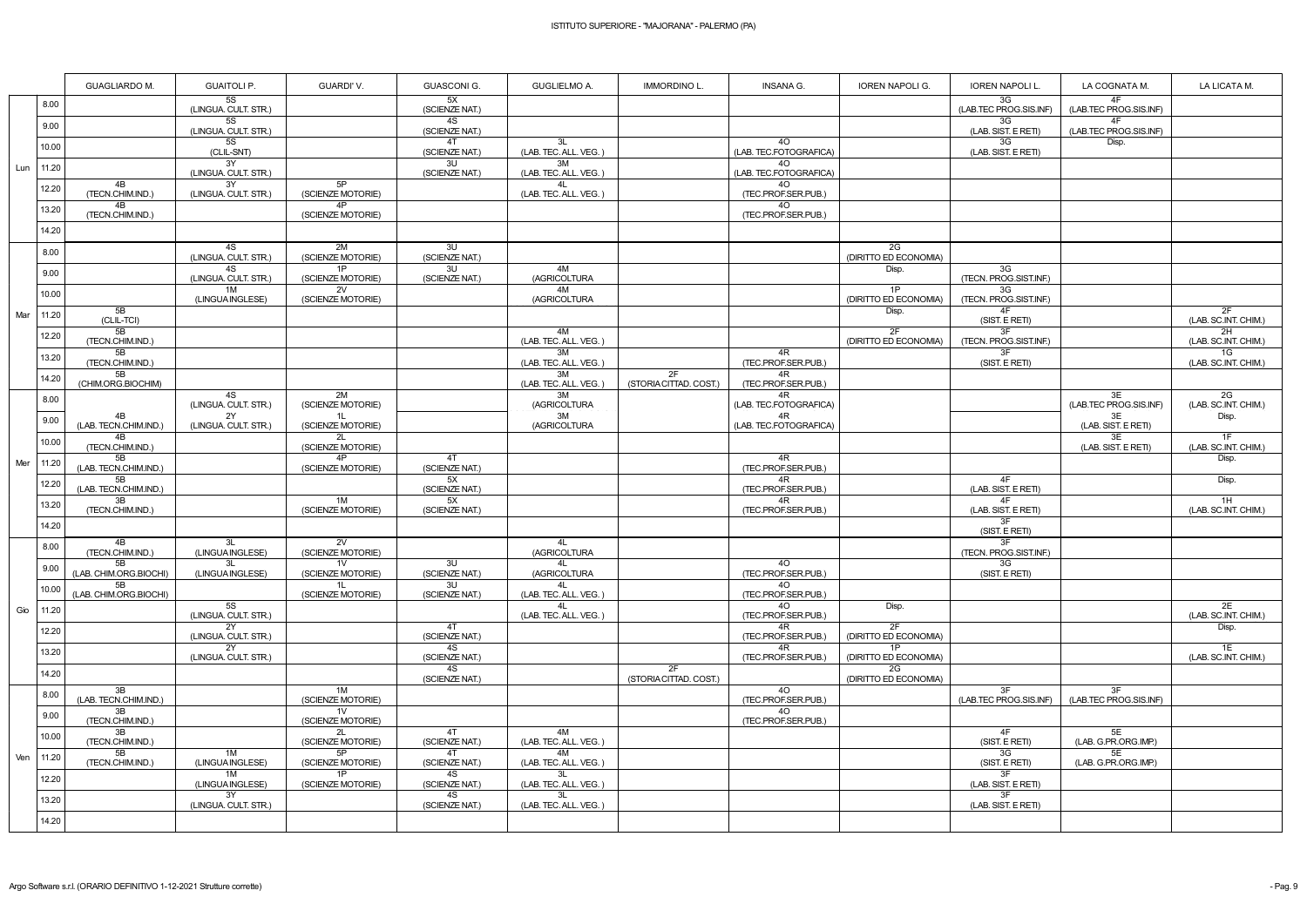|     |       | <b>GUAGLIARDO M.</b>         | <b>GUAITOLI P.</b>                | GUARDI'V.                           | <b>GUASCONI G.</b>   | <b>GUGLIELMO A.</b>          | <b>IMMORDINO L</b>           | <b>INSANA G.</b>             | <b>IOREN NAPOLI G.</b>         | <b>IOREN NAPOLI L.</b>       | LA COGNATA M.                | LA LICATA M.                  |
|-----|-------|------------------------------|-----------------------------------|-------------------------------------|----------------------|------------------------------|------------------------------|------------------------------|--------------------------------|------------------------------|------------------------------|-------------------------------|
|     | 8.00  |                              | 5S<br>(LINGUA. CULT. STR.)        |                                     | 5X<br>(SCIENZE NAT.) |                              |                              |                              |                                | 3G<br>(LAB.TEC PROG.SIS.INF) | 4F<br>(LAB.TEC PROG.SIS.INF) |                               |
|     | 9.00  |                              | <b>5S</b><br>(LINGUA. CULT. STR.) |                                     | 4S<br>(SCIENZE NAT.) |                              |                              |                              |                                | 3G<br>(LAB. SIST. E RETI)    | 4F<br>(LAB.TEC PROG.SIS.INF) |                               |
|     | 10.00 |                              | 5S<br>(CLIL-SNT)                  |                                     | 4T<br>(SCIENZE NAT.) | -3L<br>(LAB. TEC. ALL. VEG.) |                              | 4O<br>(LAB. TEC.FOTOGRAFICA) |                                | 3G<br>(LAB. SIST. E RETI)    | Disp.                        |                               |
| Lun | 11.20 |                              | 3Y<br>(LINGUA. CULT. STR.)        |                                     | 3U<br>(SCIENZE NAT.) | 3M<br>(LAB. TEC. ALL. VEG.)  |                              | 40<br>(LAB. TEC.FOTOGRAFICA) |                                |                              |                              |                               |
|     | 12.20 | 4B<br>(TECN.CHIM.IND.)       | 3Y<br>(LINGUA. CULT. STR.)        | 5P<br>(SCIENZE MOTORIE)             |                      | 4L<br>(LAB. TEC. ALL. VEG.)  |                              | 40<br>(TEC.PROF.SER.PUB.)    |                                |                              |                              |                               |
|     | 13.20 | 4B<br>(TECN.CHIM.IND.)       |                                   | 4P<br>(SCIENZE MOTORIE)             |                      |                              |                              | 40<br>(TEC.PROF.SER.PUB.)    |                                |                              |                              |                               |
|     | 14.20 |                              |                                   |                                     |                      |                              |                              |                              |                                |                              |                              |                               |
|     | 8.00  |                              | 4S<br>(LINGUA. CULT. STR.)        | 2M<br>(SCIENZE MOTORIE)             | 3U<br>(SCIENZE NAT.) |                              |                              |                              | 2G<br>(DIRITTO ED ECONOMIA)    |                              |                              |                               |
|     | 9.00  |                              | 4S<br>(LINGUA. CULT. STR.)        | 1P<br>(SCIENZE MOTORIE)             | 3U<br>(SCIENZE NAT.) | 4M<br>(AGRICOLTURA           |                              |                              | Disp.                          | 3G<br>(TECN. PROG.SIST.INF.) |                              |                               |
|     | 10.00 |                              | 1M                                | 2V                                  |                      | 4M                           |                              |                              | 1P                             | 3G                           |                              |                               |
| Mar | 11.20 | 5B                           | (LINGUA INGLESE)                  | (SCIENZE MOTORIE)                   |                      | (AGRICOLTURA                 |                              |                              | (DIRITTO ED ECONOMIA)<br>Disp. | (TECN. PROG.SIST.INF.)<br>4F |                              | 2F                            |
|     | 12.20 | (CLIL-TCI)<br>5B             |                                   |                                     |                      | 4M                           |                              |                              | 2F                             | (SIST. E RETI)<br>3F         |                              | (LAB. SC.INT. CHIM.)<br>2H    |
|     | 13.20 | (TECN.CHIM.IND.)<br>5B       |                                   |                                     |                      | (LAB. TEC. ALL. VEG.)<br>3M  |                              | 4R                           | (DIRITTO ED ECONOMIA)          | (TECN. PROG.SIST.INF.)<br>3F |                              | (LAB. SC.INT. CHIM.)<br>1G    |
|     | 14.20 | (TECN.CHIM.IND.)<br>5B       |                                   |                                     |                      | (LAB. TEC. ALL. VEG.)<br>3M  | 2F                           | (TEC.PROF.SER.PUB.)<br>4R    |                                | (SIST. E RETI)               |                              | (LAB. SC.INT. CHIM.)          |
|     | 8.00  | (CHIM.ORG.BIOCHIM)           | 4S                                | 2M                                  |                      | (LAB. TEC. ALL. VEG.)<br>3M  | (STORIA CITTAD. COST.)       | (TEC.PROF.SER.PUB.)<br>4R    |                                |                              | 3E                           | 2G                            |
|     |       | 4B                           | (LINGUA. CULT. STR.)<br>2Y        | (SCIENZE MOTORIE)<br>1L             |                      | (AGRICOLTURA<br>3M           |                              | (LAB. TEC.FOTOGRAFICA)<br>4R |                                |                              | (LAB.TEC PROG.SIS.INF)<br>3E | (LAB. SC.INT. CHIM.)<br>Disp. |
| Mer | 9.00  | (LAB. TECN.CHIM.IND.)<br>4B  | (LINGUA. CULT. STR.)              | (SCIENZE MOTORIE)<br>2L             |                      | (AGRICOLTURA                 |                              | (LAB. TEC.FOTOGRAFICA)       |                                |                              | (LAB. SIST. E RETI)<br>3E    | 1F                            |
|     | 10.00 | (TECN.CHIM.IND.)<br>5B       |                                   | (SCIENZE MOTORIE)<br>4P             | 4T                   |                              |                              | 4R                           |                                |                              | (LAB. SIST. E RETI)          | (LAB. SC.INT. CHIM.)<br>Disp. |
|     | 11.20 | (LAB. TECN.CHIM.IND.)<br>5B  |                                   | (SCIENZE MOTORIE)                   | (SCIENZE NAT.)<br>5X |                              |                              | (TEC.PROF.SER.PUB.)<br>4R    |                                | 4F                           |                              | Disp.                         |
|     | 12.20 | (LAB. TECN.CHIM.IND.)        |                                   | 1M                                  | (SCIENZE NAT.)<br>5X |                              |                              | (TEC.PROF.SER.PUB.)          |                                | (LAB. SIST. E RETI)<br>4F    |                              |                               |
|     | 13.20 | 3B<br>(TECN.CHIM.IND.)       |                                   | (SCIENZE MOTORIE)                   | (SCIENZE NAT.)       |                              |                              | 4R<br>(TEC.PROF.SER.PUB.)    |                                | (LAB. SIST. E RETI)          |                              | 1H<br>(LAB. SC.INT. CHIM.)    |
|     | 14.20 |                              |                                   |                                     |                      |                              |                              |                              |                                | 3F<br>(SIST. E RETI)         |                              |                               |
|     | 8.00  | 4B<br>(TECN.CHIM.IND.)       | 3L<br>(LINGUA INGLESE)            | 2V<br>(SCIENZE MOTORIE)             |                      | 4L<br>(AGRICOLTURA           |                              |                              |                                | 3F<br>(TECN. PROG.SIST.INF.) |                              |                               |
|     | 9.00  | 5B<br>(LAB. CHIM.ORG.BIOCHI) | 3L<br>(LINGUA INGLESE)            | 1 <sub>V</sub><br>(SCIENZE MOTORIE) | 3U<br>(SCIENZE NAT.) | 4L<br>(AGRICOLTURA           |                              | 4O<br>(TEC.PROF.SER.PUB.)    |                                | 3G<br>(SIST. E RETI)         |                              |                               |
|     | 10.00 | 5B<br>(LAB. CHIM.ORG.BIOCHI) |                                   | 1L<br>(SCIENZE MOTORIE)             | 3U<br>(SCIENZE NAT.) | 4L<br>(LAB. TEC. ALL. VEG.)  |                              | 4O<br>(TEC.PROF.SER.PUB.)    |                                |                              |                              |                               |
| Gio | 11.20 |                              | 5S<br>(LINGUA. CULT. STR.)        |                                     |                      | 4L<br>(LAB. TEC. ALL. VEG.)  |                              | 40<br>(TEC.PROF.SER.PUB.)    | Disp.                          |                              |                              | 2E<br>(LAB. SC.INT. CHIM.)    |
|     | 12.20 |                              | 2Y<br>(LINGUA. CULT. STR.)        |                                     | 4T<br>(SCIENZE NAT.) |                              |                              | 4R<br>(TEC.PROF.SER.PUB.)    | 2F<br>(DIRITTO ED ECONOMIA)    |                              |                              | Disp.                         |
|     | 13.20 |                              | <b>2Y</b><br>(LINGUA. CULT. STR.) |                                     | 4S<br>(SCIENZE NAT.) |                              |                              | 4R<br>(TEC.PROF.SER.PUB.)    | 1P<br>(DIRITTO ED ECONOMIA)    |                              |                              | 1E<br>(LAB. SC.INT. CHIM.)    |
|     | 14.20 |                              |                                   |                                     | 4S<br>(SCIENZE NAT.) |                              | 2F<br>(STORIA CITTAD. COST.) |                              | 2G<br>(DIRITTO ED ECONOMIA)    |                              |                              |                               |
|     | 8.00  | 3B<br>(LAB. TECN.CHIM.IND.)  |                                   | 1M<br>(SCIENZE MOTORIE)             |                      |                              |                              | 4O<br>(TEC.PROF.SER.PUB.)    |                                | 3F<br>(LAB.TEC PROG.SIS.INF) | 3F<br>(LAB.TEC PROG.SIS.INF) |                               |
|     | 9.00  | 3B<br>(TECN.CHIM.IND.)       |                                   | 1 <sup>V</sup><br>(SCIENZE MOTORIE) |                      |                              |                              | 4O<br>(TEC.PROF.SER.PUB.)    |                                |                              |                              |                               |
|     | 10.00 | 3B<br>(TECN.CHIM.IND.)       |                                   | 2L<br>(SCIENZE MOTORIE)             | 4T<br>(SCIENZE NAT.) | 4M<br>(LAB. TEC. ALL. VEG.)  |                              |                              |                                | 4F<br>(SIST. E RETI)         | 5E<br>(LAB. G.PR.ORG.IMP.)   |                               |
| Ven | 11.20 | 5B<br>(TECN.CHIM.IND.)       | 1M<br>(LINGUA INGLESE)            | 5P<br>(SCIENZE MOTORIE)             | 4T<br>(SCIENZE NAT.) | 4M<br>(LAB. TEC. ALL. VEG.)  |                              |                              |                                | 3G<br>(SIST. E RETI)         | 5E<br>(LAB. G.PR.ORG.IMP.)   |                               |
|     | 12.20 |                              | 1M<br>(LINGUA INGLESE)            | 1P<br>(SCIENZE MOTORIE)             | 4S<br>(SCIENZE NAT.) | 3L<br>(LAB. TEC. ALL. VEG.)  |                              |                              |                                | 3F<br>(LAB. SIST. E RETI)    |                              |                               |
|     | 13.20 |                              | 3Y<br>(LINGUA. CULT. STR.)        |                                     | 4S<br>(SCIENZE NAT.) | 3L<br>(LAB. TEC. ALL. VEG.)  |                              |                              |                                | 3F<br>(LAB. SIST. E RETI)    |                              |                               |
|     | 14.20 |                              |                                   |                                     |                      |                              |                              |                              |                                |                              |                              |                               |
|     |       |                              |                                   |                                     |                      |                              |                              |                              |                                |                              |                              |                               |

| NAPOLI G.                       | <b>IOREN NAPOLI L.</b>       | LA COGNATA M.                | LA LICATA M.               |
|---------------------------------|------------------------------|------------------------------|----------------------------|
|                                 | 3G<br>(LAB.TEC PROG.SIS.INF) | 4F<br>(LAB.TEC PROG.SIS.INF) |                            |
|                                 | 3G<br>(LAB. SIST. E RETI)    | 4F<br>(LAB.TEC PROG.SIS.INF) |                            |
|                                 | 3G<br>(LAB. SIST. E RETI)    | Disp.                        |                            |
|                                 |                              |                              |                            |
|                                 |                              |                              |                            |
|                                 |                              |                              |                            |
|                                 |                              |                              |                            |
| 2G<br>ED ECONOMIA)              |                              |                              |                            |
| Disp.                           | 3G<br>(TECN. PROG.SIST.INF.) |                              |                            |
| 1P<br>ED ECONOMIA)              | 3G<br>(TECN. PROG.SIST.INF.) |                              |                            |
| Disp.                           | 4F<br>(SIST. E RETI)         |                              | 2F<br>(LAB. SC.INT. CHIM.) |
| $\overline{2F}$<br>ED ECONOMIA) | 3F<br>(TECN. PROG.SIST.INF.) |                              | 2H<br>(LAB. SC.INT. CHIM.) |
|                                 | 3F<br>(SIST. E RETI)         |                              | 1G<br>(LAB. SC.INT. CHIM.) |
|                                 |                              |                              |                            |
|                                 |                              | 3E<br>(LAB.TEC PROG.SIS.INF) | 2G<br>(LAB. SC.INT. CHIM.) |
|                                 |                              | 3E<br>(LAB. SIST. E RETI)    | Disp.                      |
|                                 |                              | 3E<br>(LAB. SIST. E RETI)    | 1F<br>(LAB. SC.INT. CHIM.) |
|                                 |                              |                              | Disp.                      |
|                                 | 4F<br>(LAB. SIST. E RETI)    |                              | Disp.                      |
|                                 | 4F<br>(LAB. SIST. E RETI)    |                              | 1H<br>(LAB. SC.INT. CHIM.) |
|                                 | 3F<br>(SIST. E RETI)         |                              |                            |
|                                 | 3F<br>(TECN. PROG.SIST.INF.) |                              |                            |
|                                 | 3G<br>(SIST. E RETI)         |                              |                            |
|                                 |                              |                              |                            |
| Disp.                           |                              |                              | 2Е<br>(LAB. SC.INT. CHIM.) |
| 2F<br>ED ECONOMIA)              |                              |                              | Disp.                      |
| 1P<br>ED ECONOMIA)              |                              |                              | 1E<br>(LAB. SC.INT. CHIM.) |
| 2G<br>ED ECONOMIA)              |                              |                              |                            |
|                                 | 3F<br>(LAB.TEC PROG.SIS.INF) | 3F<br>(LAB.TEC PROG.SIS.INF) |                            |
|                                 |                              |                              |                            |
|                                 | 4F<br>(SIST. E RETI)         | 5E<br>(LAB. G.PR.ORG.IMP.)   |                            |
|                                 | 3G<br>(SIST. E RETI)         | 5E<br>(LAB. G.PR.ORG.IMP.)   |                            |
|                                 | 3F<br>(LAB. SIST. E RETI)    |                              |                            |
|                                 | 3F<br>(LAB. SIST. E RETI)    |                              |                            |
|                                 |                              |                              |                            |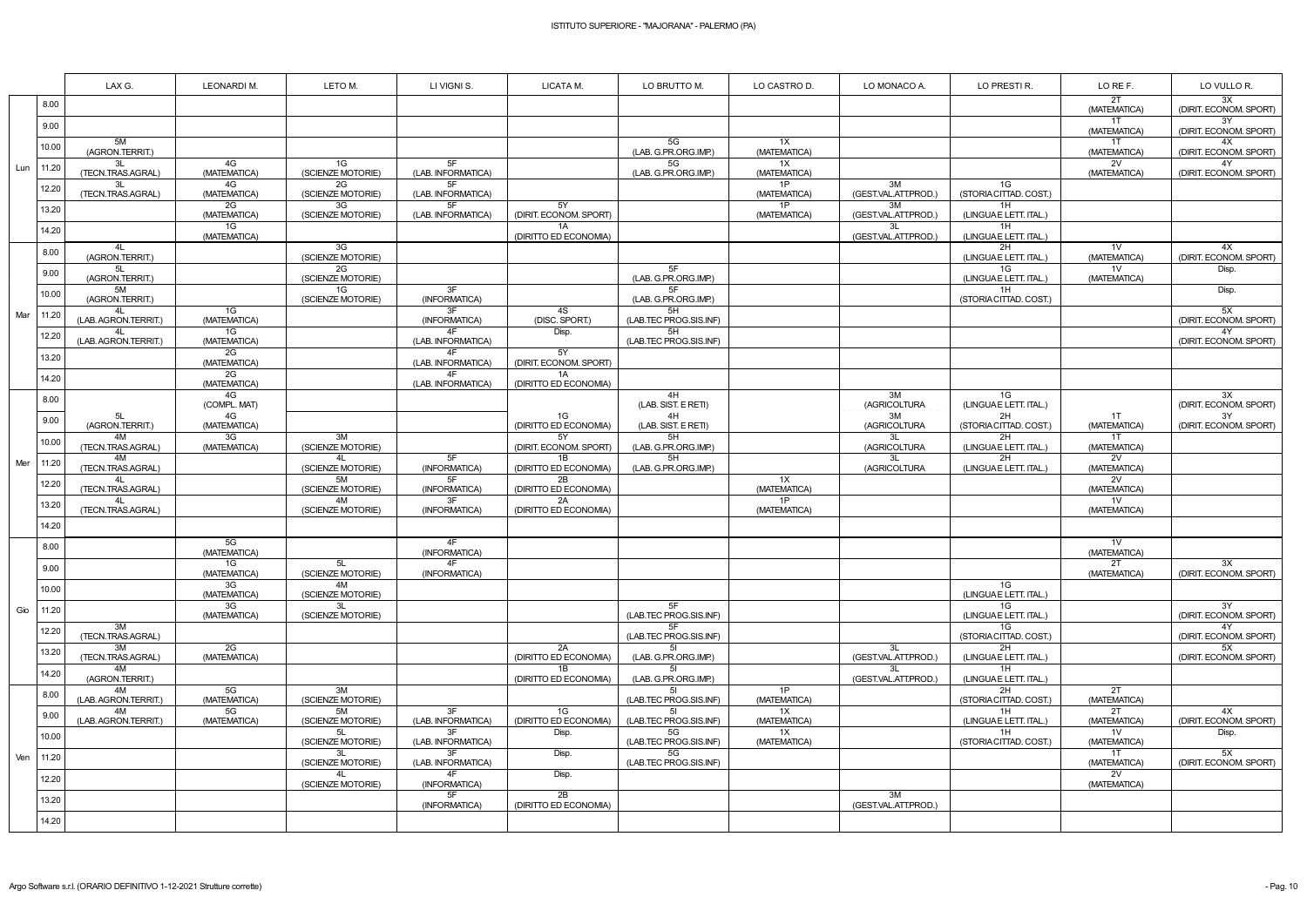|     |       | LAX G.                     | LEONARDI M.        | LETO M.                 | LI VIGNI S.              | LICATA M.                    | LO BRUTTO M.                 | LO CASTRO D.       | LO MONACO A.               | LO PRESTI R.                 | LO RE F.                       | LO VULLO R.                  |
|-----|-------|----------------------------|--------------------|-------------------------|--------------------------|------------------------------|------------------------------|--------------------|----------------------------|------------------------------|--------------------------------|------------------------------|
|     | 8.00  |                            |                    |                         |                          |                              |                              |                    |                            |                              | 2T<br>(MATEMATICA)             | 3X<br>(DIRIT. ECONOM. SPORT) |
|     | 9.00  |                            |                    |                         |                          |                              |                              |                    |                            |                              | 1T<br>(MATEMATICA)             | 3Y<br>(DIRIT. ECONOM. SPORT) |
|     | 10.00 | 5M<br>(AGRON.TERRIT.)      |                    |                         |                          |                              | 5G<br>(LAB. G.PR.ORG.IMP.)   | 1X<br>(MATEMATICA) |                            |                              | 1T<br>(MATEMATICA)             | 4X<br>(DIRIT. ECONOM. SPORT) |
| Lun | 11.20 | 3L<br>(TECN.TRAS.AGRAL)    | 4G<br>(MATEMATICA) | 1G<br>(SCIENZE MOTORIE) | 5F<br>(LAB. INFORMATICA) |                              | 5G<br>(LAB. G.PR.ORG.IMP.)   | 1X<br>(MATEMATICA) |                            |                              | 2V<br>(MATEMATICA)             | 4Y<br>(DIRIT. ECONOM. SPORT) |
|     | 12.20 | 3L<br>(TECN.TRAS.AGRAL)    | 4G<br>(MATEMATICA) | 2G<br>(SCIENZE MOTORIE) | 5F<br>(LAB. INFORMATICA) |                              |                              | 1P<br>(MATEMATICA) | 3M<br>(GEST.VAL.ATT.PROD.) | 1G<br>(STORIA CITTAD. COST.) |                                |                              |
|     | 13.20 |                            | 2G<br>(MATEMATICA) | 3G<br>(SCIENZE MOTORIE) | 5F<br>(LAB. INFORMATICA) | 5Y<br>(DIRIT. ECONOM. SPORT) |                              | 1P<br>(MATEMATICA) | 3M<br>(GEST.VAL.ATT.PROD.) | 1H<br>(LINGUAE LETT. ITAL.)  |                                |                              |
|     | 14.20 |                            | 1G<br>(MATEMATICA) |                         |                          | 1A<br>(DIRITTO ED ECONOMIA)  |                              |                    | 3L<br>(GEST.VAL.ATT.PROD.) | 1H<br>(LINGUAE LETT. ITAL.)  |                                |                              |
|     | 8.00  | 4L<br>(AGRON.TERRIT.)      |                    | 3G<br>(SCIENZE MOTORIE) |                          |                              |                              |                    |                            | 2H<br>(LINGUAE LETT. ITAL.)  | 1 <sub>V</sub><br>(MATEMATICA) | 4X<br>(DIRIT. ECONOM. SPORT) |
|     | 9.00  | 5L<br>(AGRON.TERRIT.)      |                    | 2G<br>(SCIENZE MOTORIE) |                          |                              | 5F<br>(LAB. G.PR.ORG.IMP.)   |                    |                            | 1G<br>(LINGUAE LETT. ITAL.)  | 1 <sub>V</sub><br>(MATEMATICA) | Disp.                        |
|     | 10.00 | 5M<br>(AGRON.TERRIT.)      |                    | 1G<br>(SCIENZE MOTORIE) | 3F<br>(INFORMATICA)      |                              | 5F<br>(LAB. G.PR.ORG.IMP.)   |                    |                            | 1H<br>(STORIA CITTAD. COST.) |                                | Disp.                        |
| Mar | 11.20 | 4L<br>(LAB. AGRON.TERRIT.) | 1G<br>(MATEMATICA) |                         | 3F<br>(INFORMATICA)      | 4S<br>(DISC. SPORT.)         | 5H<br>(LAB.TEC PROG.SIS.INF) |                    |                            |                              |                                | 5X<br>(DIRIT. ECONOM. SPORT) |
|     | 12.20 | (LAB. AGRON.TERRIT.)       | 1G<br>(MATEMATICA) |                         | (LAB. INFORMATICA)       | Disp.                        | 5H<br>(LAB.TEC PROG.SIS.INF) |                    |                            |                              |                                | 4Y<br>(DIRIT. ECONOM. SPORT) |
|     | 13.20 |                            | 2G<br>(MATEMATICA) |                         | 4F<br>(LAB. INFORMATICA  | 5Y<br>(DIRIT. ECONOM. SPORT) |                              |                    |                            |                              |                                |                              |
|     | 14.20 |                            | 2G<br>(MATEMATICA) |                         | 4F<br>(LAB. INFORMATICA) | 1A<br>(DIRITTO ED ECONOMIA)  |                              |                    |                            |                              |                                |                              |
|     | 8.00  |                            | 4G<br>(COMPL. MAT) |                         |                          |                              | 4H<br>(LAB. SIST. E RETI)    |                    | 3M<br>(AGRICOLTURA         | 1G<br>(LINGUAE LETT. ITAL.)  |                                | 3X<br>(DIRIT. ECONOM. SPORT) |
|     | 9.00  | 5L<br>(AGRON.TERRIT.)      | 4G<br>(MATEMATICA) |                         |                          | 1G<br>(DIRITTO ED ECONOMIA)  | 4H<br>(LAB. SIST. E RETI)    |                    | 3M<br>(AGRICOLTURA         | 2H<br>(STORIA CITTAD. COST.) | 1T<br>(MATEMATICA)             | 3Y<br>(DIRIT. ECONOM. SPORT) |
|     | 10.00 | 4M<br>(TECN.TRAS.AGRAL)    | 3G<br>(MATEMATICA) | 3M<br>(SCIENZE MOTORIE) |                          | 5Y<br>(DIRIT. ECONOM. SPORT) | 5H<br>(LAB. G.PR.ORG.IMP.)   |                    | 3L<br>(AGRICOLTURA         | 2H<br>(LINGUAE LETT. ITAL.)  | 1T<br>(MATEMATICA)             |                              |
| Mer | 11.20 | 4M<br>(TECN.TRAS.AGRAL)    |                    | 4L<br>(SCIENZE MOTORIE) | 5F<br>(INFORMATICA)      | 1B<br>(DIRITTO ED ECONOMIA)  | 5H<br>(LAB. G.PR.ORG.IMP.)   |                    | 3L<br>(AGRICOLTURA         | 2H<br>(LINGUAE LETT. ITAL.)  | 2V<br>(MATEMATICA)             |                              |
|     | 12.20 | 4L<br>(TECN.TRAS.AGRAL)    |                    | 5M<br>(SCIENZE MOTORIE) | 5F<br>(INFORMATICA)      | 2B<br>(DIRITTO ED ECONOMIA)  |                              | 1X<br>(MATEMATICA) |                            |                              | 2V<br>(MATEMATICA)             |                              |
|     | 13.20 | 4L<br>(TECN.TRAS.AGRAL)    |                    | 4M<br>(SCIENZE MOTORIE) | 3F<br>(INFORMATICA)      | 2A<br>(DIRITTO ED ECONOMIA)  |                              | 1P<br>(MATEMATICA) |                            |                              | 1V<br>(MATEMATICA)             |                              |
|     | 14.20 |                            |                    |                         |                          |                              |                              |                    |                            |                              |                                |                              |
|     | 8.00  |                            | 5G<br>(MATEMATICA) |                         | 4F<br>(INFORMATICA)      |                              |                              |                    |                            |                              | 1 <sub>V</sub><br>(MATEMATICA) |                              |
|     | 9.00  |                            | 1G<br>(MATEMATICA) | 5L<br>(SCIENZE MOTORIE) | 4F<br>(INFORMATICA)      |                              |                              |                    |                            |                              | 2T<br>(MATEMATICA)             | 3X<br>(DIRIT. ECONOM. SPORT) |
|     | 10.00 |                            | 3G<br>(MATEMATICA) | 4M<br>(SCIENZE MOTORIE) |                          |                              |                              |                    |                            | 1G<br>(LINGUAE LETT. ITAL.)  |                                |                              |
| Gio | 11.20 |                            | 3G<br>(MATEMATICA) | 3L<br>(SCIENZE MOTORIE) |                          |                              | 5F<br>(LAB.TEC PROG.SIS.INF) |                    |                            | 1G<br>(LINGUAE LETT. ITAL.)  |                                | 3Y<br>(DIRIT. ECONOM. SPORT) |
|     | 12.20 | 3M<br>(TECN.TRAS.AGRAL)    |                    |                         |                          |                              | 5F<br>(LAB.TEC PROG.SIS.INF) |                    |                            | 1G<br>(STORIA CITTAD. COST.) |                                | 4Y<br>(DIRIT. ECONOM. SPORT) |
|     | 13.20 | 3M<br>(TECN.TRAS.AGRAL)    | 2G<br>(MATEMATICA) |                         |                          | 2A<br>(DIRITTO ED ECONOMIA)  | 5I<br>(LAB. G.PR.ORG.IMP.)   |                    | 3L<br>(GEST.VAL.ATT.PROD.) | 2H<br>(LINGUAE LETT. ITAL.)  |                                | 5X<br>(DIRIT. ECONOM. SPORT) |
|     | 14.20 | 4M<br>(AGRON.TERRIT.)      |                    |                         |                          | 1B<br>(DIRITTO ED ECONOMIA)  | 5I<br>(LAB. G.PR.ORG.IMP.)   |                    | 3L<br>(GEST.VAL.ATT.PROD.) | 1H<br>(LINGUAE LETT. ITAL.)  |                                |                              |
|     | 8.00  | 4M<br>(LAB. AGRON.TERRIT.) | 5G<br>(MATEMATICA) | 3M<br>(SCIENZE MOTORIE) |                          |                              | (LAB.TEC PROG.SIS.INF)       | 1P<br>(MATEMATICA) |                            | 2H<br>(STORIA CITTAD. COST.) | 2T<br>(MATEMATICA)             |                              |
|     | 9.00  | 4M<br>(LAB. AGRON.TERRIT.) | 5G<br>(MATEMATICA) | 5M<br>(SCIENZE MOTORIE) | 3F<br>(LAB. INFORMATICA) | 1G<br>(DIRITTO ED ECONOMIA)  | 51<br>(LAB.TEC PROG.SIS.INF) | 1X<br>(MATEMATICA) |                            | 1H<br>(LINGUAE LETT. ITAL.)  | 2T<br>(MATEMATICA)             | 4X<br>(DIRIT. ECONOM. SPORT) |
|     | 10.00 |                            |                    | (SCIENZE MOTORIE)       | 3F<br>(LAB. INFORMATICA) | Disp.                        | 5G<br>(LAB.TEC PROG.SIS.INF) | 1X<br>(MATEMATICA) |                            | 1H<br>(STORIA CITTAD. COST.) | 1 <sub>V</sub><br>(MATEMATICA) | Disp.                        |
| Ven | 11.20 |                            |                    | 3L<br>(SCIENZE MOTORIE) | 3F<br>(LAB. INFORMATICA) | Disp.                        | 5G<br>(LAB.TEC PROG.SIS.INF) |                    |                            |                              | 1T<br>(MATEMATICA)             | 5X<br>(DIRIT. ECONOM. SPORT) |
|     | 12.20 |                            |                    | 4L<br>(SCIENZE MOTORIE) | 4F<br>(INFORMATICA)      | Disp.                        |                              |                    |                            |                              | 2V<br>(MATEMATICA)             |                              |
|     | 13.20 |                            |                    |                         | 5F<br>(INFORMATICA)      | 2B<br>(DIRITTO ED ECONOMIA)  |                              |                    | 3M<br>(GEST.VAL.ATT.PROD.) |                              |                                |                              |
|     | 14.20 |                            |                    |                         |                          |                              |                              |                    |                            |                              |                                |                              |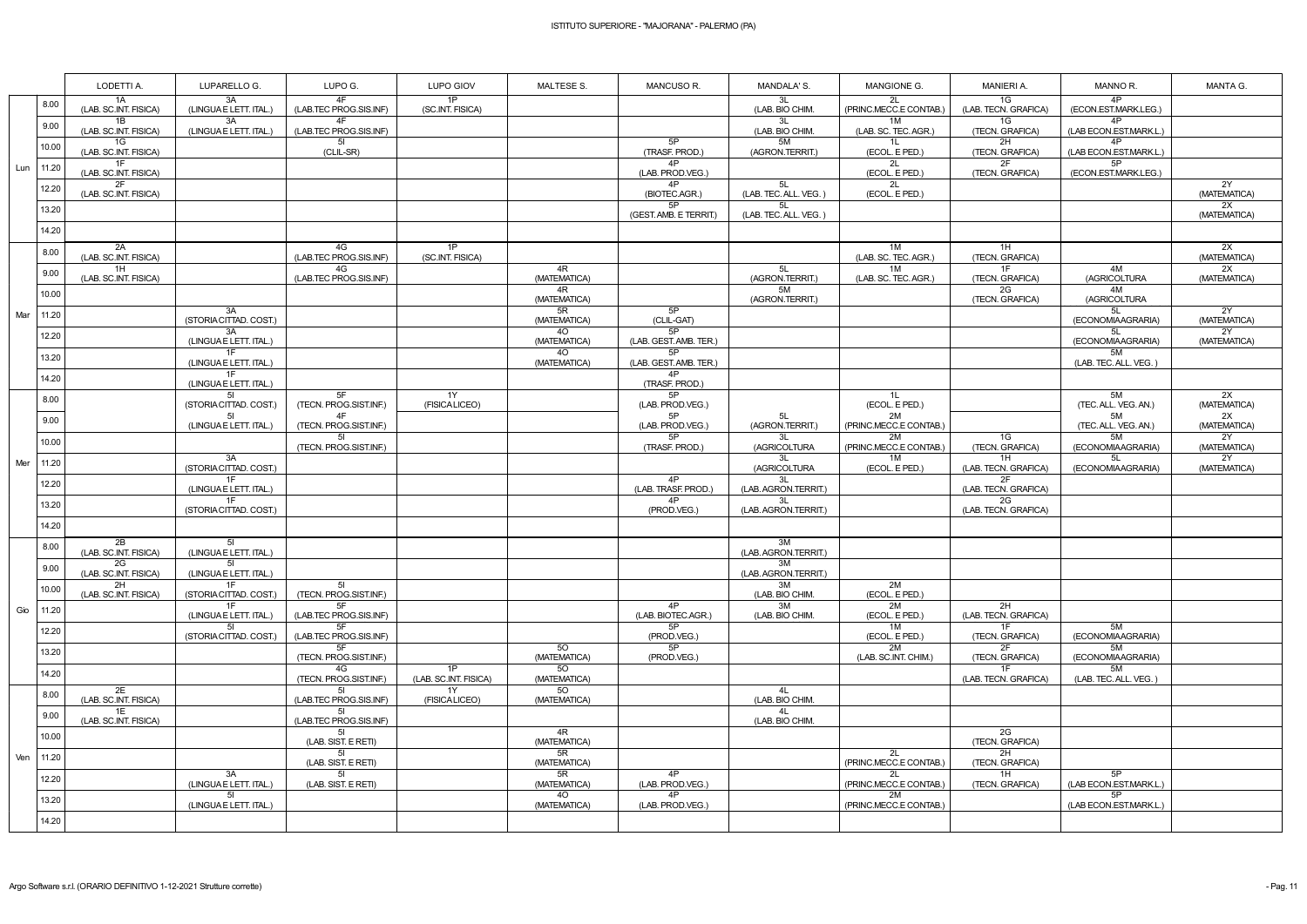|     |           | LODETTI A.                  | LUPARELLO G.                                    | LUPO G.                                  | LUPO GIOV                   | <b>MALTESE S.</b>  | MANCUSO R.                   | MANDALA'S.                       | MANGIONE G.                      | <b>MANIERI A.</b>                | MANNO R.                         | MANTA G.                              |
|-----|-----------|-----------------------------|-------------------------------------------------|------------------------------------------|-----------------------------|--------------------|------------------------------|----------------------------------|----------------------------------|----------------------------------|----------------------------------|---------------------------------------|
|     | 8.00      | 1A<br>(LAB. SC.INT. FISICA) | 3A<br>(LINGUA E LETT. ITAL.)                    | 4F<br>(LAB.TEC PROG.SIS.INF)             | 1P<br>(SC.INT. FISICA)      |                    |                              | 3L<br>(LAB. BIO CHIM.            | 2L<br>(PRINC.MECC.E CONTAB.)     | 1G<br>(LAB. TECN. GRAFICA)       | 4P<br>(ECON.EST.MARK.LEG.)       |                                       |
|     | 9.00      | 1B<br>(LAB. SC.INT. FISICA) | 3A<br>(LINGUAE LETT. ITAL.)                     | 4F<br>(LAB.TEC PROG.SIS.INF)             |                             |                    |                              | 3L<br>(LAB. BIO CHIM.            | 1M<br>(LAB. SC. TEC. AGR.)       | 1G<br>(TECN. GRAFICA)            | 4P<br>(LAB ECON.EST.MARK.L.)     |                                       |
|     | 10.00     | 1G<br>(LAB. SC.INT. FISICA) |                                                 | 51<br>(CLIL-SR)                          |                             |                    | 5P<br>(TRASF. PROD.)         | 5M<br>(AGRON.TERRIT.)            | 1 <sub>L</sub><br>(ECOL. E PED.) | 2H<br>(TECN. GRAFICA)            | 4P<br>(LAB ECON.EST.MARK.L.      |                                       |
| Lun | 11.20     | 1F<br>(LAB. SC.INT. FISICA) |                                                 |                                          |                             |                    | 4P<br>(LAB. PROD.VEG.)       |                                  | 2L<br>(ECOL. E PED.)             | 2F<br>(TECN. GRAFICA)            | 5P<br>(ECON.EST.MARK.LEG.)       |                                       |
|     | 12.20     | 2F<br>(LAB. SC.INT. FISICA) |                                                 |                                          |                             |                    | 4P<br>(BIOTEC.AGR.)          | 5L<br>(LAB. TEC. ALL. VEG.)      | 2L<br>(ECOL. E PED.)             |                                  |                                  | 2Y<br>(MATEMATICA)                    |
|     | 13.20     |                             |                                                 |                                          |                             |                    | 5P<br>(GEST. AMB. E TERRIT.) | 5L<br>(LAB. TEC. ALL. VEG.)      |                                  |                                  |                                  | 2X<br>(MATEMATICA)                    |
|     | 14.20     |                             |                                                 |                                          |                             |                    |                              |                                  |                                  |                                  |                                  |                                       |
|     | 8.00      | 2A<br>(LAB. SC.INT. FISICA) |                                                 | 4G<br>(LAB.TEC PROG.SIS.INF)             | 1P<br>(SC.INT. FISICA)      |                    |                              |                                  | 1M<br>(LAB. SC. TEC. AGR.)       | 1H<br>(TECN. GRAFICA)            |                                  | 2X<br>(MATEMATICA)                    |
|     | 9.00      | 1H<br>(LAB. SC.INT. FISICA) |                                                 | 4G<br>(LAB.TEC PROG.SIS.INF)             |                             | 4R<br>(MATEMATICA) |                              | 5L<br>(AGRON.TERRIT.)            | 1M<br>(LAB. SC. TEC. AGR.)       | 1F<br>(TECN. GRAFICA)            | 4M<br>(AGRICOLTURA               | 2X<br>(MATEMATICA)                    |
|     | 10.00     |                             |                                                 |                                          |                             | 4R<br>(MATEMATICA) |                              | 5M<br>(AGRON.TERRIT.)            |                                  | 2G<br>(TECN. GRAFICA)            | 4M<br>(AGRICOLTURA               |                                       |
| Mar | 11.20     |                             | 3A<br>(STORIA CITTAD. COST.)                    |                                          |                             | 5R<br>(MATEMATICA) | 5P<br>(CLIL-GAT)             |                                  |                                  |                                  | 5L<br>(ECONOMIAAGRARIA)          | 2Y<br>(MATEMATICA)                    |
|     | 12.20     |                             | 3A<br>(LINGUAE LETT. ITAL.)                     |                                          |                             | 40<br>(MATEMATICA) | 5P<br>(LAB. GEST. AMB. TER.) |                                  |                                  |                                  | 5L<br>(ECONOMIAAGRARIA)          | $\overline{2Y}$<br>(MATEMATICA)       |
|     | 13.20     |                             | 1F<br>(LINGUA E LETT. ITAL.)                    |                                          |                             | 40<br>(MATEMATICA) | 5P<br>(LAB. GEST. AMB. TER.) |                                  |                                  |                                  | 5M<br>(LAB. TEC. ALL. VEG.)      |                                       |
|     | 14.20     |                             | 1F<br>(LINGUAE LETT. ITAL.)                     |                                          |                             |                    | 4P<br>(TRASF. PROD.)         |                                  |                                  |                                  |                                  |                                       |
|     | 8.00      |                             | 51<br>(STORIA CITTAD. COST.)<br>$5\overline{1}$ | 5F<br>(TECN. PROG.SIST.INF.)<br>4F       | 1Y<br>(FISICALICEO)         |                    | 5P<br>(LAB. PROD.VEG.)<br>5P |                                  | 1L<br>(ECOL. E PED.)<br>2M       |                                  | 5M<br>(TEC. ALL. VEG. AN.)<br>5M | 2X<br>(MATEMATICA)<br>$\overline{2X}$ |
|     | 9.00      |                             | (LINGUAE LETT. ITAL.)                           | (TECN. PROG.SIST.INF.)                   |                             |                    | (LAB. PROD.VEG.)             | 5L<br>(AGRON.TERRIT.)            | (PRINC.MECC.E CONTAB.)           |                                  | (TEC. ALL. VEG. AN.)             | (MATEMATICA)                          |
|     | 10.00     |                             |                                                 | 51<br>(TECN. PROG.SIST.INF.)             |                             |                    | 5P<br>(TRASF. PROD.)         | 3L<br>(AGRICOLTURA               | 2M<br>(PRINC.MECC.E CONTAB.)     | 1G<br>(TECN. GRAFICA)            | 5M<br>(ECONOMIAAGRARIA)          | 2Y<br>(MATEMATICA)<br>2Y              |
| Mer | 11.20     |                             | 3A<br>(STORIA CITTAD. COST.)<br>1F              |                                          |                             |                    | 4P                           | 3L<br>(AGRICOLTURA               | 1M<br>(ECOL. E PED.)             | 1H<br>(LAB. TECN. GRAFICA)<br>2F | 5L<br>(ECONOMIAAGRARIA)          | (MATEMATICA)                          |
|     | 12.20     |                             | (LINGUAE LETT. ITAL.)<br>1F                     |                                          |                             |                    | (LAB. TRASF. PROD.)<br>4P    | 3L<br>(LAB. AGRON.TERRIT.)<br>3L |                                  | (LAB. TECN. GRAFICA)<br>2G       |                                  |                                       |
|     | 13.20     |                             | (STORIA CITTAD. COST.)                          |                                          |                             |                    | (PROD.VEG.)                  | (LAB. AGRON. TERRIT.)            |                                  | (LAB. TECN. GRAFICA)             |                                  |                                       |
|     | 14.20     | 2B                          | -51                                             |                                          |                             |                    |                              | 3M                               |                                  |                                  |                                  |                                       |
|     | 8.00      | (LAB. SC.INT. FISICA)<br>2G | (LINGUAE LETT. ITAL.)<br>51                     |                                          |                             |                    |                              | (LAB. AGRON.TERRIT.)<br>3M       |                                  |                                  |                                  |                                       |
|     | 9.00      | (LAB. SC.INT. FISICA)<br>2H | (LINGUAE LETT. ITAL.)<br>1F                     | 51                                       |                             |                    |                              | (LAB. AGRON. TERRIT.)<br>3M      | 2M                               |                                  |                                  |                                       |
|     | 10.00     | (LAB. SC.INT. FISICA)       | (STORIA CITTAD. COST.)<br>1F                    | (TECN. PROG.SIST.INF.)<br>5F             |                             |                    | 4P                           | (LAB. BIO CHIM.<br>3M            | (ECOL. E PED.)<br>2M             | 2H                               |                                  |                                       |
|     | Gio 11.20 |                             | (LINGUA E LETT. ITAL.)<br>51                    | (LAB.TEC PROG.SIS.INF)<br>5F             |                             |                    | (LAB. BIOTEC.AGR.)<br>5P     | (LAB. BIO CHIM.                  | (ECOL. E PED.)<br>1M             | (LAB. TECN. GRAFICA)<br>1F       | 5M                               |                                       |
|     | 12.20     |                             | (STORIA CITTAD. COST.)                          | (LAB.TEC PROG.SIS.INF)<br>5F             |                             | 50                 | (PROD.VEG.)<br>5P            |                                  | (ECOL. E PED.)<br>2M             | (TECN. GRAFICA)<br>2F            | (ECONOMIAAGRARIA)<br>5M          |                                       |
|     | 13.20     |                             |                                                 | (TECN. PROG.SIST.INF.)<br>4G             | 1P                          | (MATEMATICA)<br>50 | (PROD.VEG.)                  |                                  | (LAB. SC.INT. CHIM.)             | (TECN. GRAFICA)<br>1F            | (ECONOMIAAGRARIA)<br>5M          |                                       |
|     | 14.20     | 2E                          |                                                 | (TECN. PROG.SIST.INF.)                   | (LAB. SC.INT. FISICA)<br>1Y | (MATEMATICA)<br>50 |                              | 4L                               |                                  | (LAB. TECN. GRAFICA)             | (LAB. TEC. ALL. VEG.)            |                                       |
|     | 8.00      | (LAB. SC.INT. FISICA)<br>1E |                                                 | (LAB.TEC PROG.SIS.INF)<br>5I             | (FISICALICEO)               | (MATEMATICA)       |                              | (LAB. BIO CHIM.<br>4L            |                                  |                                  |                                  |                                       |
|     | 9.00      | (LAB. SC.INT. FISICA)       |                                                 | (LAB.TEC PROG.SIS.INF)<br>5 <sub>l</sub> |                             | 4R                 |                              | (LAB. BIO CHIM.                  |                                  | 2G                               |                                  |                                       |
|     | 10.00     |                             |                                                 | (LAB. SIST. E RETI)<br>5 <sub>l</sub>    |                             | (MATEMATICA)<br>5R |                              |                                  | 2L                               | (TECN. GRAFICA)<br>2H            |                                  |                                       |
| Ven | 11.20     |                             | 3A                                              | (LAB. SIST. E RETI)<br>5I                |                             | (MATEMATICA)<br>5R | 4P                           |                                  | (PRINC.MECC.E CONTAB.)<br>2L     | (TECN. GRAFICA)<br>1H            | 5P                               |                                       |
|     | 12.20     |                             | (LINGUAE LETT. ITAL.)<br>51                     | (LAB. SIST. E RETI)                      |                             | (MATEMATICA)<br>40 | (LAB. PROD.VEG.)<br>4P       |                                  | (PRINC.MECC.E CONTAB.)<br>2M     | (TECN. GRAFICA)                  | (LAB ECON.EST.MARK.L.)<br>5P     |                                       |
|     | 13.20     |                             | (LINGUAE LETT. ITAL.)                           |                                          |                             | (MATEMATICA)       | (LAB. PROD.VEG.)             |                                  | (PRINC.MECC.E CONTAB.)           |                                  | (LAB ECON.EST.MARK.L.)           |                                       |
|     | 14.20     |                             |                                                 |                                          |                             |                    |                              |                                  |                                  |                                  |                                  |                                       |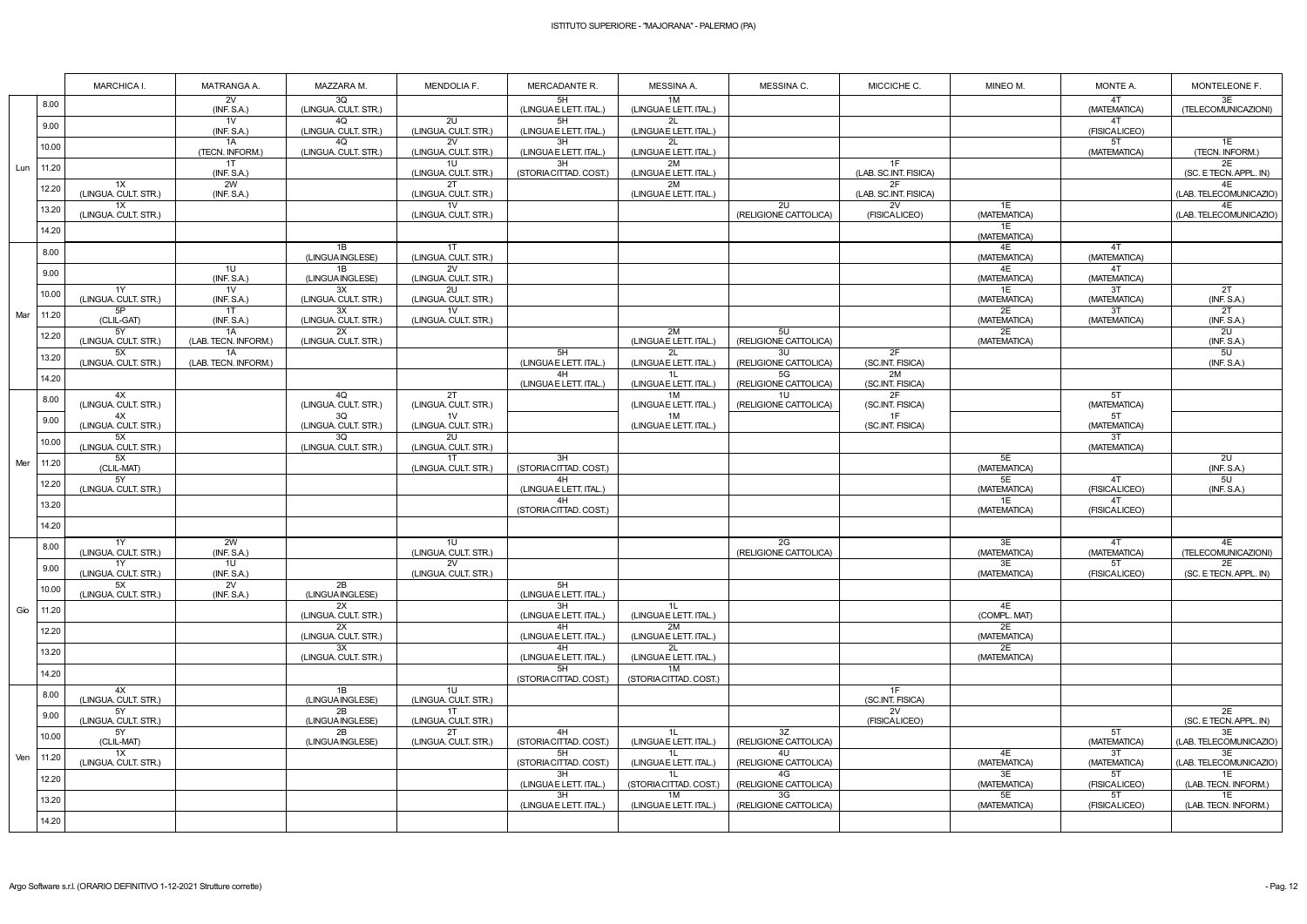|     |       | <b>MARCHICA I.</b>                      | MATRANGA A.                   | MAZZARA M.                 | <b>MENDOLIA F.</b>                      | MERCADANTE R.                | MESSINA A.                               | MESSINA C.                         | MICCICHE C.                 | MINEO M.           | MONTE A.                        | MONTELEONE F.                  |
|-----|-------|-----------------------------------------|-------------------------------|----------------------------|-----------------------------------------|------------------------------|------------------------------------------|------------------------------------|-----------------------------|--------------------|---------------------------------|--------------------------------|
|     | 8.00  |                                         | 2V<br>(INF. S.A.)             | 3Q<br>(LINGUA. CULT. STR.) |                                         | 5H<br>(LINGUAE LETT. ITAL.)  | 1M<br>(LINGUAE LETT. ITAL.)              |                                    |                             |                    | 4T<br>(MATEMATICA)              | 3E<br>(TELECOMUNICAZIONI)      |
|     | 9.00  |                                         | 1V<br>(INF. S.A.)             | 4Q<br>(LINGUA. CULT. STR.) | 2U<br>(LINGUA. CULT. STR.)              | 5H<br>(LINGUAE LETT. ITAL.)  | 2L<br>(LINGUA E LETT. ITAL.)             |                                    |                             |                    | 4T<br>(FISICALICEO)             |                                |
|     | 10.00 |                                         | 1A<br>(TECN. INFORM.)         | 4Q<br>(LINGUA. CULT. STR.) | 2V<br>(LINGUA. CULT. STR.)              | 3H<br>(LINGUA E LETT. ITAL.) | 2L<br>(LINGUA E LETT. ITAL.)             |                                    |                             |                    | 5T<br>(MATEMATICA)              | 1E<br>(TECN. INFORM.)          |
| Lun | 11.20 |                                         | 1T<br>(INF. S.A.)             |                            | 1U<br>(LINGUA. CULT. STR.)              | 3H<br>(STORIA CITTAD. COST.) | 2M<br>(LINGUAE LETT. ITAL.)              |                                    | 1F<br>(LAB. SC.INT. FISICA) |                    |                                 | 2E<br>(SC. E TECN. APPL. IN)   |
|     | 12.20 | 1X<br>(LINGUA. CULT. STR.)              | 2W<br>(INF. S.A.)             |                            | 2T<br>(LINGUA. CULT. STR.)              |                              | 2M<br>(LINGUAE LETT. ITAL.)              |                                    | 2F<br>(LAB. SC.INT. FISICA) |                    |                                 | 4E<br>(LAB. TELECOMUNICAZIO)   |
|     | 13.20 | $\overline{1}X$<br>(LINGUA. CULT. STR.) |                               |                            | 1V<br>(LINGUA. CULT. STR.)              |                              |                                          | <b>2U</b><br>(RELIGIONE CATTOLICA) | 2V<br>(FISICALICEO)         | 1E<br>(MATEMATICA) |                                 | 4E<br>(LAB. TELECOMUNICAZIO)   |
|     | 14.20 |                                         |                               |                            |                                         |                              |                                          |                                    |                             | 1E<br>(MATEMATICA) |                                 |                                |
|     | 8.00  |                                         |                               | 1B<br>(LINGUA INGLESE)     | 1T<br>(LINGUA. CULT. STR.)              |                              |                                          |                                    |                             | 4E<br>(MATEMATICA) | 4T<br>(MATEMATICA)              |                                |
|     | 9.00  |                                         | 1U<br>(INF. S.A.)             | 1B<br>(LINGUA INGLESE)     | 2V<br>(LINGUA. CULT. STR.)              |                              |                                          |                                    |                             | 4E<br>(MATEMATICA) | 4T<br>(MATEMATICA)              |                                |
|     | 10.00 | 1Y<br>(LINGUA. CULT. STR.)              | $\overline{1}$<br>(INF. S.A.) | 3X<br>(LINGUA. CULT. STR.) | 2U<br>(LINGUA. CULT. STR.)              |                              |                                          |                                    |                             | 1E<br>(MATEMATICA) | 3T<br>(MATEMATICA)              | 2T<br>(INF. S.A.)              |
| Mar | 11.20 | 5P<br>(CLIL-GAT)                        | 1T<br>(INF. S.A.)             | 3X<br>(LINGUA. CULT. STR.) | 1V<br>(LINGUA. CULT. STR.)              |                              |                                          |                                    |                             | 2E<br>(MATEMATICA) | $\overline{3T}$<br>(MATEMATICA) | 2T<br>(INF. S.A.)              |
|     | 12.20 | 5Y<br>(LINGUA. CULT. STR.)              | 1A<br>(LAB. TECN. INFORM.)    | 2X<br>(LINGUA. CULT. STR.) |                                         |                              | 2M<br>(LINGUAE LETT. ITAL.)              | 5U<br>(RELIGIONE CATTOLICA)        |                             | 2E<br>(MATEMATICA) |                                 | $\overline{2U}$<br>(INF. S.A.) |
|     | 13.20 | 5X<br>(LINGUA. CULT. STR.)              | 1A<br>(LAB. TECN. INFORM.)    |                            |                                         | 5H<br>(LINGUAE LETT. ITAL.)  | 2L<br>(LINGUAE LETT. ITAL.)              | 3U<br>(RELIGIONE CATTOLICA)        | 2F<br>(SC.INT. FISICA)      |                    |                                 | 5U<br>(INF. S.A.)              |
|     | 14.20 |                                         |                               |                            |                                         | 4H<br>(LINGUAE LETT. ITAL.)  | 1L<br>(LINGUAE LETT. ITAL.)              | 5G<br>(RELIGIONE CATTOLICA)        | 2M<br>(SC.INT. FISICA)      |                    |                                 |                                |
|     | 8.00  | 4X<br>(LINGUA. CULT. STR.)              |                               | 4Q<br>(LINGUA. CULT. STR.) | 2T<br>(LINGUA. CULT. STR.)              |                              | 1M<br>(LINGUAE LETT. ITAL.)              | 1U<br>(RELIGIONE CATTOLICA)        | 2F<br>(SC.INT. FISICA)      |                    | 5T<br>(MATEMATICA)              |                                |
|     | 9.00  | 4X<br>(LINGUA. CULT. STR.)              |                               | 3Q<br>(LINGUA. CULT. STR.) | $\overline{11}$<br>(LINGUA. CULT. STR.) |                              | 1M<br>(LINGUAE LETT. ITAL.)              |                                    | 1F<br>(SC.INT. FISICA)      |                    | 5T<br>(MATEMATICA)              |                                |
|     | 10.00 | 5X<br>(LINGUA. CULT. STR.)              |                               | 3Q<br>(LINGUA. CULT. STR.) | 2U<br>(LINGUA. CULT. STR.)              |                              |                                          |                                    |                             |                    | 3T<br>(MATEMATICA)              |                                |
| Mer | 11.20 | 5X<br>(CLIL-MAT)                        |                               |                            | 1T<br>(LINGUA. CULT. STR.)              | 3H<br>(STORIA CITTAD. COST.) |                                          |                                    |                             | 5E<br>(MATEMATICA) |                                 | 2U<br>(INF. S.A.)              |
|     | 12.20 | 5Y<br>(LINGUA. CULT. STR.)              |                               |                            |                                         | 4H<br>(LINGUAE LETT. ITAL.)  |                                          |                                    |                             | 5E<br>(MATEMATICA) | 4T<br>(FISICALICEO)             | 5U<br>(INF. S.A.)              |
|     | 13.20 |                                         |                               |                            |                                         | 4H<br>(STORIA CITTAD. COST.) |                                          |                                    |                             | 1E<br>(MATEMATICA) | 4T<br>(FISICALICEO)             |                                |
|     | 14.20 |                                         |                               |                            |                                         |                              |                                          |                                    |                             |                    |                                 |                                |
|     | 8.00  | 1Y<br>(LINGUA. CULT. STR.)              | 2W<br>(INF. S.A.)             |                            | 1U<br>(LINGUA. CULT. STR.)              |                              |                                          | 2G<br>(RELIGIONE CATTOLICA)        |                             | 3E<br>(MATEMATICA) | 4T<br>(MATEMATICA)              | 4E<br>(TELECOMUNICAZIONI)      |
|     | 9.00  | 1Y<br>(LINGUA. CULT. STR.)              | 10<br>(INF. S.A.)             |                            | 2V<br>(LINGUA. CULT. STR.)              |                              |                                          |                                    |                             | 3E<br>(MATEMATICA) | 5T<br>(FISICALICEO)             | 2E<br>(SC. E TECN. APPL. IN)   |
|     | 10.00 | 5X<br>(LINGUA. CULT. STR.)              | 2V<br>(INF. S.A.)             | 2B<br>(LINGUA INGLESE)     |                                         | 5H<br>(LINGUAE LETT. ITAL.)  |                                          |                                    |                             |                    |                                 |                                |
| Gio | 11.20 |                                         |                               | 2X<br>(LINGUA. CULT. STR.) |                                         | 3H<br>(LINGUA E LETT. ITAL.) | 1L<br>(LINGUAE LETT. ITAL.)              |                                    |                             | 4E<br>(COMPL. MAT) |                                 |                                |
|     | 12.20 |                                         |                               | 2X<br>(LINGUA. CULT. STR.) |                                         | 4H<br>(LINGUA E LETT. ITAL.) | 2M<br>(LINGUAE LETT. ITAL.)              |                                    |                             | 2E<br>(MATEMATICA) |                                 |                                |
|     | 13.20 |                                         |                               | 3X<br>(LINGUA. CULT. STR.) |                                         | 4H<br>(LINGUAE LETT. ITAL.)  | 2L<br>(LINGUAE LETT. ITAL.)              |                                    |                             | 2E<br>(MATEMATICA) |                                 |                                |
|     | 14.20 |                                         |                               |                            |                                         | 5H<br>(STORIA CITTAD. COST.) | 1M<br>(STORIA CITTAD. COST.)             |                                    |                             |                    |                                 |                                |
|     | 8.00  | 4X<br>(LINGUA. CULT. STR.)              |                               | 1B<br>(LINGUA INGLESE)     | 1U<br>(LINGUA. CULT. STR.)              |                              |                                          |                                    | 1F<br>(SC.INT. FISICA)      |                    |                                 |                                |
|     | 9.00  | 5Y<br>(LINGUA. CULT. STR.)              |                               | 2B<br>(LINGUA INGLESE)     | 1T<br>(LINGUA. CULT. STR.)              |                              |                                          |                                    | 2V<br>(FISICALICEO)         |                    |                                 | 2E<br>(SC. E TECN. APPL. IN)   |
|     | 10.00 | 5Y<br>(CLIL-MAT)                        |                               | 2B<br>(LINGUA INGLESE)     | 2T<br>(LINGUA. CULT. STR.)              | 4H<br>(STORIA CITTAD. COST.) | 1L<br>(LINGUA E LETT. ITAL.)             | 3Z<br>(RELIGIONE CATTOLICA)        |                             |                    | 5T<br>(MATEMATICA)              | 3E<br>(LAB. TELECOMUNICAZIO)   |
| Ven | 11.20 | 1X<br>(LINGUA. CULT. STR.)              |                               |                            |                                         | 5H<br>(STORIA CITTAD. COST.) | 1 <sub>L</sub><br>(LINGUA E LETT. ITAL.) | 4U<br>(RELIGIONE CATTOLICA)        |                             | 4E<br>(MATEMATICA) | 3T<br>(MATEMATICA)              | 3E<br>(LAB. TELECOMUNICAZIO)   |
|     | 12.20 |                                         |                               |                            |                                         | 3H<br>(LINGUAE LETT. ITAL.)  | 1L<br>(STORIA CITTAD. COST.)             | 4G<br>(RELIGIONE CATTOLICA)        |                             | 3E<br>(MATEMATICA) | 5T<br>(FISICALICEO)             | 1E<br>(LAB. TECN. INFORM.)     |
|     | 13.20 |                                         |                               |                            |                                         | 3H<br>(LINGUA E LETT. ITAL.) | 1M<br>(LINGUA E LETT. ITAL.)             | 3G<br>(RELIGIONE CATTOLICA)        |                             | 5E<br>(MATEMATICA) | 5T<br>(FISICALICEO)             | 1E<br>(LAB. TECN. INFORM.)     |
|     | 14.20 |                                         |                               |                            |                                         |                              |                                          |                                    |                             |                    |                                 |                                |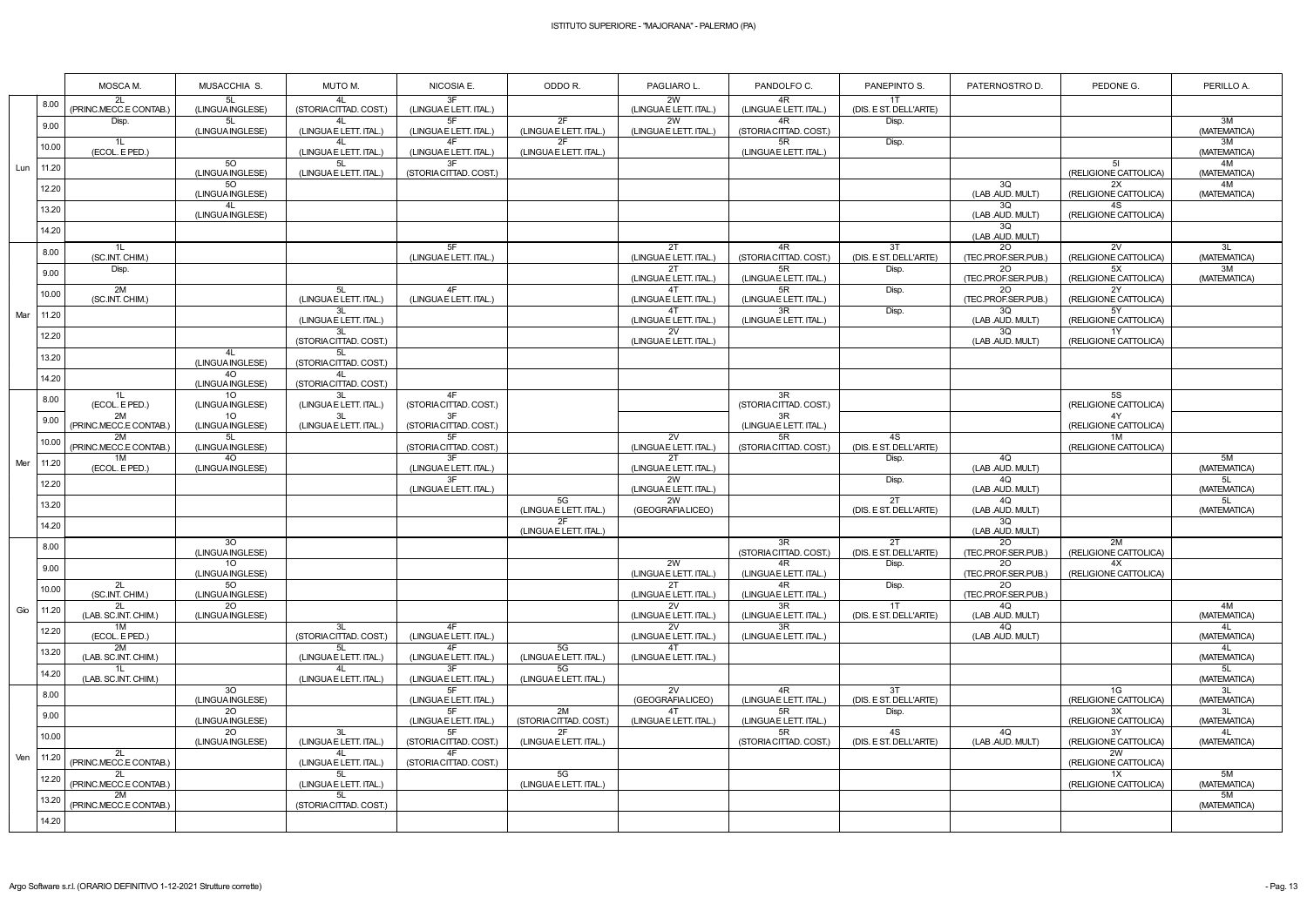|     |               | MOSCA M.                           | MUSACCHIA S.                              | MUTO M.                            | NICOSIA E.                   | ODDO R.                      | PAGLIARO L.                       | PANDOLFO C.                                                  | PANEPINTO S.                    | PATERNOSTRO D.                   | PEDONE G.                         | PERILLO A.         |
|-----|---------------|------------------------------------|-------------------------------------------|------------------------------------|------------------------------|------------------------------|-----------------------------------|--------------------------------------------------------------|---------------------------------|----------------------------------|-----------------------------------|--------------------|
|     | 8.00          | 2L<br>(PRINC.MECC.E CONTAB.)       | 5L<br>(LINGUA INGLESE)                    | 4L<br>(STORIA CITTAD. COST.)       | 3F<br>(LINGUAE LETT. ITAL.)  |                              | 2W<br>(LINGUAE LETT. ITAL.)       | 4R<br>(LINGUAE LETT. ITAL.)                                  | 1T<br>(DIS. E ST. DELL'ARTE)    |                                  |                                   |                    |
|     | 9.00          | Disp.                              | 5L<br>(LINGUA INGLESE)                    | 41<br>(LINGUA E LETT. ITAL.)       | 5F<br>(LINGUAE LETT. ITAL.)  | 2F<br>(LINGUAE LETT. ITAL.)  | 2W<br>(LINGUAE LETT. ITAL.)       | 4R<br>(STORIA CITTAD. COST.)                                 | Disp.                           |                                  |                                   | 3M<br>(MATEMATICA) |
|     | 10.00         | 1L<br>(ECOL. E PED.)               |                                           | 4L<br>(LINGUA E LETT. ITAL.)       | 4F<br>(LINGUAE LETT. ITAL.)  | 2F<br>(LINGUAE LETT. ITAL.)  |                                   | 5R<br>(LINGUAE LETT. ITAL.)                                  | Disp.                           |                                  |                                   | 3M<br>(MATEMATICA) |
| Lun | 11.20         |                                    | $\overline{50}$<br>(LINGUA INGLESE)       | 5L<br>(LINGUA E LETT. ITAL.)       | 3F<br>(STORIA CITTAD. COST.) |                              |                                   |                                                              |                                 |                                  | 5I<br>(RELIGIONE CATTOLICA)       | 4M<br>(MATEMATICA) |
|     | 12.20         |                                    | 50<br>(LINGUA INGLESE)                    |                                    |                              |                              |                                   |                                                              |                                 | 3Q<br>(LAB .AUD. MULT)           | 2X<br>(RELIGIONE CATTOLICA)       | 4M<br>(MATEMATICA) |
|     | 13.20         |                                    | 4L<br>(LINGUA INGLESE)                    |                                    |                              |                              |                                   |                                                              |                                 | 3Q<br>(LAB .AUD. MULT)           | 4S<br>(RELIGIONE CATTOLICA)       |                    |
|     | 14.20         |                                    |                                           |                                    |                              |                              |                                   |                                                              |                                 | 3Q<br>(LAB .AUD. MULT)           |                                   |                    |
|     | 8.00          | 1L<br>(SC.INT. CHIM.)              |                                           |                                    | 5F<br>(LINGUAE LETT. ITAL.)  |                              | 2T<br>(LINGUA E LETT. ITAL.)      | 4R<br>(STORIA CITTAD. COST.)                                 | 3T<br>(DIS. E ST. DELL'ARTE)    | 20<br>(TEC.PROF.SER.PUB.)        | 2V<br>(RELIGIONE CATTOLICA)       | 3L<br>(MATEMATICA) |
|     | 9.00          | Disp.                              |                                           |                                    |                              |                              | 2T<br>(LINGUAE LETT. ITAL.)       | 5R<br>(LINGUA E LETT. ITAL.)                                 | Disp.                           | 20<br>(TEC.PROF.SER.PUB.)        | 5X<br>(RELIGIONE CATTOLICA)       | 3M<br>(MATEMATICA) |
|     | 10.00         | 2M<br>(SC.INT. CHIM.)              |                                           | 5L<br>(LINGUA E LETT. ITAL.)       | 4F<br>(LINGUAE LETT. ITAL.)  |                              | 4T<br>(LINGUA E LETT. ITAL.)      | 5R<br>(LINGUAE LETT. ITAL.)                                  | Disp.                           | 20<br>(TEC.PROF.SER.PUB.)        | 2Y<br>(RELIGIONE CATTOLICA)       |                    |
| Mar | 11.20         |                                    |                                           | 3L<br>(LINGUA E LETT. ITAL.)       |                              |                              | 4T<br>(LINGUA E LETT. ITAL.)      | 3R<br>(LINGUAE LETT. ITAL.)                                  | Disp.                           | 3Q<br>(LAB .AUD. MULT)           | 5Y<br>(RELIGIONE CATTOLICA)       |                    |
|     | 12.20         |                                    |                                           | 3L<br>(STORIA CITTAD. COST.)       |                              |                              | 2V<br>(LINGUAE LETT. ITAL.)       |                                                              |                                 | 3Q<br>(LAB .AUD. MULT)           | 1Y<br>(RELIGIONE CATTOLICA)       |                    |
|     | 13.20         |                                    | 4L<br>(LINGUA INGLESE)                    | 5L<br>(STORIA CITTAD. COST.)       |                              |                              |                                   |                                                              |                                 |                                  |                                   |                    |
|     | 14.20         |                                    | 40<br>(LINGUA INGLESE)                    | 4L<br>(STORIA CITTAD. COST.)       | 4F                           |                              |                                   |                                                              |                                 |                                  |                                   |                    |
|     | 8.00          | 1L<br>(ECOL. E PED.)<br>2M         | 10 <sup>°</sup><br>(LINGUA INGLESE)<br>10 | 3L<br>(LINGUA E LETT. ITAL.)<br>3L | (STORIA CITTAD. COST.)<br>3F |                              |                                   | $\overline{3R}$<br>(STORIA CITTAD. COST.)<br>$\overline{3R}$ |                                 |                                  | 5S<br>(RELIGIONE CATTOLICA)<br>4Y |                    |
|     | 9.00          | (PRINC.MECC.E CONTAB.              | (LINGUA INGLESE)<br>5L                    | (LINGUA E LETT. ITAL.)             | (STORIA CITTAD. COST.)<br>5F |                              |                                   | (LINGUA E LETT. ITAL.)                                       |                                 |                                  | (RELIGIONE CATTOLICA)             |                    |
|     | 10.00         | 2M<br>(PRINC.MECC.E CONTAB.)<br>1M | (LINGUA INGLESE)<br>40                    |                                    | (STORIA CITTAD. COST.)<br>3F |                              | 2V<br>(LINGUAE LETT. ITAL.)<br>2T | 5R<br>(STORIA CITTAD, COST.)                                 | 4S<br>(DIS. E ST. DELL'ARTE)    | 4Q                               | 1M<br>(RELIGIONE CATTOLICA)       | 5M                 |
| Mer | 11.20         | (ECOL. E PED.)                     | (LINGUA INGLESE)                          |                                    | (LINGUAE LETT. ITAL.)<br>3F  |                              | (LINGUAE LETT. ITAL.)<br>2W       |                                                              | Disp.<br>Disp.                  | (LAB .AUD. MULT)<br>4Q           |                                   | (MATEMATICA)<br>5L |
|     | 12.20         |                                    |                                           |                                    | (LINGUA E LETT. ITAL.)       | 5G                           | (LINGUAE LETT. ITAL.)<br>2W       |                                                              | 2T                              | (LAB .AUD. MULT)<br>4Q           |                                   | (MATEMATICA)<br>5L |
|     | 13.20         |                                    |                                           |                                    |                              | (LINGUAE LETT. ITAL.)<br>2F  | (GEOGRAFIA LICEO)                 |                                                              | (DIS. E ST. DELL'ARTE)          | (LAB .AUD. MULT)<br>3Q           |                                   | (MATEMATICA)       |
|     | 14.20         |                                    | 30                                        |                                    |                              | (LINGUAE LETT. ITAL.)        |                                   | 3R                                                           | 2T                              | (LAB .AUD. MULT)<br>20           | 2M                                |                    |
|     | 8.00          |                                    | (LINGUA INGLESE)<br>$10-1$                |                                    |                              |                              | 2W                                | (STORIA CITTAD. COST.)<br>4R                                 | (DIS. E ST. DELL'ARTE)<br>Disp. | (TEC.PROF.SER.PUB.)<br><b>20</b> | (RELIGIONE CATTOLICA)<br>4X       |                    |
|     | 9.00          | 2L                                 | (LINGUA INGLESE)<br>50                    |                                    |                              |                              | (LINGUA E LETT. ITAL.)<br>2T      | (LINGUAE LETT. ITAL.)<br>4R                                  | Disp.                           | (TEC.PROF.SER.PUB.)<br>2O        | (RELIGIONE CATTOLICA)             |                    |
|     | 10.00         | (SC.INT. CHIM.)<br>2L              | (LINGUA INGLESE)<br>20                    |                                    |                              |                              | (LINGUAE LETT. ITAL.)<br>2V       | (LINGUAE LETT. ITAL.)<br>3R                                  | 1T                              | (TEC.PROF.SER.PUB.)<br>4Q        |                                   | 4M                 |
| Gio | 11.20         | (LAB. SC.INT. CHIM.)<br>1M         | (LINGUA INGLESE)                          | -3L                                | 4F                           |                              | (LINGUAE LETT. ITAL.)<br>2V       | (LINGUAE LETT. ITAL.)<br>3R                                  | (DIS. E ST. DELL'ARTE)          | (LAB .AUD. MULT)<br>4Q           |                                   | (MATEMATICA)<br>4L |
|     | 12.20         | (ECOL. E PED.)<br>2M               |                                           | (STORIA CITTAD. COST.)<br>5L       | (LINGUAE LETT. ITAL.)<br>4F  | 5G                           | (LINGUAE LETT. ITAL.)<br>4T       | (LINGUA E LETT. ITAL.)                                       |                                 | (LAB .AUD. MULT)                 |                                   | (MATEMATICA)<br>4L |
|     | 13.20         | (LAB. SC.INT. CHIM.)<br>1L         |                                           | (LINGUA E LETT. ITAL.)<br>41       | (LINGUAE LETT. ITAL.)<br>3F  | (LINGUAE LETT. ITAL.)<br>5G  | (LINGUAE LETT. ITAL.)             |                                                              |                                 |                                  |                                   | (MATEMATICA)<br>5L |
|     | 14.20         | (LAB. SC.INT. CHIM.)               | 30                                        | (LINGUA E LETT. ITAL.)             | (LINGUAE LETT. ITAL.)        | (LINGUAE LETT. ITAL.)        | 2V                                | 4R                                                           | 3T                              |                                  | 1G                                | (MATEMATICA)<br>3L |
|     | 8.00          |                                    | (LINGUA INGLESE)<br>20                    |                                    | (LINGUA E LETT. ITAL.)<br>5F | 2M                           | (GEOGRAFIA LICEO)<br>4T           | (LINGUAE LETT. ITAL.)<br>5R                                  | (DIS. E ST. DELL'ARTE)<br>Disp. |                                  | (RELIGIONE CATTOLICA)<br>3X       | (MATEMATICA)<br>3L |
|     | 9.00          |                                    | (LINGUA INGLESE)<br>20                    | 3L                                 | (LINGUAE LETT. ITAL.)<br>5F  | (STORIA CITTAD. COST.)<br>2F | (LINGUAE LETT. ITAL.)             | (LINGUA E LETT. ITAL.)<br>5R                                 | 4S                              | 4Q                               | (RELIGIONE CATTOLICA)<br>3Y       | (MATEMATICA)<br>4L |
|     | 10.00         | 2L                                 | (LINGUA INGLESE)                          | (LINGUA E LETT. ITAL.)<br>4L       | (STORIA CITTAD. COST.)<br>4F | (LINGUAE LETT. ITAL.)        |                                   | (STORIA CITTAD. COST.)                                       | (DIS. E ST. DELL'ARTE)          | (LAB .AUD. MULT)                 | (RELIGIONE CATTOLICA)<br>2W       | (MATEMATICA)       |
| Ven | $\vert$ 11.20 | (PRINC.MECC.E CONTAB.)<br>2L       |                                           | (LINGUA E LETT. ITAL.)<br>5L       | (STORIA CITTAD. COST.)       | 5G                           |                                   |                                                              |                                 |                                  | (RELIGIONE CATTOLICA)<br>1X       | 5M                 |
|     | 12.20         | (PRINC.MECC.E CONTAB.)<br>2M       |                                           | (LINGUA E LETT. ITAL.)<br>5L       |                              | (LINGUAE LETT. ITAL.)        |                                   |                                                              |                                 |                                  | (RELIGIONE CATTOLICA)             | (MATEMATICA)<br>5M |
|     | 13.20         | (PRINC.MECC.E CONTAB.)             |                                           | (STORIA CITTAD. COST.)             |                              |                              |                                   |                                                              |                                 |                                  |                                   | (MATEMATICA)       |
|     | 14.20         |                                    |                                           |                                    |                              |                              |                                   |                                                              |                                 |                                  |                                   |                    |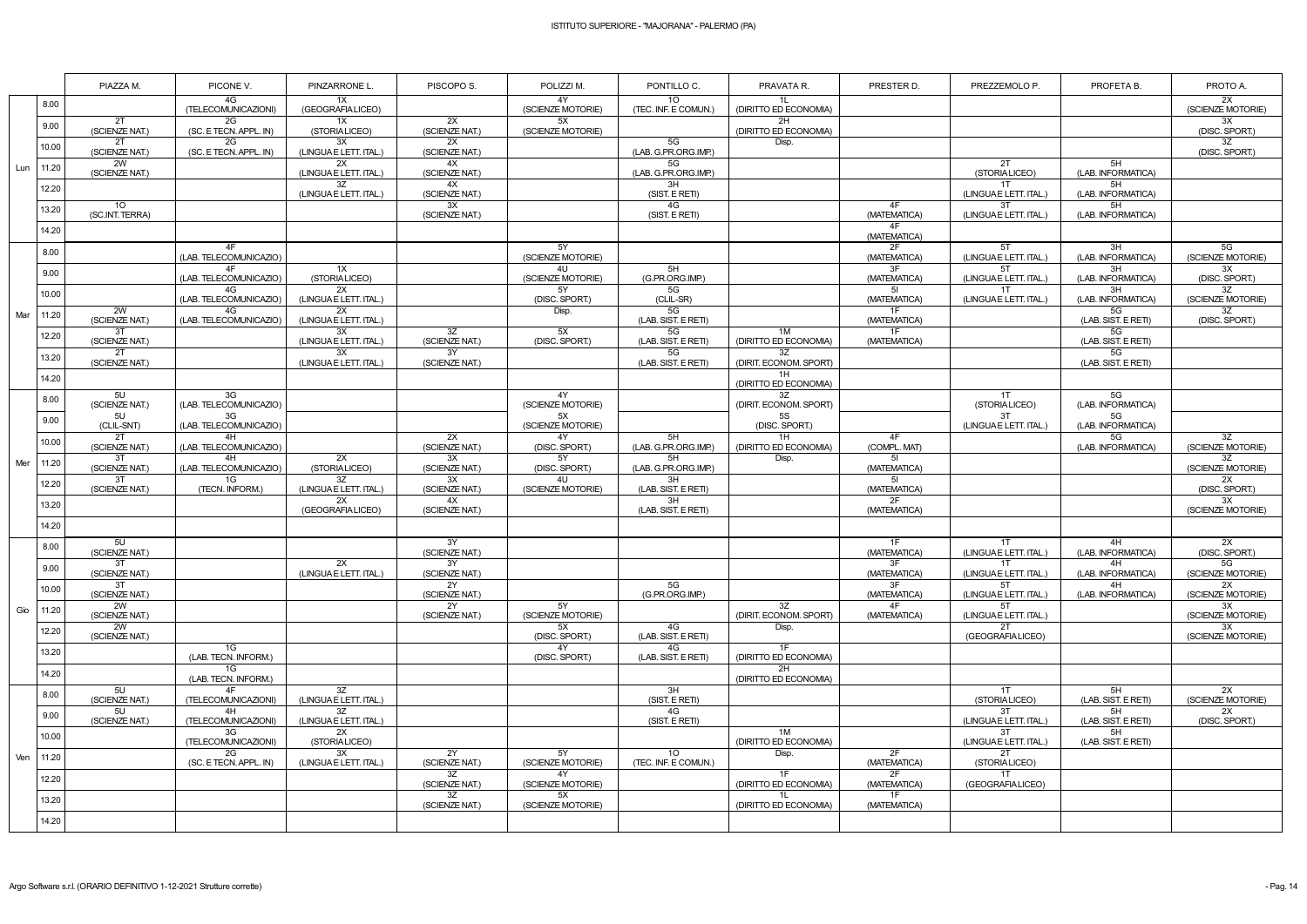|     |       | PIAZZA M.                          | PICONE V.                    | PINZARRONE L.                | PISCOPO S.                        | POLIZZI M.              | PONTILLO C.                             | PRAVATA R.                   | PRESTER D.         | PREZZEMOLO P.                | PROFETA B.                | PROTO A.                |
|-----|-------|------------------------------------|------------------------------|------------------------------|-----------------------------------|-------------------------|-----------------------------------------|------------------------------|--------------------|------------------------------|---------------------------|-------------------------|
|     | 8.00  |                                    | 4G<br>(TELECOMUNICAZIONI)    | 1X<br>(GEOGRAFIA LICEO)      |                                   | 4Y<br>(SCIENZE MOTORIE) | 10 <sup>°</sup><br>(TEC. INF. E COMUN.  | 1L<br>(DIRITTO ED ECONOMIA)  |                    |                              |                           | 2X<br>(SCIENZE MOTORIE) |
|     | 9.00  | 2T<br>(SCIENZE NAT.)               | 2G<br>(SC. E TECN. APPL. IN) | 1X<br>(STORIALICEO)          | 2X<br>(SCIENZE NAT.)              | 5X<br>(SCIENZE MOTORIE) |                                         | 2H<br>(DIRITTO ED ECONOMIA)  |                    |                              |                           | 3X<br>(DISC. SPORT.)    |
|     | 10.00 | 2T<br>(SCIENZE NAT.)               | 2G<br>(SC. E TECN. APPL. IN) | 3X<br>(LINGUA E LETT. ITAL.) | 2X<br>(SCIENZE NAT.)              |                         | 5G<br>(LAB. G.PR.ORG.IMP.)              | Disp.                        |                    |                              |                           | 3Z<br>(DISC. SPORT.)    |
| Lun | 11.20 | 2W<br>(SCIENZE NAT.)               |                              | 2X<br>(LINGUA E LETT. ITAL.) | 4X<br>(SCIENZE NAT.)              |                         | 5G<br>(LAB. G.PR.ORG.IMP.)              |                              |                    | 2T<br>(STORIALICEO)          | 5H<br>(LAB. INFORMATICA)  |                         |
|     | 12.20 |                                    |                              | 3Z<br>(LINGUA E LETT. ITAL.) | 4X<br>(SCIENZE NAT.)              |                         | 3H<br>(SIST. E RETI)                    |                              |                    | 1T<br>(LINGUAE LETT. ITAL.)  | 5H<br>(LAB. INFORMATICA)  |                         |
|     | 13.20 | 10 <sup>°</sup><br>(SC.INT. TERRA) |                              |                              | 3X<br>(SCIENZE NAT.)              |                         | 4G<br>(SIST. E RETI)                    |                              | 4F<br>(MATEMATICA) | 3T<br>(LINGUAE LETT. ITAL.)  | 5H<br>(LAB. INFORMATICA)  |                         |
|     | 14.20 |                                    |                              |                              |                                   |                         |                                         |                              | 4F<br>(MATEMATICA) |                              |                           |                         |
|     | 8.00  |                                    | 4F<br>(LAB. TELECOMUNICAZIO) |                              |                                   | 5Y<br>(SCIENZE MOTORIE) |                                         |                              | 2F<br>(MATEMATICA) | 5T<br>(LINGUA E LETT. ITAL.) | 3H<br>(LAB. INFORMATICA)  | 5G<br>(SCIENZE MOTORIE) |
|     | 9.00  |                                    | 4F<br>(LAB. TELECOMUNICAZIO) | 1X<br>(STORIALICEO)          |                                   | 4U<br>(SCIENZE MOTORIE) | 5H<br>(G.PR.ORG.IMP.)                   |                              | 3F<br>(MATEMATICA) | 5T<br>(LINGUAE LETT. ITAL.)  | 3H<br>(LAB. INFORMATICA)  | 3X<br>(DISC. SPORT.)    |
|     | 10.00 |                                    | 4G<br>(LAB. TELECOMUNICAZIO) | 2X<br>(LINGUA E LETT. ITAL.) |                                   | 5Y<br>(DISC. SPORT.)    | 5G<br>(CLIL-SR)                         |                              | 5I<br>(MATEMATICA) | 1T<br>(LINGUAE LETT. ITAL.)  | 3H<br>(LAB. INFORMATICA)  | 3Z<br>(SCIENZE MOTORIE) |
| Mar | 11.20 | 2W<br>(SCIENZE NAT.)               | 4G<br>(LAB. TELECOMUNICAZIO) | 2X<br>(LINGUA E LETT. ITAL.) |                                   | Disp.                   | 5G<br>(LAB. SIST. E RETI)               |                              | 1F<br>(MATEMATICA) |                              | 5G<br>(LAB. SIST. E RETI) | 3Z<br>(DISC. SPORT.)    |
|     | 12.20 | 3T<br>(SCIENZE NAT.)               |                              | 3X<br>(LINGUA E LETT. ITAL.) | 3Z<br>(SCIENZE NAT.)              | 5X<br>(DISC. SPORT.)    | 5G<br>(LAB. SIST. E RETI)               | 1M<br>(DIRITTO ED ECONOMIA)  | 1F<br>(MATEMATICA) |                              | 5G<br>(LAB. SIST. E RETI) |                         |
|     | 13.20 | 2T<br>(SCIENZE NAT.)               |                              | 3X<br>(LINGUA E LETT. ITAL.) | $\overline{3Y}$<br>(SCIENZE NAT.) |                         | 5G<br>(LAB. SIST. E RETI)               | 3Z<br>(DIRIT. ECONOM. SPORT) |                    |                              | 5G<br>(LAB. SIST. E RETI) |                         |
|     | 14.20 |                                    |                              |                              |                                   |                         |                                         | 1H<br>(DIRITTO ED ECONOMIA)  |                    |                              |                           |                         |
|     | 8.00  | 5U<br>(SCIENZE NAT.)               | 3G<br>(LAB. TELECOMUNICAZIO) |                              |                                   | 4Y<br>(SCIENZE MOTORIE) |                                         | 3Z<br>(DIRIT. ECONOM. SPORT) |                    | 1T<br>(STORIALICEO)          | 5G<br>(LAB. INFORMATICA)  |                         |
|     | 9.00  | 5U<br>(CLIL-SNT)                   | 3G<br>(LAB. TELECOMUNICAZIO) |                              |                                   | 5X<br>(SCIENZE MOTORIE) |                                         | <b>5S</b><br>(DISC. SPORT.)  |                    | 3T<br>(LINGUAE LETT. ITAL.)  | 5G<br>(LAB. INFORMATICA)  |                         |
|     | 10.00 | 2T<br>(SCIENZE NAT.)               | 4H<br>(LAB. TELECOMUNICAZIO) |                              | 2X<br>(SCIENZE NAT.)              | 4Y<br>(DISC. SPORT.)    | 5H<br>(LAB. G.PR.ORG.IMP.)              | 1H<br>(DIRITTO ED ECONOMIA)  | 4F<br>(COMPL. MAT) |                              | 5G<br>(LAB. INFORMATICA)  | 3Z<br>(SCIENZE MOTORIE) |
| Mer | 11.20 | 3T<br>(SCIENZE NAT.)               | 4H<br>(LAB. TELECOMUNICAZIO) | 2X<br>(STORIALICEO)          | 3X<br>(SCIENZE NAT.)              | 5Y<br>(DISC. SPORT.)    | 5H<br>(LAB. G.PR.ORG.IMP.)              | Disp.                        | 51<br>(MATEMATICA) |                              |                           | 3Z<br>(SCIENZE MOTORIE) |
|     | 12.20 | 3T<br>(SCIENZE NAT.)               | 1G<br>(TECN. INFORM.)        | 3Z<br>(LINGUA E LETT. ITAL.) | 3X<br>(SCIENZE NAT.)              | 4U<br>(SCIENZE MOTORIE) | 3H<br>(LAB. SIST. E RETI)               |                              | 51<br>(MATEMATICA) |                              |                           | 2X<br>(DISC. SPORT.)    |
|     | 13.20 |                                    |                              | 2X<br>(GEOGRAFIA LICEO)      | 4X<br>(SCIENZE NAT.)              |                         | 3H<br>(LAB. SIST. E RETI)               |                              | 2F<br>(MATEMATICA) |                              |                           | 3X<br>(SCIENZE MOTORIE) |
|     | 14.20 |                                    |                              |                              |                                   |                         |                                         |                              |                    |                              |                           |                         |
|     | 8.00  | 5U<br>(SCIENZE NAT.)               |                              |                              | 3Y<br>(SCIENZE NAT.)              |                         |                                         |                              | 1F<br>(MATEMATICA) | 1T<br>(LINGUAE LETT. ITAL.)  | 4H<br>(LAB. INFORMATICA)  | 2X<br>(DISC. SPORT.)    |
|     | 9.00  | 3T<br>(SCIENZE NAT.)               |                              | 2X<br>(LINGUA E LETT. ITAL.) | 3Y<br>(SCIENZE NAT.)              |                         |                                         |                              | 3F<br>(MATEMATICA) | 1T<br>(LINGUAE LETT. ITAL.)  | 4H<br>(LAB. INFORMATICA)  | 5G<br>(SCIENZE MOTORIE) |
|     | 10.00 | 3T<br>(SCIENZE NAT.)               |                              |                              | 2Y<br>(SCIENZE NAT.)              |                         | 5G<br>(G.PR.ORG.IMP.)                   |                              | 3F<br>(MATEMATICA) | 5T<br>(LINGUAE LETT. ITAL.)  | 4H<br>(LAB. INFORMATICA)  | 2X<br>(SCIENZE MOTORIE) |
| Gio | 11.20 | 2W<br>(SCIENZE NAT.)               |                              |                              | 2Y<br>(SCIENZE NAT.)              | 5Y<br>(SCIENZE MOTORIE) |                                         | 3Z<br>(DIRIT. ECONOM. SPORT) | 4F<br>(MATEMATICA) | 5T<br>(LINGUAE LETT. ITAL.)  |                           | 3X<br>(SCIENZE MOTORIE) |
|     | 12.20 | 2W<br>(SCIENZE NAT.)               |                              |                              |                                   | 5X<br>(DISC. SPORT.)    | 4G<br>(LAB. SIST. E RETI)               | Disp.                        |                    | 2T<br>(GEOGRAFIA LICEO)      |                           | 3X<br>(SCIENZE MOTORIE) |
|     | 13.20 |                                    | 1G<br>(LAB. TECN. INFORM.)   |                              |                                   | 4Y<br>(DISC. SPORT.)    | 4G<br>(LAB. SIST. E RETI)               | 1F<br>(DIRITTO ED ECONOMIA)  |                    |                              |                           |                         |
|     | 14.20 |                                    | 1G<br>(LAB. TECN. INFORM.)   |                              |                                   |                         |                                         | 2H<br>(DIRITTO ED ECONOMIA)  |                    |                              |                           |                         |
|     | 8.00  | 5U<br>(SCIENZE NAT.)               | 4F<br>(TELECOMUNICAZIONI)    | 3Z<br>(LINGUA E LETT. ITAL.) |                                   |                         | 3H<br>(SIST. E RETI)                    |                              |                    | $1$ T<br>(STORIALICEO)       | 5H<br>(LAB. SIST. E RETI) | 2X<br>(SCIENZE MOTORIE) |
|     | 9.00  | 5U<br>(SCIENZE NAT.)               | 4H<br>(TELECOMUNICAZIONI)    | 3Z<br>(LINGUA E LETT. ITAL.) |                                   |                         | 4G<br>(SIST. E RETI)                    |                              |                    | 3T<br>(LINGUAE LETT. ITAL.)  | 5H<br>(LAB. SIST. E RETI) | 2X<br>(DISC. SPORT.)    |
| Ven | 10.00 |                                    | 3G<br>(TELECOMUNICAZIONI)    | 2X<br>(STORIALICEO)          |                                   |                         |                                         | 1M<br>(DIRITTO ED ECONOMIA)  |                    | 3T<br>(LINGUAE LETT. ITAL.)  | 5H<br>(LAB. SIST. E RETI) |                         |
|     | 11.20 |                                    | 2G<br>(SC. E TECN. APPL. IN) | 3X<br>(LINGUA E LETT. ITAL.) | 2Y<br>(SCIENZE NAT.)              | 5Y<br>(SCIENZE MOTORIE) | 10 <sup>°</sup><br>(TEC. INF. E COMUN.) | Disp.                        | 2F<br>(MATEMATICA) | 2T<br>(STORIALICEO)          |                           |                         |
|     | 12.20 |                                    |                              |                              | 3Z<br>(SCIENZE NAT.)              | 4Y<br>(SCIENZE MOTORIE) |                                         | 1F<br>(DIRITTO ED ECONOMIA)  | 2F<br>(MATEMATICA) | 1T<br>(GEOGRAFIALICEO)       |                           |                         |
|     | 13.20 |                                    |                              |                              | 3Z<br>(SCIENZE NAT.)              | 5X<br>(SCIENZE MOTORIE) |                                         | 1L<br>(DIRITTO ED ECONOMIA)  | 1F<br>(MATEMATICA) |                              |                           |                         |
|     | 14.20 |                                    |                              |                              |                                   |                         |                                         |                              |                    |                              |                           |                         |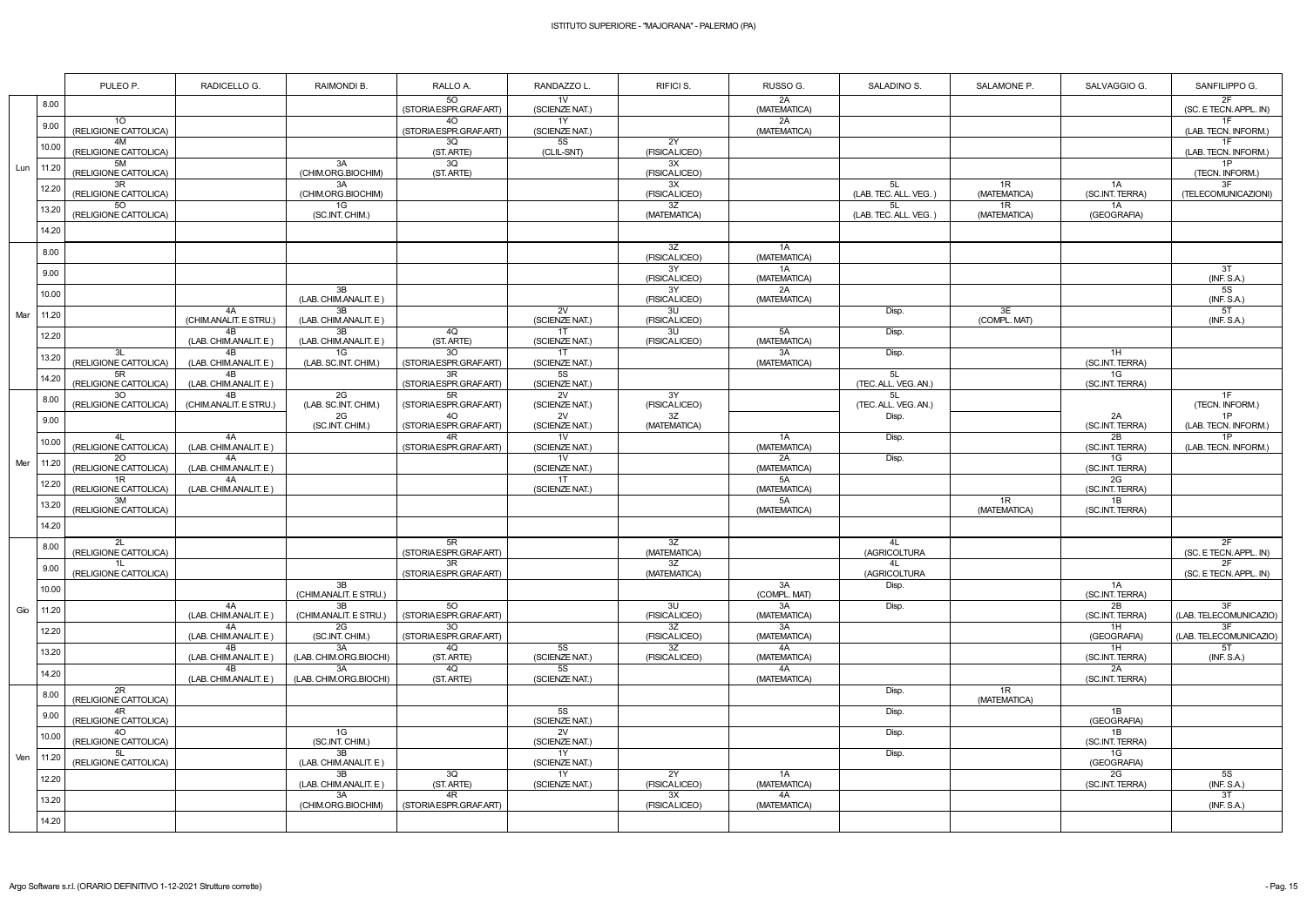|     |       | PULEO P.                                 | RADICELLO G.                             | RAIMONDI B.                  | RALLO A.                                  | RANDAZZO L                       | RIFICI S.                       | RUSSO G.           | SALADINO S.                 | SALAMONE P.        | SALVAGGIO G.            | SANFILIPPO G.                  |
|-----|-------|------------------------------------------|------------------------------------------|------------------------------|-------------------------------------------|----------------------------------|---------------------------------|--------------------|-----------------------------|--------------------|-------------------------|--------------------------------|
|     | 8.00  |                                          |                                          |                              | 50<br>(STORIA ESPR.GRAF.ART)              | 1V<br>(SCIENZE NAT.)             |                                 | 2A<br>(MATEMATICA) |                             |                    |                         | 2F<br>(SC. E TECN. APPL. IN)   |
|     | 9.00  | 10 <sup>°</sup><br>(RELIGIONE CATTOLICA) |                                          |                              | 40<br>(STORIA ESPR.GRAF.ART)              | 1Y<br>(SCIENZE NAT.)             |                                 | 2A<br>(MATEMATICA) |                             |                    |                         | 1F<br>(LAB. TECN. INFORM.)     |
|     | 10.00 | 4M<br>(RELIGIONE CATTOLICA)              |                                          |                              | 3Q<br>(ST. ARTE)                          | 5S<br>(CLIL-SNT)                 | 2Y<br>(FISICALICEO)             |                    |                             |                    |                         | 1F<br>(LAB. TECN. INFORM.)     |
| Lun | 11.20 | 5M<br>(RELIGIONE CATTOLICA)              |                                          | 3A<br>(CHIM.ORG.BIOCHIM)     | $\overline{3Q}$<br>(ST. ARTE)             |                                  | 3X<br>(FISICALICEO)             |                    |                             |                    |                         | 1P<br>(TECN. INFORM.)          |
|     | 12.20 | 3R<br>(RELIGIONE CATTOLICA)              |                                          | 3A<br>(CHIM.ORG.BIOCHIM)     |                                           |                                  | 3X<br>(FISICALICEO)             |                    | 5L<br>(LAB. TEC. ALL. VEG.) | 1R<br>(MATEMATICA) | 1A<br>(SC.INT. TERRA)   | 3F<br>(TELECOMUNICAZIONI)      |
|     | 13.20 | 5O<br>(RELIGIONE CATTOLICA)              |                                          | 1G<br>(SC.INT. CHIM.)        |                                           |                                  | 3Z<br>(MATEMATICA)              |                    | 5L<br>(LAB. TEC. ALL. VEG.) | 1R<br>(MATEMATICA) | 1A<br>(GEOGRAFIA)       |                                |
|     | 14.20 |                                          |                                          |                              |                                           |                                  |                                 |                    |                             |                    |                         |                                |
|     | 8.00  |                                          |                                          |                              |                                           |                                  | 3Z<br>(FISICALICEO)             | 1A<br>(MATEMATICA) |                             |                    |                         |                                |
|     | 9.00  |                                          |                                          |                              |                                           |                                  | 3Y<br>(FISICALICEO)             | 1A<br>(MATEMATICA) |                             |                    |                         | 3T<br>(INF. S.A.)              |
|     | 10.00 |                                          |                                          | 3B<br>(LAB. CHIM.ANALIT. E)  |                                           |                                  | 3Y<br>(FISICALICEO)             | 2A<br>(MATEMATICA) |                             |                    |                         | 5S<br>(INF. S.A.)              |
| Mar | 11.20 |                                          | 4A<br>(CHIM.ANALIT. E STRU.)             | 3B<br>(LAB. CHIM.ANALIT. E)  |                                           | 2V<br>(SCIENZE NAT.)             | 3U<br>(FISICALICEO)             |                    | Disp.                       | 3E<br>(COMPL. MAT) |                         | 5T<br>(INF. S.A.)              |
|     | 12.20 |                                          | 4B<br>(LAB. CHIM.ANALIT. E)              | 3B<br>(LAB. CHIM.ANALIT. E)  | 4Q<br>(ST. ARTE)                          | 1T<br>(SCIENZE NAT.)             | 3U<br>(FISICALICEO)             | 5A<br>(MATEMATICA) | Disp.                       |                    |                         |                                |
|     | 13.20 | 3L<br>(RELIGIONE CATTOLICA)              | 4B<br>(LAB. CHIM.ANALIT. E)              | 1G<br>(LAB. SC.INT. CHIM.)   | 30 <sup>°</sup><br>(STORIA ESPR.GRAF.ART) | 1T<br>(SCIENZE NAT.)             |                                 | 3A<br>(MATEMATICA) | Disp.                       |                    | 1H<br>(SC.INT. TERRA)   |                                |
|     | 14.20 | 5R<br>(RELIGIONE CATTOLICA)              | 4B<br>(LAB. CHIM.ANALIT. E)              |                              | 3R<br>(STORIA ESPR.GRAF.ART)              | 5S<br>(SCIENZE NAT.)             |                                 |                    | 5L<br>(TEC. ALL. VEG. AN.)  |                    | 1G<br>(SC.INT. TERRA)   |                                |
| Mer | 8.00  | 30<br>(RELIGIONE CATTOLICA)              | 4 <sub>R</sub><br>(CHIM.ANALIT. E STRU.) | 2G<br>(LAB. SC.INT. CHIM.)   | 5R<br>(STORIA ESPR.GRAF.ART)              | 2V<br>(SCIENZE NAT.)             | 3Y<br>(FISICALICEO)             |                    | 5L<br>(TEC. ALL. VEG. AN.)  |                    |                         | 1F<br>(TECN. INFORM.)          |
|     | 9.00  |                                          |                                          | 2G<br>(SC.INT. CHIM.)        | 40 <sup>°</sup><br>(STORIA ESPR.GRAF.ART) | 2V<br>(SCIENZE NAT.)             | $\overline{3Z}$<br>(MATEMATICA) |                    | Disp.                       |                    | 2A<br>(SC.INT. TERRA)   | 1P<br>(LAB. TECN. INFORM.)     |
|     | 10.00 | (RELIGIONE CATTOLICA)                    | 4A<br>(LAB. CHIM.ANALIT. E)              |                              | 4R<br>(STORIA ESPR.GRAF.ART)              | 1 <sub>V</sub><br>(SCIENZE NAT.) |                                 | 1A<br>(MATEMATICA) | Disp.                       |                    | 2B<br>(SC.INT. TERRA)   | 1P<br>(LAB. TECN. INFORM.)     |
|     | 11.20 | 20<br>(RELIGIONE CATTOLICA)              | 4A<br>(LAB. CHIM.ANALIT. E)              |                              |                                           | 1 <sub>V</sub><br>(SCIENZE NAT.) |                                 | 2A<br>(MATEMATICA) | Disp.                       |                    | 1G<br>(SC.INT. TERRA)   |                                |
|     | 12.20 | 1R<br>(RELIGIONE CATTOLICA)              | 4A<br>(LAB. CHIM.ANALIT. E)              |                              |                                           | 1T<br>(SCIENZE NAT.)             |                                 | 5A<br>(MATEMATICA) |                             |                    | 2G<br>(SC.INT. TERRA)   |                                |
|     | 13.20 | 3M<br>(RELIGIONE CATTOLICA)              |                                          |                              |                                           |                                  |                                 | 5A<br>(MATEMATICA) |                             | 1R<br>(MATEMATICA) | 1B<br>(SC.INT. TERRA)   |                                |
|     | 14.20 |                                          |                                          |                              |                                           |                                  |                                 |                    |                             |                    |                         |                                |
|     | 8.00  | 2L<br>(RELIGIONE CATTOLICA)              |                                          |                              | 5R<br>(STORIA ESPR.GRAF.ART)              |                                  | 3Z<br>(MATEMATICA)              |                    | 4L<br>(AGRICOLTURA          |                    |                         | 2F<br>(SC. E TECN. APPL. IN)   |
|     | 9.00  | 1L<br>(RELIGIONE CATTOLICA)              |                                          |                              | 3R<br>(STORIA ESPR.GRAF.ART)              |                                  | 3Z<br>(MATEMATICA)              |                    | 4L<br>(AGRICOLTURA          |                    |                         | 2F<br>(SC. E TECN. APPL. IN)   |
|     | 10.00 |                                          |                                          | 3B<br>(CHIM.ANALIT. E STRU.) |                                           |                                  |                                 | 3A<br>(COMPL. MAT) | Disp.                       |                    | 1A<br>(SC.INT. TERRA)   |                                |
| Gio | 11.20 |                                          | 4A<br>(LAB. CHIM.ANALIT. E)              | 3B<br>(CHIM.ANALIT. E STRU.) | 50<br>(STORIA ESPR.GRAF.ART)              |                                  | 3U<br>(FISICALICEO)             | 3A<br>(MATEMATICA) | Disp.                       |                    | 2B<br>(SC.INT. TERRA)   | 3F<br>(LAB. TELECOMUNICAZIO)   |
|     | 12.20 |                                          | 4A<br>(LAB. CHIM.ANALIT. E)              | 2G<br>(SC.INT. CHIM.)        | 30<br>(STORIA ESPR.GRAF.ART)              |                                  | 3Z<br>(FISICALICEO)             | 3A<br>(MATEMATICA) |                             |                    | 1H<br>(GEOGRAFIA)       | 3F<br>(LAB. TELECOMUNICAZIO)   |
|     | 13.20 |                                          | 4B<br>(LAB. CHIM.ANALIT. E)              | 3A<br>(LAB. CHIM.ORG.BIOCHI) | 4Q<br>(ST. ARTE)                          | <b>5S</b><br>(SCIENZE NAT.)      | 3Z<br>(FISICALICEO)             | 4A<br>(MATEMATICA) |                             |                    | 1H<br>(SC.INT. TERRA)   | 5T<br>(INF. S.A.)              |
|     | 14.20 |                                          | 4B<br>(LAB. CHIM.ANALIT. E)              | 3A<br>(LAB. CHIM.ORG.BIOCHI) | 4Q<br>(ST. ARTE)                          | 5S<br>(SCIENZE NAT.)             |                                 | 4A<br>(MATEMATICA) |                             | 1R                 | 2A<br>(SC.INT. TERRA)   |                                |
|     | 8.00  | 2R<br>(RELIGIONE CATTOLICA)              |                                          |                              |                                           |                                  |                                 |                    | Disp.                       | (MATEMATICA)       | 1B                      |                                |
|     | 9.00  | 4R<br>(RELIGIONE CATTOLICA)<br>40        |                                          | 1G                           |                                           | 5S<br>(SCIENZE NAT.)<br>2V       |                                 |                    | Disp.                       |                    | (GEOGRAFIA)<br>1B       |                                |
| Ven | 10.00 | (RELIGIONE CATTOLICA)                    |                                          | (SC.INT. CHIM.)<br>3B        |                                           | (SCIENZE NAT.)<br>1Y             |                                 |                    | Disp.                       |                    | (SC.INT. TERRA)         |                                |
|     | 11.20 | 5L<br>(RELIGIONE CATTOLICA)              |                                          | (LAB. CHIM.ANALIT. E)<br>3B  | 3Q                                        | (SCIENZE NAT.)<br>1Y             | 2Y                              | 1A                 | Disp.                       |                    | 1G<br>(GEOGRAFIA)<br>2G | 5S                             |
|     | 12.20 |                                          |                                          | (LAB. CHIM.ANALIT. E)<br>3A  | (ST. ARTE)<br>4R                          | (SCIENZE NAT.)                   | (FISICALICEO)<br>3X             | (MATEMATICA)<br>4A |                             |                    | (SC.INT. TERRA)         | (INF. S.A.)<br>$\overline{3T}$ |
|     | 13.20 |                                          |                                          | (CHIM.ORG.BIOCHIM)           | (STORIA ESPR.GRAF.ART)                    |                                  | (FISICALICEO)                   | (MATEMATICA)       |                             |                    |                         | (INF. S.A.)                    |
|     | 14.20 |                                          |                                          |                              |                                           |                                  |                                 |                    |                             |                    |                         |                                |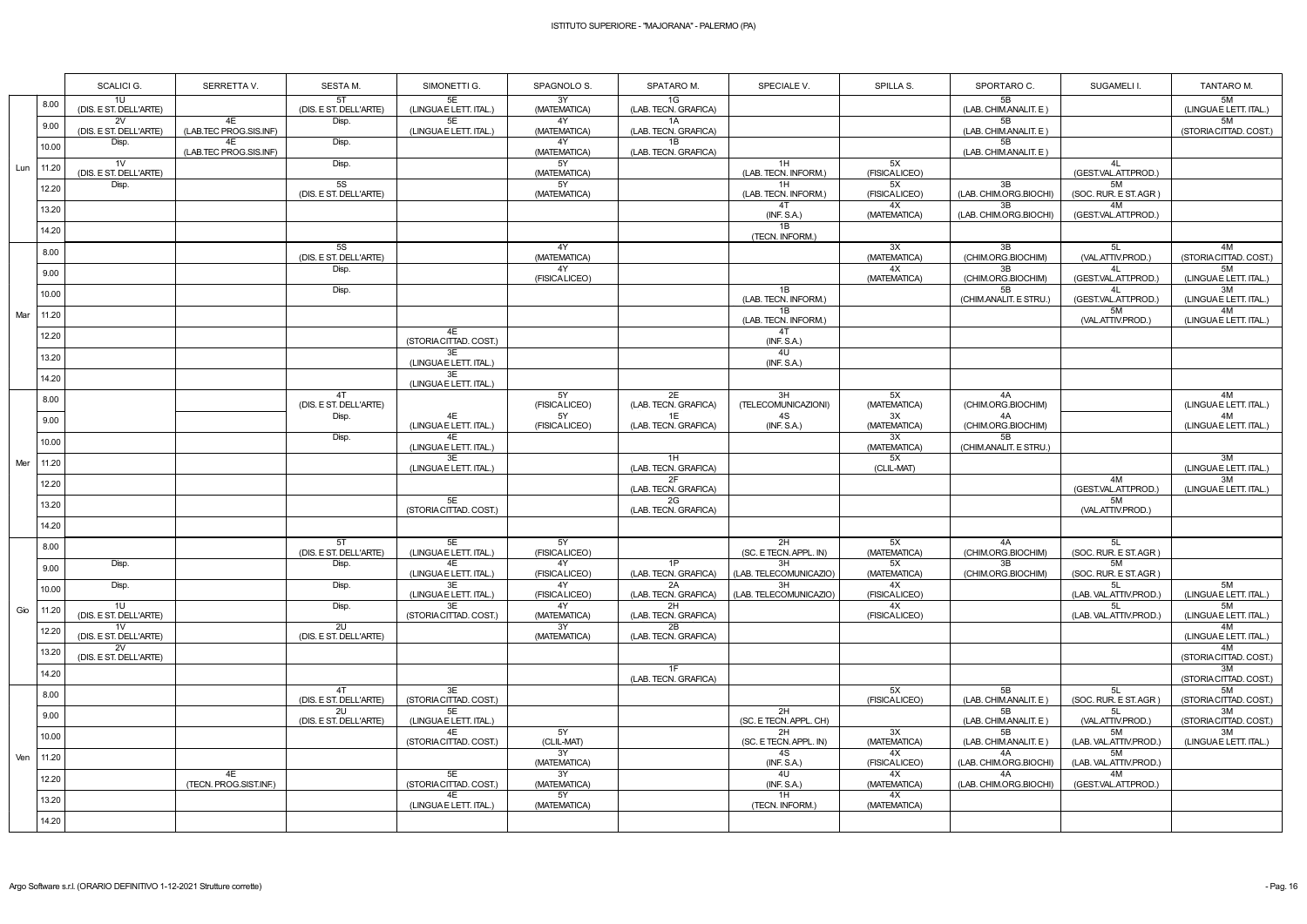|     |       | SCALICI G.                               | SERRETTA V.                  | SESTA M.                     | SIMONETTI G.                      | SPAGNOLO S.               | SPATARO M.                       | SPECIALE V.                        | SPILLA S.                | SPORTARO C.                    | SUGAMELI I.                       | TANTARO M.                   |
|-----|-------|------------------------------------------|------------------------------|------------------------------|-----------------------------------|---------------------------|----------------------------------|------------------------------------|--------------------------|--------------------------------|-----------------------------------|------------------------------|
|     | 8.00  | 1U<br>(DIS. E ST. DELL'ARTE)             |                              | 5T<br>(DIS. E ST. DELL'ARTE) | 5E<br>(LINGUAE LETT. ITAL.)       | 3Y<br>(MATEMATICA)        | 1G<br>(LAB. TECN. GRAFICA)       |                                    |                          | 5B<br>(LAB. CHIM.ANALIT. E)    |                                   | 5M<br>(LINGUA E LETT. ITAL.) |
|     | 9.00  | 2V<br>(DIS. E ST. DELL'ARTE)             | 4E<br>(LAB.TEC PROG.SIS.INF) | Disp.                        | 5E<br>(LINGUAE LETT. ITAL.)       | 4Y<br>(MATEMATICA)        | 1A<br>(LAB. TECN. GRAFICA)       |                                    |                          | 5B<br>(LAB. CHIM.ANALIT. E)    |                                   | 5M<br>(STORIA CITTAD. COST.) |
|     | 10.00 | Disp.                                    | 4E<br>(LAB.TEC PROG.SIS.INF) | Disp.                        |                                   | 4Y<br>(MATEMATICA)        | 1B<br>(LAB. TECN. GRAFICA)       |                                    |                          | 5B<br>(LAB. CHIM.ANALIT. E)    |                                   |                              |
| Lun | 11.20 | 1 <sub>V</sub><br>(DIS. E ST. DELL'ARTE) |                              | Disp.                        |                                   | 5Y<br>(MATEMATICA)        |                                  | 1H<br>(LAB. TECN. INFORM.)         | 5X<br>(FISICALICEO)      |                                | 4L<br>(GEST.VAL.ATT.PROD.)        |                              |
|     | 12.20 | Disp.                                    |                              | 5S<br>(DIS. E ST. DELL'ARTE) |                                   | 5Y<br>(MATEMATICA)        |                                  | 1H<br>(LAB. TECN. INFORM.)         | 5X<br>(FISICALICEO)      | 3B<br>(LAB. CHIM.ORG.BIOCHI)   | 5M<br>(SOC. RUR. E ST. AGR)       |                              |
|     | 13.20 |                                          |                              |                              |                                   |                           |                                  | 4T<br>(INF. S.A.)                  | 4X<br>(MATEMATICA)       | 3B<br>(LAB. CHIM.ORG.BIOCHI)   | 4M<br>(GEST.VAL.ATT.PROD.)        |                              |
|     | 14.20 |                                          |                              |                              |                                   |                           |                                  | 1B<br>(TECN. INFORM.)              |                          |                                |                                   |                              |
|     | 8.00  |                                          |                              | 5S<br>(DIS. E ST. DELL'ARTE) |                                   | 4Y<br>(MATEMATICA)        |                                  |                                    | 3X<br>(MATEMATICA)       | 3B<br>(CHIM.ORG.BIOCHIM)       | 5L<br>(VAL.ATTIV.PROD.)           | 4M<br>(STORIA CITTAD. COST.) |
|     | 9.00  |                                          |                              | Disp.                        |                                   | 4Y<br>(FISICALICEO)       |                                  |                                    | 4X<br>(MATEMATICA)       | 3B<br>(CHIM.ORG.BIOCHIM)       | 4L<br>(GEST.VAL.ATT.PROD.)        | 5M<br>(LINGUAE LETT. ITAL.)  |
|     | 10.00 |                                          |                              | Disp.                        |                                   |                           |                                  | 1B<br>(LAB. TECN. INFORM.)         |                          | 5B<br>(CHIM.ANALIT. E STRU.)   | 4L<br>(GEST.VAL.ATT.PROD.)        | 3M<br>(LINGUAE LETT. ITAL.)  |
| Mar | 11.20 |                                          |                              |                              |                                   |                           |                                  | 1B<br>(LAB. TECN. INFORM.)         |                          |                                | 5M<br>(VAL.ATTIV.PROD.)           | 4M<br>(LINGUAE LETT. ITAL.)  |
|     | 12.20 |                                          |                              |                              | 4E<br>(STORIA CITTAD. COST.)      |                           |                                  | 4T<br>(INF. S.A.)                  |                          |                                |                                   |                              |
|     | 13.20 |                                          |                              |                              | 3E<br>(LINGUAE LETT. ITAL.)       |                           |                                  | 4U<br>(INF. S.A.)                  |                          |                                |                                   |                              |
|     | 14.20 |                                          |                              |                              | 3E<br>(LINGUAE LETT. ITAL.)       |                           |                                  |                                    |                          |                                |                                   |                              |
|     | 8.00  |                                          |                              | 4T<br>(DIS. E ST. DELL'ARTE) |                                   | 5Y<br>(FISICALICEO)       | 2E<br>(LAB. TECN. GRAFICA)       | 3H<br>(TELECOMUNICAZIONI)          | 5X<br>(MATEMATICA)       | 4A<br>(CHIM.ORG.BIOCHIM)       |                                   | 4M<br>(LINGUAE LETT. ITAL.)  |
|     | 9.00  |                                          |                              | Disp.                        | 4E<br>(LINGUAE LETT. ITAL.)       | 5Y<br>(FISICALICEO)       | 1E<br>(LAB. TECN. GRAFICA)       | 4S<br>(INF. S.A.)                  | 3X<br>(MATEMATICA)       | 4A<br>(CHIM.ORG.BIOCHIM)       |                                   | 4M<br>(LINGUAE LETT. ITAL.)  |
|     | 10.00 |                                          |                              | Disp.                        | 4E<br>(LINGUAE LETT. ITAL.)       |                           |                                  |                                    | 3X<br>(MATEMATICA)       | 5B<br>(CHIM.ANALIT. E STRU.)   |                                   |                              |
| Mer | 11.20 |                                          |                              |                              | 3E<br>(LINGUAE LETT. ITAL.)       |                           | 1H<br>(LAB. TECN. GRAFICA)       |                                    | 5X<br>(CLIL-MAT)         |                                |                                   | 3M<br>(LINGUAE LETT. ITAL.)  |
|     | 12.20 |                                          |                              |                              |                                   |                           | 2F<br>(LAB. TECN. GRAFICA)       |                                    |                          |                                | 4M<br>(GEST.VAL.ATT.PROD.)        | 3M<br>(LINGUA E LETT. ITAL.) |
|     | 13.20 |                                          |                              |                              | 5E<br>(STORIA CITTAD. COST.)      |                           | 2G<br>(LAB. TECN. GRAFICA)       |                                    |                          |                                | 5M<br>(VAL.ATTIV.PROD.)           |                              |
|     | 14.20 |                                          |                              |                              |                                   |                           |                                  |                                    |                          |                                |                                   |                              |
|     | 8.00  |                                          |                              | 5T<br>(DIS. E ST. DELL'ARTE) | 5E<br>(LINGUAE LETT. ITAL.)       | 5Y<br>(FISICALICEO)       |                                  | 2H<br>(SC. E TECN. APPL. IN)       | 5X<br>(MATEMATICA)       | 4A<br>(CHIM.ORG.BIOCHIM)<br>3B | 5L<br>(SOC. RUR. E ST. AGR)<br>5M |                              |
|     | 9.00  | Disp.<br>Disp.                           |                              | Disp.<br>Disp.               | 4E<br>(LINGUAE LETT. ITAL.)<br>3E | 4Y<br>(FISICALICEO)<br>4Y | 1P<br>(LAB. TECN. GRAFICA)<br>2A | 3H<br>(LAB. TELECOMUNICAZIO)<br>3H | 5X<br>(MATEMATICA)<br>4X | (CHIM.ORG.BIOCHIM)             | (SOC. RUR. E ST. AGR)<br>5L       | 5M                           |
|     | 10.00 | 1U                                       |                              |                              | (LINGUA E LETT. ITAL.)<br>3E      | (FISICALICEO)<br>4Y       | (LAB. TECN. GRAFICA)<br>2H       | (LAB. TELECOMUNICAZIO)             | (FISICALICEO)<br>4X      |                                | (LAB. VAL.ATTIV.PROD.)<br>5L      | (LINGUAE LETT. ITAL.)<br>5M  |
| Gio | 11.20 | (DIS. E ST. DELL'ARTE)<br>1V             |                              | Disp.<br>2U                  | (STORIA CITTAD. COST.)            | (MATEMATICA)<br>3Y        | (LAB. TECN. GRAFICA)<br>2B       |                                    | (FISICALICEO)            |                                | (LAB. VAL.ATTIV.PROD.)            | (LINGUA E LETT. ITAL.)<br>4M |
|     | 12.20 | (DIS. E ST. DELL'ARTE)<br>2V             |                              | (DIS. E ST. DELL'ARTE)       |                                   | (MATEMATICA)              | (LAB. TECN. GRAFICA)             |                                    |                          |                                |                                   | (LINGUAE LETT. ITAL.)<br>4M  |
|     | 13.20 | (DIS. E ST. DELL'ARTE)                   |                              |                              |                                   |                           | 1F                               |                                    |                          |                                |                                   | (STORIA CITTAD. COST.)<br>3M |
|     | 14.20 |                                          |                              | 4T                           | 3E                                |                           | (LAB. TECN. GRAFICA)             |                                    | 5X                       | 5B                             | 5L                                | (STORIA CITTAD. COST.)<br>5M |
|     | 8.00  |                                          |                              | (DIS. E ST. DELL'ARTE)<br>2U | (STORIA CITTAD. COST.)<br>5E      |                           |                                  | 2H                                 | (FISICALICEO)            | (LAB. CHIM.ANALIT. E)<br>5B    | (SOC. RUR. E ST. AGR)<br>5L       | (STORIA CITTAD. COST.)<br>3M |
|     | 9.00  |                                          |                              | (DIS. E ST. DELL'ARTE)       | (LINGUA E LETT. ITAL.)<br>4E      | 5Y                        |                                  | (SC. E TECN. APPL. CH)<br>2H       | 3X                       | (LAB. CHIM.ANALIT. E)<br>5B    | (VAL.ATTIV.PROD.)<br>5M           | (STORIA CITTAD. COST.)<br>3M |
|     | 10.00 |                                          |                              |                              | (STORIA CITTAD. COST.)            | (CLIL-MAT)<br>3Y          |                                  | (SC. E TECN. APPL. IN)<br>4S       | (MATEMATICA)<br>4X       | (LAB. CHIM.ANALIT. E)<br>4A    | (LAB. VAL.ATTIV.PROD.)<br>5M      | (LINGUAE LETT. ITAL.)        |
| Ven | 11.20 |                                          | 4E                           |                              | 5E                                | (MATEMATICA)<br>3Y        |                                  | (INF. S.A.)<br>4U                  | (FISICALICEO)<br>4X      | (LAB. CHIM.ORG.BIOCHI)<br>4A   | (LAB. VAL.ATTIV.PROD.)<br>4M      |                              |
|     | 12.20 |                                          | (TECN. PROG.SIST.INF.)       |                              | (STORIA CITTAD. COST.)<br>4E      | (MATEMATICA)<br>5Y        |                                  | (INF. S.A.)<br>1H                  | (MATEMATICA)<br>4X       | (LAB. CHIM.ORG.BIOCHI)         | (GEST.VAL.ATT.PROD.)              |                              |
|     | 13.20 |                                          |                              |                              | (LINGUAE LETT. ITAL.)             | (MATEMATICA)              |                                  | (TECN. INFORM.)                    | (MATEMATICA)             |                                |                                   |                              |
|     | 14.20 |                                          |                              |                              |                                   |                           |                                  |                                    |                          |                                |                                   |                              |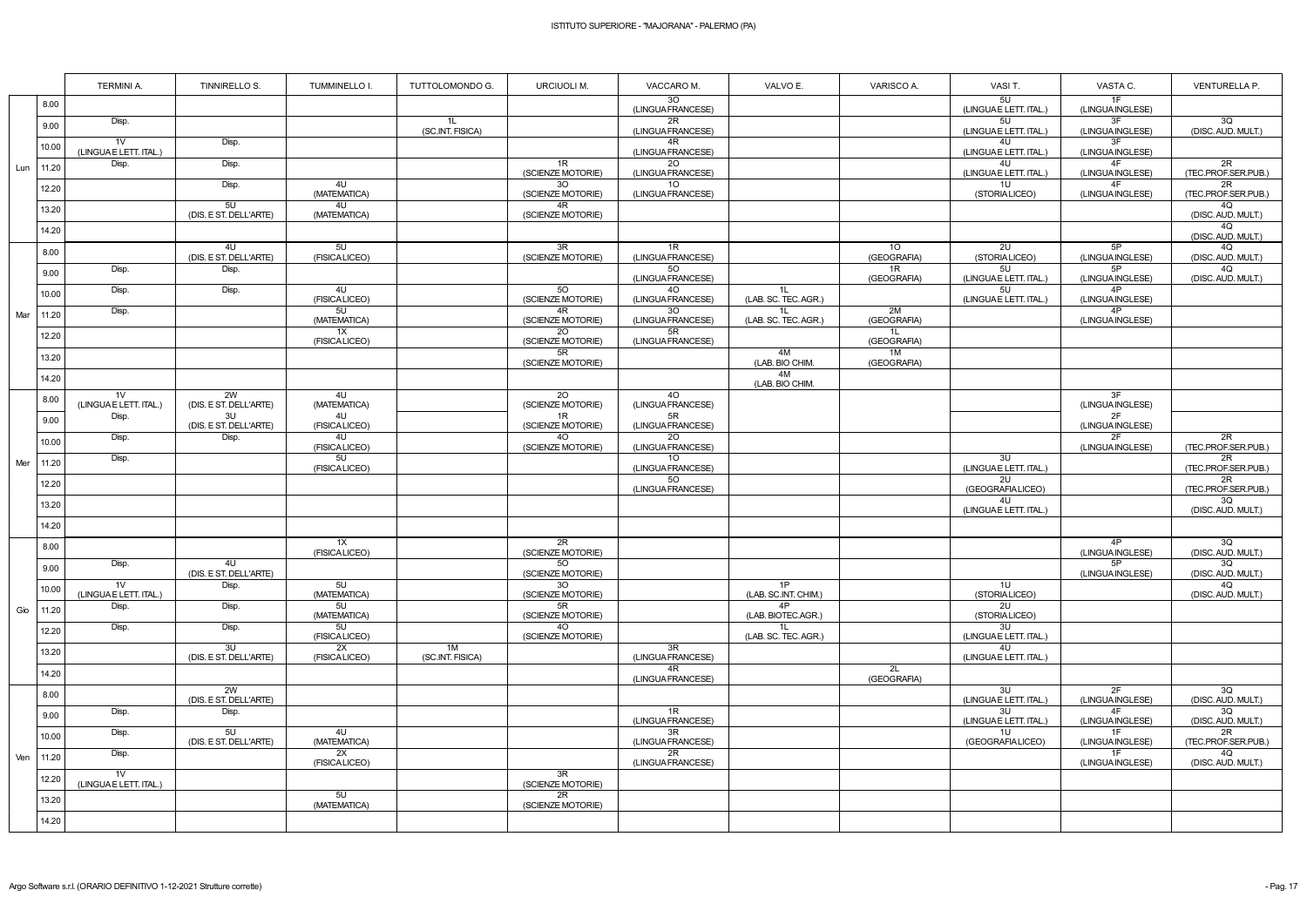|              | <b>TERMINI A.</b>                       | TINNIRELLO S.                | TUMMINELLO I.                    | TUTTOLOMONDO G.        | <b>URCIUOLI M.</b>                   | VACCARO M.                           | VALVO E.                   | VARISCO A.                     | VASI T.                      | VASTA C.               | VENTURELLA P.             |
|--------------|-----------------------------------------|------------------------------|----------------------------------|------------------------|--------------------------------------|--------------------------------------|----------------------------|--------------------------------|------------------------------|------------------------|---------------------------|
| 8.00         |                                         |                              |                                  |                        |                                      | 3O<br>(LINGUA FRANCESE)              |                            |                                | 5U<br>(LINGUAE LETT. ITAL.)  | 1F<br>(LINGUA INGLESE) |                           |
| 9.00         | Disp.                                   |                              |                                  | 1L<br>(SC.INT. FISICA) |                                      | $\overline{2R}$<br>(LINGUA FRANCESE) |                            |                                | 5U<br>(LINGUA E LETT. ITAL.) | 3F<br>(LINGUA INGLESE) | 3Q<br>(DISC. AUD. MULT.)  |
| 10.00        | 1 <sub>V</sub><br>(LINGUAE LETT. ITAL.) | Disp.                        |                                  |                        |                                      | 4R<br>(LINGUA FRANCESE)              |                            |                                | 4U<br>(LINGUAE LETT. ITAL.)  | 3F<br>(LINGUA INGLESE) |                           |
| 11.20<br>Lun | Disp.                                   | Disp.                        |                                  |                        | 1R<br>(SCIENZE MOTORIE)              | 20<br>(LINGUA FRANCESE)              |                            |                                | 4U<br>(LINGUAE LETT. ITAL.)  | 4F<br>(LINGUA INGLESE) | 2R<br>(TEC.PROF.SER.PUB.) |
| 12.20        |                                         | Disp.                        | 4U<br>(MATEMATICA)               |                        | 30 <sup>7</sup><br>(SCIENZE MOTORIE) | 10 <sup>°</sup><br>(LINGUA FRANCESE) |                            |                                | 10<br>(STORIALICEO)          | 4F<br>(LINGUA INGLESE) | 2R<br>(TEC.PROF.SER.PUB.) |
| 13.20        |                                         | 5U<br>(DIS. E ST. DELL'ARTE) | 4U<br>(MATEMATICA)               |                        | 4R<br>(SCIENZE MOTORIE)              |                                      |                            |                                |                              |                        | 4Q<br>(DISC. AUD. MULT.)  |
| 14.20        |                                         |                              |                                  |                        |                                      |                                      |                            |                                |                              |                        | 4Q<br>(DISC. AUD. MULT.)  |
| 8.00         |                                         | 4U<br>(DIS. E ST. DELL'ARTE) | 5U<br>(FISICALICEO)              |                        | 3R<br>(SCIENZE MOTORIE)              | 1R<br>(LINGUA FRANCESE)              |                            | 10 <sup>°</sup><br>(GEOGRAFIA) | 2U<br>(STORIALICEO)          | 5P<br>(LINGUA INGLESE) | 4Q<br>(DISC. AUD. MULT.)  |
| 9.00         | Disp.                                   | Disp.                        |                                  |                        |                                      | 50<br>(LINGUA FRANCESE)              |                            | 1R<br>(GEOGRAFIA)              | 5U<br>(LINGUAE LETT. ITAL.)  | 5P<br>(LINGUA INGLESE) | 4Q<br>(DISC. AUD. MULT.)  |
| 10.00        | Disp.                                   | Disp.                        | 4U<br>(FISICALICEO)              |                        | 50<br>(SCIENZE MOTORIE)              | 40<br>(LINGUA FRANCESE)              | 1L<br>(LAB. SC. TEC. AGR.) |                                | 5U<br>(LINGUA E LETT. ITAL.) | 4P<br>(LINGUA INGLESE) |                           |
| 11.20<br>Mar | Disp.                                   |                              | 5U<br>(MATEMATICA)               |                        | 4R<br>(SCIENZE MOTORIE)              | $\overline{30}$<br>(LINGUA FRANCESE) | 1L<br>(LAB. SC. TEC. AGR.) | 2M<br>(GEOGRAFIA)              |                              | 4P<br>(LINGUA INGLESE) |                           |
| 12.20        |                                         |                              | $\overline{11}$<br>(FISICALICEO) |                        | 20<br>(SCIENZE MOTORIE)              | $\overline{5R}$<br>(LINGUA FRANCESE) |                            | 1L<br>(GEOGRAFIA)              |                              |                        |                           |
| 13.20        |                                         |                              |                                  |                        | 5R<br>(SCIENZE MOTORIE)              |                                      | 4M<br>(LAB. BIO CHIM.      | 1M<br>(GEOGRAFIA)              |                              |                        |                           |
| 14.20        |                                         |                              |                                  |                        |                                      |                                      | 4M<br>(LAB. BIO CHIM.      |                                |                              |                        |                           |
| 8.00         | 1V<br>(LINGUAE LETT. ITAL.)             | 2W<br>(DIS. E ST. DELL'ARTE) | 4U<br>(MATEMATICA)               |                        | $\overline{20}$<br>(SCIENZE MOTORIE) | 40<br>(LINGUA FRANCESE)              |                            |                                |                              | 3F<br>(LINGUA INGLESE) |                           |
| 9.00         | Disp.                                   | 3U<br>(DIS. E ST. DELL'ARTE) | 4U<br>(FISICALICEO)              |                        | 1R<br>(SCIENZE MOTORIE)              | $\overline{5R}$<br>(LINGUA FRANCESE) |                            |                                |                              | 2F<br>(LINGUA INGLESE) |                           |
| 10.00        | Disp.                                   | Disp.                        | 4U<br>(FISICALICEO)              |                        | 40<br>(SCIENZE MOTORIE)              | <b>20</b><br>(LINGUA FRANCESE)       |                            |                                |                              | 2F<br>(LINGUA INGLESE) | 2R<br>(TEC.PROF.SER.PUB.) |
| 11.20<br>Mer | Disp.                                   |                              | 5U<br>(FISICALICEO)              |                        |                                      | 10 <sub>1</sub><br>(LINGUA FRANCESE) |                            |                                | 3U<br>(LINGUAE LETT. ITAL.)  |                        | 2R<br>(TEC.PROF.SER.PUB.) |
| 12.20        |                                         |                              |                                  |                        |                                      | 50<br>(LINGUA FRANCESE)              |                            |                                | 2U<br>(GEOGRAFIALICEO)       |                        | 2R<br>(TEC.PROF.SER.PUB.) |
| 13.20        |                                         |                              |                                  |                        |                                      |                                      |                            |                                | 4U<br>(LINGUAE LETT. ITAL.)  |                        | 3Q<br>(DISC. AUD. MULT.)  |
| 14.20        |                                         |                              |                                  |                        |                                      |                                      |                            |                                |                              |                        |                           |
| 8.00         |                                         |                              | $\overline{1}X$<br>(FISICALICEO) |                        | 2R<br>(SCIENZE MOTORIE)              |                                      |                            |                                |                              | 4P<br>(LINGUA INGLESE) | 3Q<br>(DISC. AUD. MULT.)  |
| 9.00         | Disp.                                   | 4U<br>(DIS. E ST. DELL'ARTE) |                                  |                        | 50<br>(SCIENZE MOTORIE)              |                                      |                            |                                |                              | 5P<br>(LINGUA INGLESE) | 3Q<br>(DISC. AUD. MULT.)  |
| 10.00        | 1V<br>(LINGUAE LETT. ITAL.)             | Disp.                        | 5U<br>(MATEMATICA)               |                        | 30<br>(SCIENZE MOTORIE)              |                                      | 1P<br>(LAB. SC.INT. CHIM.) |                                | 10<br>(STORIALICEO)          |                        | 4Q<br>(DISC. AUD. MULT.)  |
| Gio   11.20  | Disp.                                   | Disp.                        | 5U<br>(MATEMATICA)               |                        | 5R<br>(SCIENZE MOTORIE)              |                                      | 4P<br>(LAB. BIOTEC.AGR.)   |                                | 2U<br>(STORIALICEO)          |                        |                           |
| 12.20        | Disp.                                   | Disp.                        | 5U<br>(FISICALICEO)              |                        | 4O<br>(SCIENZE MOTORIE)              |                                      | 1L<br>(LAB. SC. TEC. AGR.) |                                | 3U<br>(LINGUAE LETT. ITAL.)  |                        |                           |
| 13.20        |                                         | 3U<br>(DIS. E ST. DELL'ARTE) | 2X<br>(FISICALICEO)              | 1M<br>(SC.INT. FISICA) |                                      | 3R<br>(LINGUA FRANCESE)              |                            |                                | 4U<br>(LINGUAE LETT. ITAL.)  |                        |                           |
| 14.20        |                                         |                              |                                  |                        |                                      | 4R<br>(LINGUA FRANCESE)              |                            | 2L<br>(GEOGRAFIA)              |                              |                        |                           |
| 8.00         |                                         | 2W<br>(DIS. E ST. DELL'ARTE) |                                  |                        |                                      |                                      |                            |                                | 3U<br>(LINGUAE LETT. ITAL.)  | 2F<br>(LINGUA INGLESE) | 3Q<br>(DISC. AUD. MULT.)  |
| 9.00         | Disp.                                   | Disp.                        |                                  |                        |                                      | 1R<br>(LINGUA FRANCESE)              |                            |                                | 3U<br>(LINGUA E LETT. ITAL.) | 4F<br>(LINGUA INGLESE) | 3Q<br>(DISC. AUD. MULT.)  |
| 10.00        | Disp.                                   | 5U<br>(DIS. E ST. DELL'ARTE) | 4U<br>(MATEMATICA)               |                        |                                      | 3R<br>(LINGUA FRANCESE)              |                            |                                | 1U<br>(GEOGRAFIALICEO)       | 1F<br>(LINGUA INGLESE) | 2R<br>(TEC.PROF.SER.PUB.) |
| Ven   11.20  | Disp.                                   |                              | 2X<br>(FISICALICEO)              |                        |                                      | 2R<br>(LINGUA FRANCESE)              |                            |                                |                              | 1F<br>(LINGUA INGLESE) | 4Q<br>(DISC. AUD. MULT.)  |
| 12.20        | 1V<br>(LINGUAE LETT. ITAL.)             |                              |                                  |                        | 3R<br>(SCIENZE MOTORIE)              |                                      |                            |                                |                              |                        |                           |
| 13.20        |                                         |                              | 5U<br>(MATEMATICA)               |                        | 2R<br>(SCIENZE MOTORIE)              |                                      |                            |                                |                              |                        |                           |
| 14.20        |                                         |                              |                                  |                        |                                      |                                      |                            |                                |                              |                        |                           |